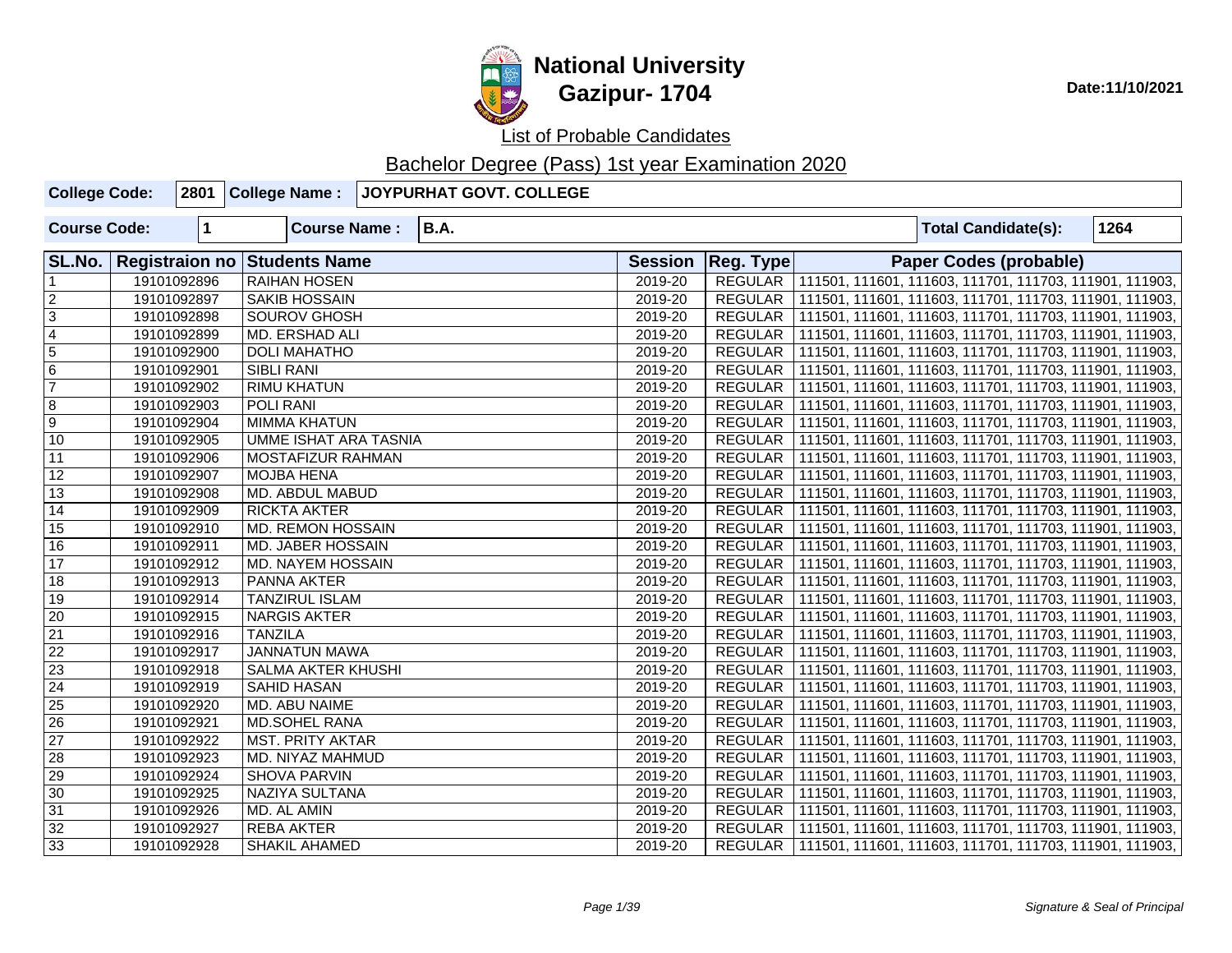

| <b>College Code:</b> |              | 2801 College Name:           | JOYPURHAT GOVT. COLLEGE |                |                |  |                                                                   |      |
|----------------------|--------------|------------------------------|-------------------------|----------------|----------------|--|-------------------------------------------------------------------|------|
| <b>Course Code:</b>  | $\mathbf{1}$ | <b>Course Name:</b>          | <b>B.A.</b>             |                |                |  | <b>Total Candidate(s):</b>                                        | 1264 |
| SL.No.               |              | Registraion no Students Name |                         | <b>Session</b> | Reg. Type      |  | <b>Paper Codes (probable)</b>                                     |      |
|                      | 19101092896  | <b>RAIHAN HOSEN</b>          |                         | 2019-20        |                |  | REGULAR   111501, 111601, 111603, 111701, 111703, 111901, 111903, |      |
| $\overline{2}$       | 19101092897  | <b>SAKIB HOSSAIN</b>         |                         | 2019-20        |                |  | REGULAR   111501, 111601, 111603, 111701, 111703, 111901, 111903, |      |
| $\overline{3}$       | 19101092898  | <b>SOUROV GHOSH</b>          |                         | 2019-20        |                |  | REGULAR   111501, 111601, 111603, 111701, 111703, 111901, 111903, |      |
| $\overline{4}$       | 19101092899  | MD. ERSHAD ALI               |                         | 2019-20        |                |  | REGULAR   111501, 111601, 111603, 111701, 111703, 111901, 111903, |      |
| $\overline{5}$       | 19101092900  | <b>DOLI MAHATHO</b>          |                         | 2019-20        |                |  | REGULAR   111501, 111601, 111603, 111701, 111703, 111901, 111903, |      |
| 6                    | 19101092901  | <b>SIBLI RANI</b>            |                         | 2019-20        |                |  | REGULAR   111501, 111601, 111603, 111701, 111703, 111901, 111903, |      |
| $\overline{7}$       | 19101092902  | <b>RIMU KHATUN</b>           |                         | 2019-20        |                |  | REGULAR   111501, 111601, 111603, 111701, 111703, 111901, 111903, |      |
| $\overline{8}$       | 19101092903  | POLI RANI                    |                         | 2019-20        |                |  | REGULAR   111501, 111601, 111603, 111701, 111703, 111901, 111903, |      |
| $\overline{9}$       | 19101092904  | <b>MIMMA KHATUN</b>          |                         | 2019-20        |                |  | REGULAR   111501, 111601, 111603, 111701, 111703, 111901, 111903, |      |
| $\overline{10}$      | 19101092905  | <b>UMME ISHAT ARA TASNIA</b> |                         | 2019-20        | REGULAR        |  | 111501, 111601, 111603, 111701, 111703, 111901, 111903,           |      |
| $\overline{11}$      | 19101092906  | <b>MOSTAFIZUR RAHMAN</b>     |                         | 2019-20        |                |  | REGULAR   111501, 111601, 111603, 111701, 111703, 111901, 111903, |      |
| $\overline{12}$      | 19101092907  | <b>MOJBA HENA</b>            |                         | 2019-20        | <b>REGULAR</b> |  | 111501, 111601, 111603, 111701, 111703, 111901, 111903,           |      |
| $\overline{13}$      | 19101092908  | MD. ABDUL MABUD              |                         | 2019-20        | REGULAR        |  | 111501, 111601, 111603, 111701, 111703, 111901, 111903,           |      |
| $\overline{14}$      | 19101092909  | <b>RICKTA AKTER</b>          |                         | 2019-20        | REGULAR        |  | 111501, 111601, 111603, 111701, 111703, 111901, 111903,           |      |
| 15                   | 19101092910  | MD. REMON HOSSAIN            |                         | 2019-20        |                |  | REGULAR   111501, 111601, 111603, 111701, 111703, 111901, 111903, |      |
| 16                   | 19101092911  | MD. JABER HOSSAIN            |                         | 2019-20        |                |  | REGULAR   111501, 111601, 111603, 111701, 111703, 111901, 111903, |      |
| $\overline{17}$      | 19101092912  | MD. NAYEM HOSSAIN            |                         | 2019-20        |                |  | REGULAR   111501, 111601, 111603, 111701, 111703, 111901, 111903, |      |
| $\overline{18}$      | 19101092913  | PANNA AKTER                  |                         | 2019-20        |                |  | REGULAR   111501, 111601, 111603, 111701, 111703, 111901, 111903, |      |
| 19                   | 19101092914  | <b>TANZIRUL ISLAM</b>        |                         | 2019-20        |                |  | REGULAR   111501, 111601, 111603, 111701, 111703, 111901, 111903, |      |
| $\overline{20}$      | 19101092915  | <b>NARGIS AKTER</b>          |                         | 2019-20        | <b>REGULAR</b> |  | 111501, 111601, 111603, 111701, 111703, 111901, 111903,           |      |
| $\overline{21}$      | 19101092916  | <b>TANZILA</b>               |                         | 2019-20        | <b>REGULAR</b> |  | 111501, 111601, 111603, 111701, 111703, 111901, 111903,           |      |
| $\overline{22}$      | 19101092917  | <b>JANNATUN MAWA</b>         |                         | 2019-20        | <b>REGULAR</b> |  | 111501, 111601, 111603, 111701, 111703, 111901, 111903,           |      |
| $\overline{23}$      | 19101092918  | <b>SALMA AKTER KHUSHI</b>    |                         | 2019-20        | <b>REGULAR</b> |  | 111501, 111601, 111603, 111701, 111703, 111901, 111903,           |      |
| $\overline{24}$      | 19101092919  | SAHID HASAN                  |                         | 2019-20        | <b>REGULAR</b> |  | 111501, 111601, 111603, 111701, 111703, 111901, 111903,           |      |
| $\overline{25}$      | 19101092920  | MD. ABU NAIME                |                         | 2019-20        | <b>REGULAR</b> |  | 111501, 111601, 111603, 111701, 111703, 111901, 111903,           |      |
| $\overline{26}$      | 19101092921  | <b>MD.SOHEL RANA</b>         |                         | 2019-20        |                |  | REGULAR   111501, 111601, 111603, 111701, 111703, 111901, 111903, |      |
| 27                   | 19101092922  | <b>MST. PRITY AKTAR</b>      |                         | 2019-20        | <b>REGULAR</b> |  | 111501, 111601, 111603, 111701, 111703, 111901, 111903,           |      |
| 28                   | 19101092923  | MD. NIYAZ MAHMUD             |                         | 2019-20        |                |  | REGULAR   111501, 111601, 111603, 111701, 111703, 111901, 111903, |      |
| 29                   | 19101092924  | <b>SHOVA PARVIN</b>          |                         | 2019-20        |                |  | REGULAR   111501, 111601, 111603, 111701, 111703, 111901, 111903, |      |
| 30                   | 19101092925  | <b>NAZIYA SULTANA</b>        |                         | 2019-20        |                |  | REGULAR   111501, 111601, 111603, 111701, 111703, 111901, 111903, |      |
| 31                   | 19101092926  | MD. AL AMIN                  |                         | 2019-20        |                |  | REGULAR   111501, 111601, 111603, 111701, 111703, 111901, 111903, |      |
| 32                   | 19101092927  | <b>REBA AKTER</b>            |                         | 2019-20        |                |  | REGULAR   111501, 111601, 111603, 111701, 111703, 111901, 111903, |      |
| 33                   | 19101092928  | <b>SHAKIL AHAMED</b>         |                         | 2019-20        |                |  | REGULAR   111501, 111601, 111603, 111701, 111703, 111901, 111903, |      |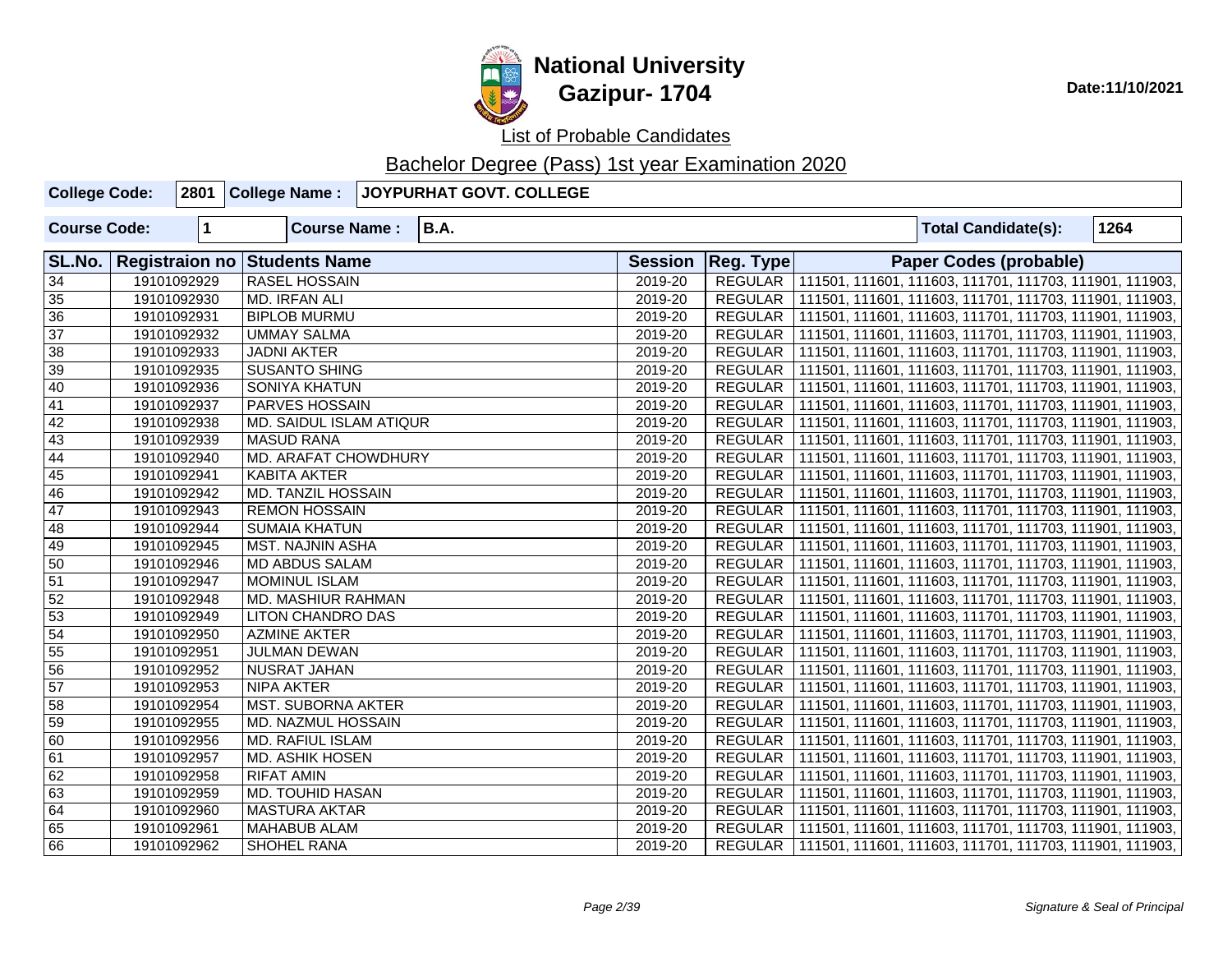

List of Probable Candidates

| <b>College Code:</b> |              | 2801 College Name:                  | JOYPURHAT GOVT. COLLEGE |                |                |  |                                                                   |      |
|----------------------|--------------|-------------------------------------|-------------------------|----------------|----------------|--|-------------------------------------------------------------------|------|
| <b>Course Code:</b>  | $\mathbf{1}$ | <b>Course Name:</b>                 | <b>B.A.</b>             |                |                |  | <b>Total Candidate(s):</b>                                        | 1264 |
| SL.No.               |              | <b>Registraion no Students Name</b> |                         | <b>Session</b> | Reg. Type      |  | Paper Codes (probable)                                            |      |
| 34                   | 19101092929  | RASEL HOSSAIN                       |                         | 2019-20        |                |  | REGULAR   111501, 111601, 111603, 111701, 111703, 111901, 111903, |      |
| 35                   | 19101092930  | MD. IRFAN ALI                       |                         | 2019-20        |                |  | REGULAR   111501, 111601, 111603, 111701, 111703, 111901, 111903, |      |
| $\overline{36}$      | 19101092931  | <b>BIPLOB MURMU</b>                 |                         | 2019-20        |                |  | REGULAR   111501, 111601, 111603, 111701, 111703, 111901, 111903, |      |
| $\overline{37}$      | 19101092932  | <b>UMMAY SALMA</b>                  |                         | 2019-20        |                |  | REGULAR   111501, 111601, 111603, 111701, 111703, 111901, 111903, |      |
| 38                   | 19101092933  | <b>JADNI AKTER</b>                  |                         | 2019-20        |                |  | REGULAR   111501, 111601, 111603, 111701, 111703, 111901, 111903, |      |
| $\overline{39}$      | 19101092935  | <b>SUSANTO SHING</b>                |                         | 2019-20        |                |  | REGULAR   111501, 111601, 111603, 111701, 111703, 111901, 111903, |      |
| 40                   | 19101092936  | <b>SONIYA KHATUN</b>                |                         | 2019-20        |                |  | REGULAR   111501, 111601, 111603, 111701, 111703, 111901, 111903, |      |
| $\overline{41}$      | 19101092937  | PARVES HOSSAIN                      |                         | 2019-20        |                |  | REGULAR   111501, 111601, 111603, 111701, 111703, 111901, 111903, |      |
| $\overline{42}$      | 19101092938  | MD. SAIDUL ISLAM ATIQUR             |                         | 2019-20        | REGULAR        |  | 111501, 111601, 111603, 111701, 111703, 111901, 111903,           |      |
| 43                   | 19101092939  | <b>MASUD RANA</b>                   |                         | 2019-20        |                |  | REGULAR   111501, 111601, 111603, 111701, 111703, 111901, 111903, |      |
| 44                   | 19101092940  | MD. ARAFAT CHOWDHURY                |                         | 2019-20        | REGULAR        |  | 111501, 111601, 111603, 111701, 111703, 111901, 111903,           |      |
| $\overline{45}$      | 19101092941  | KABITA AKTER                        |                         | 2019-20        | REGULAR        |  | 111501, 111601, 111603, 111701, 111703, 111901, 111903,           |      |
| 46                   | 19101092942  | <b>MD. TANZIL HOSSAIN</b>           |                         | 2019-20        | REGULAR        |  | 111501, 111601, 111603, 111701, 111703, 111901, 111903,           |      |
| 47                   | 19101092943  | <b>REMON HOSSAIN</b>                |                         | 2019-20        |                |  | REGULAR   111501, 111601, 111603, 111701, 111703, 111901, 111903, |      |
| 48                   | 19101092944  | <b>SUMAIA KHATUN</b>                |                         | 2019-20        |                |  | REGULAR   111501, 111601, 111603, 111701, 111703, 111901, 111903, |      |
| 49                   | 19101092945  | MST. NAJNIN ASHA                    |                         | 2019-20        |                |  | REGULAR   111501, 111601, 111603, 111701, 111703, 111901, 111903, |      |
| 50                   | 19101092946  | <b>MD ABDUS SALAM</b>               |                         | 2019-20        |                |  | REGULAR   111501, 111601, 111603, 111701, 111703, 111901, 111903, |      |
| $\overline{51}$      | 19101092947  | <b>MOMINUL ISLAM</b>                |                         | 2019-20        |                |  | REGULAR   111501, 111601, 111603, 111701, 111703, 111901, 111903, |      |
| 52                   | 19101092948  | MD. MASHIUR RAHMAN                  |                         | 2019-20        | <b>REGULAR</b> |  | 111501, 111601, 111603, 111701, 111703, 111901, 111903,           |      |
| 53                   | 19101092949  | <b>LITON CHANDRO DAS</b>            |                         | 2019-20        | <b>REGULAR</b> |  | 111501, 111601, 111603, 111701, 111703, 111901, 111903,           |      |
| $\overline{54}$      | 19101092950  | <b>AZMINE AKTER</b>                 |                         | 2019-20        | <b>REGULAR</b> |  | 111501, 111601, 111603, 111701, 111703, 111901, 111903,           |      |
| $\overline{55}$      | 19101092951  | JULMAN DEWAN                        |                         | 2019-20        | <b>REGULAR</b> |  | 111501, 111601, 111603, 111701, 111703, 111901, 111903,           |      |
| 56                   | 19101092952  | <b>NUSRAT JAHAN</b>                 |                         | 2019-20        | <b>REGULAR</b> |  | 111501, 111601, 111603, 111701, 111703, 111901, 111903,           |      |
| 57                   | 19101092953  | <b>NIPA AKTER</b>                   |                         | 2019-20        |                |  | REGULAR   111501, 111601, 111603, 111701, 111703, 111901, 111903, |      |
| $\overline{58}$      | 19101092954  | <b>MST. SUBORNA AKTER</b>           |                         | 2019-20        | REGULAR        |  | 111501, 111601, 111603, 111701, 111703, 111901, 111903,           |      |
| 59                   | 19101092955  | MD. NAZMUL HOSSAIN                  |                         | 2019-20        | REGULAR        |  | 111501, 111601, 111603, 111701, 111703, 111901, 111903,           |      |
| 60                   | 19101092956  | MD. RAFIUL ISLAM                    |                         | 2019-20        |                |  | REGULAR   111501, 111601, 111603, 111701, 111703, 111901, 111903, |      |
| 61                   | 19101092957  | MD. ASHIK HOSEN                     |                         | 2019-20        |                |  | REGULAR   111501, 111601, 111603, 111701, 111703, 111901, 111903, |      |
| $\overline{62}$      | 19101092958  | <b>RIFAT AMIN</b>                   |                         | 2019-20        |                |  | REGULAR   111501, 111601, 111603, 111701, 111703, 111901, 111903, |      |
| 63                   | 19101092959  | MD. TOUHID HASAN                    |                         | 2019-20        |                |  | REGULAR   111501, 111601, 111603, 111701, 111703, 111901, 111903, |      |
| 64                   | 19101092960  | <b>MASTURA AKTAR</b>                |                         | 2019-20        |                |  | REGULAR   111501, 111601, 111603, 111701, 111703, 111901, 111903, |      |
| 65                   | 19101092961  | <b>MAHABUB ALAM</b>                 |                         | 2019-20        |                |  | REGULAR   111501, 111601, 111603, 111701, 111703, 111901, 111903, |      |
| 66                   | 19101092962  | SHOHEL RANA                         |                         | 2019-20        |                |  | REGULAR   111501, 111601, 111603, 111701, 111703, 111901, 111903, |      |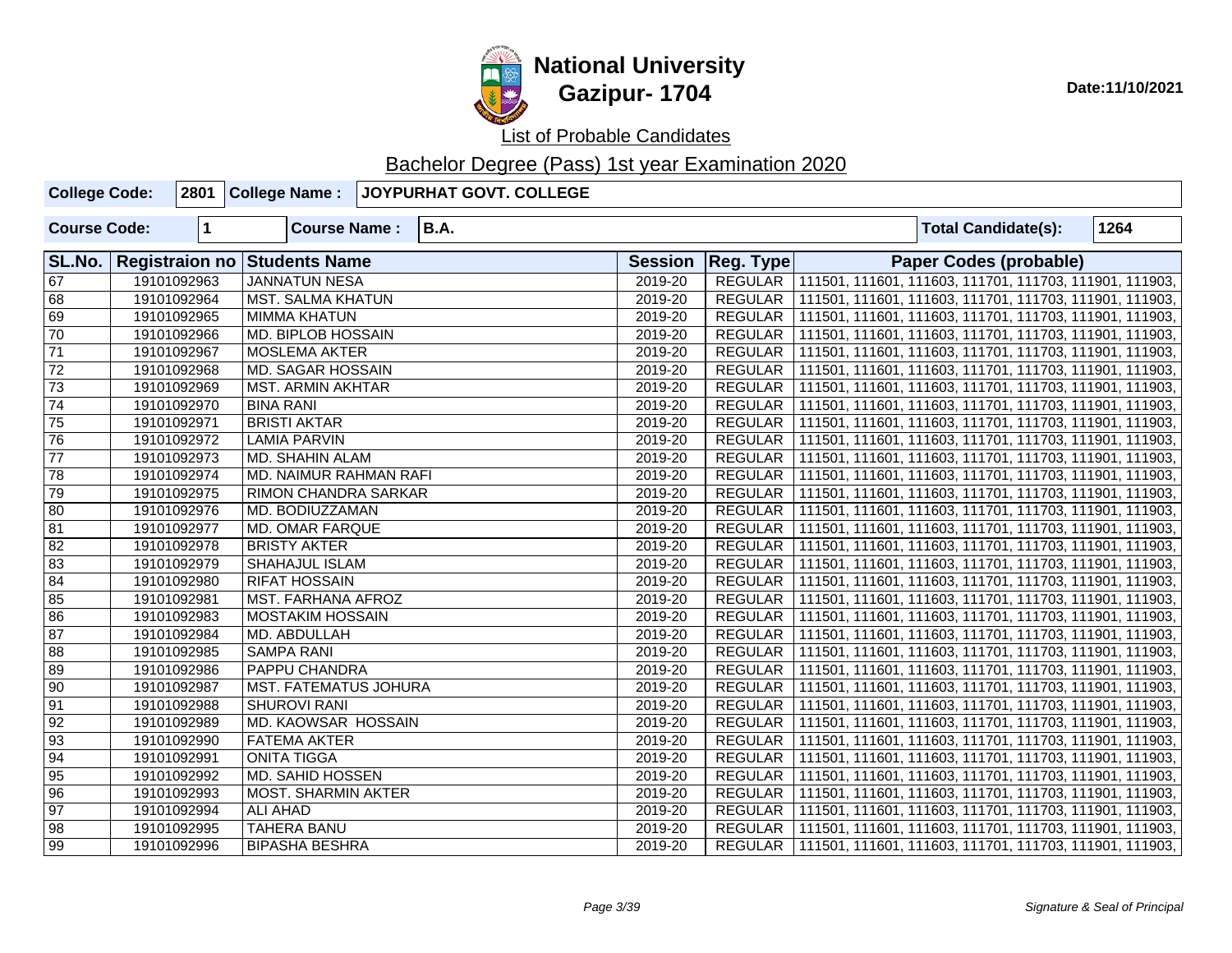

List of Probable Candidates

| <b>College Code:</b> |             | 2801 College Name:                  | JOYPURHAT GOVT. COLLEGE |                |                |  |                               |                                                                   |  |
|----------------------|-------------|-------------------------------------|-------------------------|----------------|----------------|--|-------------------------------|-------------------------------------------------------------------|--|
| <b>Course Code:</b>  | $\mathbf 1$ | <b>Course Name:</b>                 | <b>B.A.</b>             |                |                |  | <b>Total Candidate(s):</b>    | 1264                                                              |  |
| SL.No.               |             | <b>Registraion no Students Name</b> |                         | <b>Session</b> | Reg. Type      |  | <b>Paper Codes (probable)</b> |                                                                   |  |
| $\overline{67}$      | 19101092963 | <b>JANNATUN NESA</b>                |                         | 2019-20        |                |  |                               | REGULAR 111501, 111601, 111603, 111701, 111703, 111901, 111903,   |  |
| 68                   | 19101092964 | <b>MST. SALMA KHATUN</b>            |                         | 2019-20        |                |  |                               | REGULAR   111501, 111601, 111603, 111701, 111703, 111901, 111903, |  |
| 69                   | 19101092965 | MIMMA KHATUN                        |                         | 2019-20        |                |  |                               | REGULAR   111501, 111601, 111603, 111701, 111703, 111901, 111903, |  |
| 70                   | 19101092966 | <b>MD. BIPLOB HOSSAIN</b>           |                         | 2019-20        |                |  |                               | REGULAR   111501, 111601, 111603, 111701, 111703, 111901, 111903, |  |
| $\overline{71}$      | 19101092967 | <b>MOSLEMA AKTER</b>                |                         | 2019-20        | REGULAR        |  |                               | 111501, 111601, 111603, 111701, 111703, 111901, 111903,           |  |
| 72                   | 19101092968 | <b>MD. SAGAR HOSSAIN</b>            |                         | 2019-20        |                |  |                               | REGULAR   111501, 111601, 111603, 111701, 111703, 111901, 111903, |  |
| $\overline{73}$      | 19101092969 | <b>MST. ARMIN AKHTAR</b>            |                         | 2019-20        | REGULAR        |  |                               | 111501, 111601, 111603, 111701, 111703, 111901, 111903,           |  |
| $\sqrt{74}$          | 19101092970 | <b>BINA RANI</b>                    |                         | 2019-20        | REGULAR        |  |                               | 111501, 111601, 111603, 111701, 111703, 111901, 111903,           |  |
| $\sqrt{75}$          | 19101092971 | <b>BRISTI AKTAR</b>                 |                         | 2019-20        | REGULAR        |  |                               | 111501, 111601, 111603, 111701, 111703, 111901, 111903,           |  |
| 76                   | 19101092972 | <b>LAMIA PARVIN</b>                 |                         | 2019-20        | <b>REGULAR</b> |  |                               | 111501, 111601, 111603, 111701, 111703, 111901, 111903,           |  |
| $\overline{77}$      | 19101092973 | MD. SHAHIN ALAM                     |                         | 2019-20        | REGULAR        |  |                               | 111501, 111601, 111603, 111701, 111703, 111901, 111903,           |  |
| $\overline{78}$      | 19101092974 | MD. NAIMUR RAHMAN RAFI              |                         | 2019-20        | <b>REGULAR</b> |  |                               | 111501, 111601, 111603, 111701, 111703, 111901, 111903,           |  |
| 79                   | 19101092975 | RIMON CHANDRA SARKAR                |                         | 2019-20        | REGULAR        |  |                               | 111501, 111601, 111603, 111701, 111703, 111901, 111903,           |  |
| 80                   | 19101092976 | MD. BODIUZZAMAN                     |                         | 2019-20        | REGULAR        |  |                               | 111501, 111601, 111603, 111701, 111703, 111901, 111903,           |  |
| 81                   | 19101092977 | <b>MD. OMAR FARQUE</b>              |                         | 2019-20        | REGULAR        |  |                               | 111501, 111601, 111603, 111701, 111703, 111901, 111903,           |  |
| $\sqrt{82}$          | 19101092978 | <b>BRISTY AKTER</b>                 |                         | 2019-20        | REGULAR        |  |                               | 111501, 111601, 111603, 111701, 111703, 111901, 111903,           |  |
| $\sqrt{83}$          | 19101092979 | <b>SHAHAJUL ISLAM</b>               |                         | 2019-20        | REGULAR        |  |                               | 111501, 111601, 111603, 111701, 111703, 111901, 111903,           |  |
| 84                   | 19101092980 | <b>RIFAT HOSSAIN</b>                |                         | 2019-20        | REGULAR        |  |                               | 111501, 111601, 111603, 111701, 111703, 111901, 111903,           |  |
| 85                   | 19101092981 | <b>MST. FARHANA AFROZ</b>           |                         | 2019-20        | REGULAR        |  |                               | 111501, 111601, 111603, 111701, 111703, 111901, 111903,           |  |
| 86                   | 19101092983 | <b>MOSTAKIM HOSSAIN</b>             |                         | 2019-20        |                |  |                               | REGULAR   111501, 111601, 111603, 111701, 111703, 111901, 111903, |  |
| $\overline{87}$      | 19101092984 | MD. ABDULLAH                        |                         | 2019-20        | REGULAR        |  |                               | 111501, 111601, 111603, 111701, 111703, 111901, 111903,           |  |
| 88                   | 19101092985 | <b>SAMPA RANI</b>                   |                         | 2019-20        | <b>REGULAR</b> |  |                               | 111501, 111601, 111603, 111701, 111703, 111901, 111903,           |  |
| 89                   | 19101092986 | <b>PAPPU CHANDRA</b>                |                         | 2019-20        | REGULAR        |  |                               | 111501, 111601, 111603, 111701, 111703, 111901, 111903,           |  |
| $\overline{90}$      | 19101092987 | <b>MST. FATEMATUS JOHURA</b>        |                         | 2019-20        | <b>REGULAR</b> |  |                               | 111501, 111601, 111603, 111701, 111703, 111901, 111903,           |  |
| $\overline{91}$      | 19101092988 | <b>SHUROVI RANI</b>                 |                         | 2019-20        | <b>REGULAR</b> |  |                               | 111501, 111601, 111603, 111701, 111703, 111901, 111903,           |  |
| $\overline{92}$      | 19101092989 | <b>MD. KAOWSAR HOSSAIN</b>          |                         | 2019-20        | <b>REGULAR</b> |  |                               | 111501, 111601, 111603, 111701, 111703, 111901, 111903,           |  |
| $\overline{93}$      | 19101092990 | <b>FATEMA AKTER</b>                 |                         | 2019-20        | <b>REGULAR</b> |  |                               | 111501, 111601, 111603, 111701, 111703, 111901, 111903,           |  |
| 94                   | 19101092991 | <b>ONITA TIGGA</b>                  |                         | 2019-20        | <b>REGULAR</b> |  |                               | 111501, 111601, 111603, 111701, 111703, 111901, 111903,           |  |
| $\overline{95}$      | 19101092992 | <b>MD. SAHID HOSSEN</b>             |                         | 2019-20        | <b>REGULAR</b> |  |                               | 111501, 111601, 111603, 111701, 111703, 111901, 111903,           |  |
| $\overline{96}$      | 19101092993 | <b>MOST. SHARMIN AKTER</b>          |                         | 2019-20        | REGULAR        |  |                               | 111501, 111601, 111603, 111701, 111703, 111901, 111903,           |  |
| $\overline{97}$      | 19101092994 | ALI AHAD                            |                         | 2019-20        | <b>REGULAR</b> |  |                               | 111501, 111601, 111603, 111701, 111703, 111901, 111903,           |  |
| $\sqrt{98}$          | 19101092995 | <b>TAHERA BANU</b>                  |                         | 2019-20        |                |  |                               | REGULAR   111501, 111601, 111603, 111701, 111703, 111901, 111903, |  |
| $\sqrt{99}$          | 19101092996 | <b>BIPASHA BESHRA</b>               |                         | 2019-20        |                |  |                               | REGULAR   111501, 111601, 111603, 111701, 111703, 111901, 111903, |  |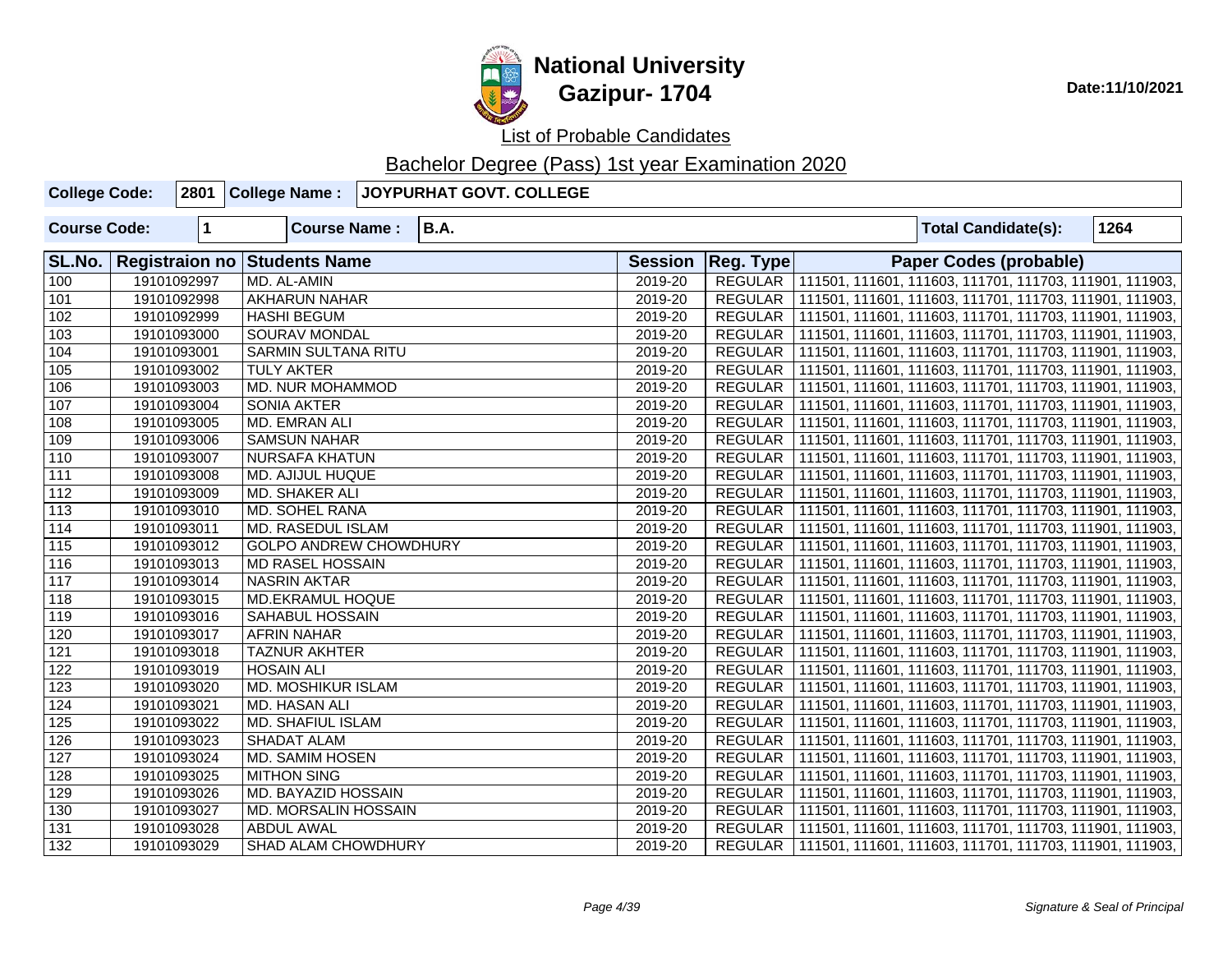

| <b>College Code:</b> |             | 2801 College Name:                  | JOYPURHAT GOVT. COLLEGE |                |                |  |                            |                                                                   |
|----------------------|-------------|-------------------------------------|-------------------------|----------------|----------------|--|----------------------------|-------------------------------------------------------------------|
| <b>Course Code:</b>  | 1           | <b>Course Name:</b>                 | <b>B.A.</b>             |                |                |  | <b>Total Candidate(s):</b> | 1264                                                              |
| SL.No.               |             | <b>Registraion no Students Name</b> |                         | <b>Session</b> | Reg. Type      |  | Paper Codes (probable)     |                                                                   |
| 100                  | 19101092997 | MD. AL-AMIN                         |                         | 2019-20        |                |  |                            | REGULAR   111501, 111601, 111603, 111701, 111703, 111901, 111903, |
| 101                  | 19101092998 | <b>AKHARUN NAHAR</b>                |                         | 2019-20        | REGULAR        |  |                            | 111501, 111601, 111603, 111701, 111703, 111901, 111903,           |
| 102                  | 19101092999 | <b>HASHI BEGUM</b>                  |                         | 2019-20        | REGULAR        |  |                            | 111501, 111601, 111603, 111701, 111703, 111901, 111903,           |
| 103                  | 19101093000 | <b>SOURAV MONDAL</b>                |                         | 2019-20        | REGULAR        |  |                            | 111501, 111601, 111603, 111701, 111703, 111901, 111903,           |
| 104                  | 19101093001 | <b>SARMIN SULTANA RITU</b>          |                         | 2019-20        | REGULAR        |  |                            | 111501, 111601, 111603, 111701, 111703, 111901, 111903,           |
| 105                  | 19101093002 | <b>TULY AKTER</b>                   |                         | 2019-20        | REGULAR        |  |                            | 111501, 111601, 111603, 111701, 111703, 111901, 111903,           |
| $\overline{106}$     | 19101093003 | <b>MD. NUR MOHAMMOD</b>             |                         | 2019-20        | <b>REGULAR</b> |  |                            | 111501, 111601, 111603, 111701, 111703, 111901, 111903,           |
| 107                  | 19101093004 | <b>SONIA AKTER</b>                  |                         | 2019-20        | <b>REGULAR</b> |  |                            | 111501, 111601, 111603, 111701, 111703, 111901, 111903,           |
| 108                  | 19101093005 | MD. EMRAN ALI                       |                         | 2019-20        | <b>REGULAR</b> |  |                            | 111501, 111601, 111603, 111701, 111703, 111901, 111903,           |
| 109                  | 19101093006 | <b>SAMSUN NAHAR</b>                 |                         | 2019-20        | REGULAR        |  |                            | 111501, 111601, 111603, 111701, 111703, 111901, 111903,           |
| 110                  | 19101093007 | <b>NURSAFA KHATUN</b>               |                         | 2019-20        | <b>REGULAR</b> |  |                            | 111501, 111601, 111603, 111701, 111703, 111901, 111903,           |
| 111                  | 19101093008 | <b>MD. AJIJUL HUQUE</b>             |                         | 2019-20        | REGULAR        |  |                            | 111501, 111601, 111603, 111701, 111703, 111901, 111903,           |
| $\overline{112}$     | 19101093009 | <b>MD. SHAKER ALI</b>               |                         | 2019-20        | <b>REGULAR</b> |  |                            | 111501, 111601, 111603, 111701, 111703, 111901, 111903,           |
| 113                  | 19101093010 | <b>MD. SOHEL RANA</b>               |                         | 2019-20        | <b>REGULAR</b> |  |                            | 111501, 111601, 111603, 111701, 111703, 111901, 111903,           |
| 114                  | 19101093011 | MD. RASEDUL ISLAM                   |                         | 2019-20        | REGULAR        |  |                            | 111501, 111601, 111603, 111701, 111703, 111901, 111903,           |
| $\overline{115}$     | 19101093012 | <b>GOLPO ANDREW CHOWDHURY</b>       |                         | 2019-20        | REGULAR        |  |                            | 111501, 111601, 111603, 111701, 111703, 111901, 111903,           |
| 116                  | 19101093013 | MD RASEL HOSSAIN                    |                         | 2019-20        | REGULAR        |  |                            | 111501, 111601, 111603, 111701, 111703, 111901, 111903,           |
| 117                  | 19101093014 | <b>NASRIN AKTAR</b>                 |                         | 2019-20        | REGULAR        |  |                            | 111501, 111601, 111603, 111701, 111703, 111901, 111903,           |
| 118                  | 19101093015 | <b>MD.EKRAMUL HOQUE</b>             |                         | 2019-20        | REGULAR        |  |                            | 111501, 111601, 111603, 111701, 111703, 111901, 111903,           |
| 119                  | 19101093016 | SAHABUL HOSSAIN                     |                         | 2019-20        | REGULAR        |  |                            | 111501, 111601, 111603, 111701, 111703, 111901, 111903,           |
| 120                  | 19101093017 | <b>AFRIN NAHAR</b>                  |                         | 2019-20        | <b>REGULAR</b> |  |                            | 111501, 111601, 111603, 111701, 111703, 111901, 111903,           |
| 121                  | 19101093018 | <b>TAZNUR AKHTER</b>                |                         | 2019-20        | REGULAR        |  |                            | 111501, 111601, 111603, 111701, 111703, 111901, 111903,           |
| 122                  | 19101093019 | <b>HOSAIN ALI</b>                   |                         | 2019-20        | <b>REGULAR</b> |  |                            | 111501, 111601, 111603, 111701, 111703, 111901, 111903,           |
| 123                  | 19101093020 | MD. MOSHIKUR ISLAM                  |                         | 2019-20        | <b>REGULAR</b> |  |                            | 111501, 111601, 111603, 111701, 111703, 111901, 111903,           |
| 124                  | 19101093021 | MD. HASAN ALI                       |                         | 2019-20        | REGULAR        |  |                            | 111501, 111601, 111603, 111701, 111703, 111901, 111903,           |
| 125                  | 19101093022 | <b>MD. SHAFIUL ISLAM</b>            |                         | 2019-20        | <b>REGULAR</b> |  |                            | 111501, 111601, 111603, 111701, 111703, 111901, 111903,           |
| 126                  | 19101093023 | <b>SHADAT ALAM</b>                  |                         | 2019-20        | REGULAR        |  |                            | 111501, 111601, 111603, 111701, 111703, 111901, 111903,           |
| 127                  | 19101093024 | <b>MD. SAMIM HOSEN</b>              |                         | 2019-20        | <b>REGULAR</b> |  |                            | 111501, 111601, 111603, 111701, 111703, 111901, 111903,           |
| 128                  | 19101093025 | <b>MITHON SING</b>                  |                         | 2019-20        | REGULAR        |  |                            | 111501, 111601, 111603, 111701, 111703, 111901, 111903,           |
| 129                  | 19101093026 | <b>MD. BAYAZID HOSSAIN</b>          |                         | 2019-20        | <b>REGULAR</b> |  |                            | 111501, 111601, 111603, 111701, 111703, 111901, 111903,           |
| 130                  | 19101093027 | MD. MORSALIN HOSSAIN                |                         | 2019-20        | <b>REGULAR</b> |  |                            | 111501, 111601, 111603, 111701, 111703, 111901, 111903,           |
| 131                  | 19101093028 | <b>ABDUL AWAL</b>                   |                         | 2019-20        |                |  |                            | REGULAR   111501, 111601, 111603, 111701, 111703, 111901, 111903, |
| 132                  | 19101093029 | SHAD ALAM CHOWDHURY                 |                         | 2019-20        |                |  |                            | REGULAR   111501, 111601, 111603, 111701, 111703, 111901, 111903, |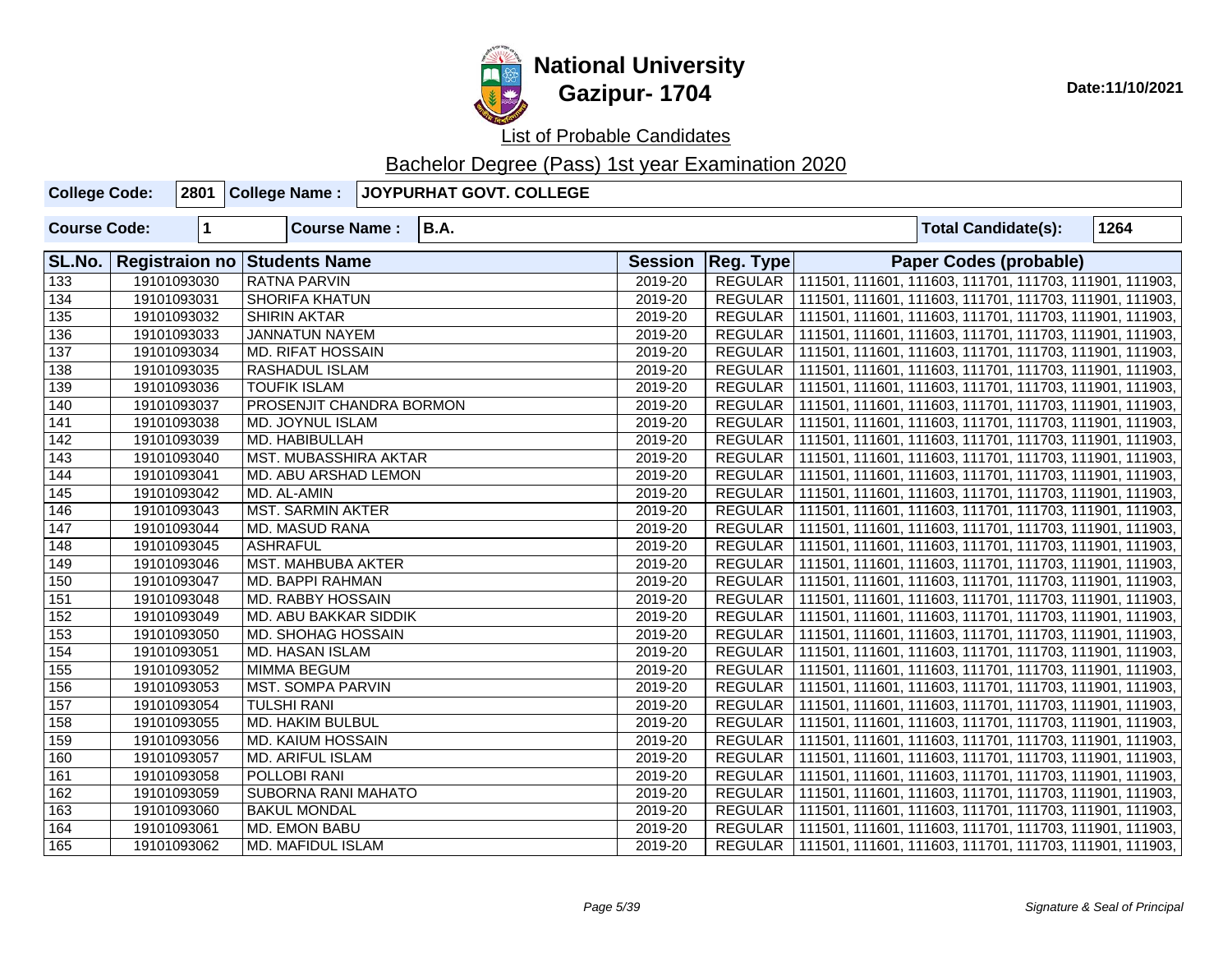

List of Probable Candidates

| <b>College Code:</b> |             | 2801 College Name:                  | JOYPURHAT GOVT. COLLEGE |                |                |  |                                                                   |      |
|----------------------|-------------|-------------------------------------|-------------------------|----------------|----------------|--|-------------------------------------------------------------------|------|
| <b>Course Code:</b>  | $\mathbf 1$ | <b>Course Name:</b>                 | <b>B.A.</b>             |                |                |  | <b>Total Candidate(s):</b>                                        | 1264 |
| SL.No.               |             | <b>Registraion no Students Name</b> |                         | <b>Session</b> | Reg. Type      |  | <b>Paper Codes (probable)</b>                                     |      |
| $\overline{133}$     | 19101093030 | <b>RATNA PARVIN</b>                 |                         | 2019-20        |                |  | REGULAR 111501, 111601, 111603, 111701, 111703, 111901, 111903,   |      |
| $\overline{134}$     | 19101093031 | <b>SHORIFA KHATUN</b>               |                         | 2019-20        |                |  | REGULAR   111501, 111601, 111603, 111701, 111703, 111901, 111903, |      |
| $\overline{135}$     | 19101093032 | <b>SHIRIN AKTAR</b>                 |                         | 2019-20        |                |  | REGULAR   111501, 111601, 111603, 111701, 111703, 111901, 111903, |      |
| 136                  | 19101093033 | <b>JANNATUN NAYEM</b>               |                         | 2019-20        |                |  | REGULAR   111501, 111601, 111603, 111701, 111703, 111901, 111903, |      |
| 137                  | 19101093034 | <b>MD. RIFAT HOSSAIN</b>            |                         | 2019-20        |                |  | REGULAR   111501, 111601, 111603, 111701, 111703, 111901, 111903, |      |
| 138                  | 19101093035 | <b>RASHADUL ISLAM</b>               |                         | 2019-20        |                |  | REGULAR   111501, 111601, 111603, 111701, 111703, 111901, 111903, |      |
| 139                  | 19101093036 | <b>TOUFIK ISLAM</b>                 |                         | 2019-20        |                |  | REGULAR   111501, 111601, 111603, 111701, 111703, 111901, 111903, |      |
| 140                  | 19101093037 | PROSENJIT CHANDRA BORMON            |                         | 2019-20        |                |  | REGULAR   111501, 111601, 111603, 111701, 111703, 111901, 111903, |      |
| 141                  | 19101093038 | MD. JOYNUL ISLAM                    |                         | 2019-20        |                |  | REGULAR   111501, 111601, 111603, 111701, 111703, 111901, 111903, |      |
| 142                  | 19101093039 | MD. HABIBULLAH                      |                         | 2019-20        |                |  | REGULAR   111501, 111601, 111603, 111701, 111703, 111901, 111903, |      |
| 143                  | 19101093040 | MST. MUBASSHIRA AKTAR               |                         | 2019-20        |                |  | REGULAR   111501, 111601, 111603, 111701, 111703, 111901, 111903, |      |
| 144                  | 19101093041 | MD. ABU ARSHAD LEMON                |                         | 2019-20        | REGULAR        |  | 111501, 111601, 111603, 111701, 111703, 111901, 111903,           |      |
| 145                  | 19101093042 | MD. AL-AMIN                         |                         | 2019-20        |                |  | REGULAR   111501, 111601, 111603, 111701, 111703, 111901, 111903, |      |
| 146                  | 19101093043 | <b>MST. SARMIN AKTER</b>            |                         | 2019-20        |                |  | REGULAR   111501, 111601, 111603, 111701, 111703, 111901, 111903, |      |
| 147                  | 19101093044 | MD. MASUD RANA                      |                         | 2019-20        |                |  | REGULAR   111501, 111601, 111603, 111701, 111703, 111901, 111903, |      |
| 148                  | 19101093045 | <b>ASHRAFUL</b>                     |                         | 2019-20        |                |  | REGULAR   111501, 111601, 111603, 111701, 111703, 111901, 111903, |      |
| 149                  | 19101093046 | MST. MAHBUBA AKTER                  |                         | 2019-20        |                |  | REGULAR   111501, 111601, 111603, 111701, 111703, 111901, 111903, |      |
| 150                  | 19101093047 | MD. BAPPI RAHMAN                    |                         | 2019-20        |                |  | REGULAR   111501, 111601, 111603, 111701, 111703, 111901, 111903, |      |
| 151                  | 19101093048 | <b>MD. RABBY HOSSAIN</b>            |                         | 2019-20        |                |  | REGULAR   111501, 111601, 111603, 111701, 111703, 111901, 111903, |      |
| 152                  | 19101093049 | MD. ABU BAKKAR SIDDIK               |                         | 2019-20        |                |  | REGULAR   111501, 111601, 111603, 111701, 111703, 111901, 111903, |      |
| 153                  | 19101093050 | MD. SHOHAG HOSSAIN                  |                         | 2019-20        | <b>REGULAR</b> |  | 111501, 111601, 111603, 111701, 111703, 111901, 111903,           |      |
| 154                  | 19101093051 | MD. HASAN ISLAM                     |                         | 2019-20        | <b>REGULAR</b> |  | 111501, 111601, 111603, 111701, 111703, 111901, 111903,           |      |
| 155                  | 19101093052 | MIMMA BEGUM                         |                         | 2019-20        | <b>REGULAR</b> |  | 111501, 111601, 111603, 111701, 111703, 111901, 111903,           |      |
| 156                  | 19101093053 | <b>MST. SOMPA PARVIN</b>            |                         | 2019-20        | REGULAR        |  | 111501, 111601, 111603, 111701, 111703, 111901, 111903,           |      |
| 157                  | 19101093054 | <b>TULSHI RANI</b>                  |                         | 2019-20        | <b>REGULAR</b> |  | 111501, 111601, 111603, 111701, 111703, 111901, 111903,           |      |
| 158                  | 19101093055 | MD. HAKIM BULBUL                    |                         | 2019-20        | <b>REGULAR</b> |  | 111501, 111601, 111603, 111701, 111703, 111901, 111903,           |      |
| 159                  | 19101093056 | MD. KAIUM HOSSAIN                   |                         | 2019-20        | <b>REGULAR</b> |  | 111501, 111601, 111603, 111701, 111703, 111901, 111903,           |      |
| 160                  | 19101093057 | MD. ARIFUL ISLAM                    |                         | 2019-20        |                |  | REGULAR   111501, 111601, 111603, 111701, 111703, 111901, 111903, |      |
| 161                  | 19101093058 | POLLOBI RANI                        |                         | 2019-20        |                |  | REGULAR   111501, 111601, 111603, 111701, 111703, 111901, 111903, |      |
| 162                  | 19101093059 | SUBORNA RANI MAHATO                 |                         | 2019-20        |                |  | REGULAR   111501, 111601, 111603, 111701, 111703, 111901, 111903, |      |
| 163                  | 19101093060 | <b>BAKUL MONDAL</b>                 |                         | 2019-20        |                |  | REGULAR   111501, 111601, 111603, 111701, 111703, 111901, 111903, |      |
| 164                  | 19101093061 | MD. EMON BABU                       |                         | 2019-20        |                |  | REGULAR   111501, 111601, 111603, 111701, 111703, 111901, 111903, |      |
| 165                  | 19101093062 | MD. MAFIDUL ISLAM                   |                         | 2019-20        |                |  | REGULAR   111501, 111601, 111603, 111701, 111703, 111901, 111903, |      |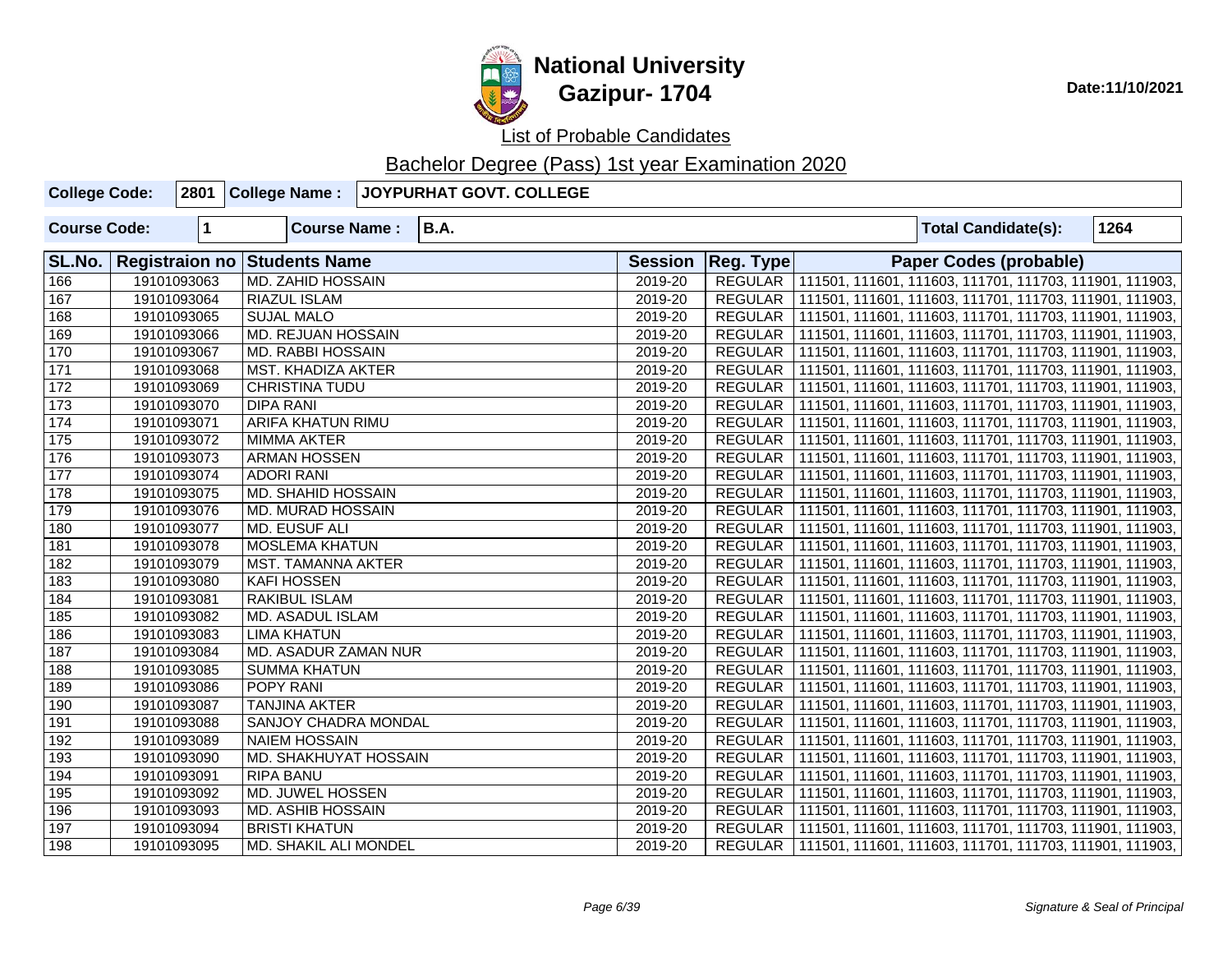

| <b>College Code:</b> |              | 2801 College Name:           | JOYPURHAT GOVT. COLLEGE |                |                      |  |                                                         |      |
|----------------------|--------------|------------------------------|-------------------------|----------------|----------------------|--|---------------------------------------------------------|------|
| <b>Course Code:</b>  | $\mathbf{1}$ | <b>Course Name:</b>          | <b>B.A.</b>             |                |                      |  | <b>Total Candidate(s):</b>                              | 1264 |
| SL.No.               |              | Registraion no Students Name |                         | <b>Session</b> | Reg. Type            |  | <b>Paper Codes (probable)</b>                           |      |
| 166                  | 19101093063  | MD. ZAHID HOSSAIN            |                         | 2019-20        | REGULAR <sup>1</sup> |  | 111501, 111601, 111603, 111701, 111703, 111901, 111903, |      |
| 167                  | 19101093064  | RIAZUL ISLAM                 |                         | 2019-20        | <b>REGULAR</b>       |  | 111501, 111601, 111603, 111701, 111703, 111901, 111903, |      |
| 168                  | 19101093065  | <b>SUJAL MALO</b>            |                         | 2019-20        | <b>REGULAR</b>       |  | 111501, 111601, 111603, 111701, 111703, 111901, 111903, |      |
| 169                  | 19101093066  | MD. REJUAN HOSSAIN           |                         | 2019-20        | <b>REGULAR</b>       |  | 111501, 111601, 111603, 111701, 111703, 111901, 111903, |      |
| 170                  | 19101093067  | <b>MD. RABBI HOSSAIN</b>     |                         | 2019-20        | <b>REGULAR</b>       |  | 111501, 111601, 111603, 111701, 111703, 111901, 111903, |      |
| 171                  | 19101093068  | <b>MST. KHADIZA AKTER</b>    |                         | 2019-20        | REGULAR              |  | 111501, 111601, 111603, 111701, 111703, 111901, 111903, |      |
| 172                  | 19101093069  | <b>CHRISTINA TUDU</b>        |                         | 2019-20        | REGULAR              |  | 111501, 111601, 111603, 111701, 111703, 111901, 111903, |      |
| 173                  | 19101093070  | <b>DIPA RANI</b>             |                         | 2019-20        | REGULAR              |  | 111501, 111601, 111603, 111701, 111703, 111901, 111903, |      |
| 174                  | 19101093071  | <b>ARIFA KHATUN RIMU</b>     |                         | 2019-20        | <b>REGULAR</b>       |  | 111501, 111601, 111603, 111701, 111703, 111901, 111903, |      |
| 175                  | 19101093072  | <b>MIMMA AKTER</b>           |                         | 2019-20        | REGULAR              |  | 111501, 111601, 111603, 111701, 111703, 111901, 111903, |      |
| 176                  | 19101093073  | <b>ARMAN HOSSEN</b>          |                         | 2019-20        | <b>REGULAR</b>       |  | 111501, 111601, 111603, 111701, 111703, 111901, 111903, |      |
| 177                  | 19101093074  | <b>ADORI RANI</b>            |                         | 2019-20        | REGULAR              |  | 111501, 111601, 111603, 111701, 111703, 111901, 111903, |      |
| 178                  | 19101093075  | MD. SHAHID HOSSAIN           |                         | 2019-20        | <b>REGULAR</b>       |  | 111501, 111601, 111603, 111701, 111703, 111901, 111903, |      |
| 179                  | 19101093076  | MD. MURAD HOSSAIN            |                         | 2019-20        | REGULAR              |  | 111501, 111601, 111603, 111701, 111703, 111901, 111903, |      |
| 180                  | 19101093077  | <b>MD. EUSUF ALI</b>         |                         | 2019-20        | <b>REGULAR</b>       |  | 111501, 111601, 111603, 111701, 111703, 111901, 111903, |      |
| 181                  | 19101093078  | <b>MOSLEMA KHATUN</b>        |                         | 2019-20        | REGULAR              |  | 111501, 111601, 111603, 111701, 111703, 111901, 111903, |      |
| 182                  | 19101093079  | MST. TAMANNA AKTER           |                         | 2019-20        | <b>REGULAR</b>       |  | 111501, 111601, 111603, 111701, 111703, 111901, 111903, |      |
| 183                  | 19101093080  | <b>KAFI HOSSEN</b>           |                         | 2019-20        | <b>REGULAR</b>       |  | 111501, 111601, 111603, 111701, 111703, 111901, 111903, |      |
| 184                  | 19101093081  | RAKIBUL ISLAM                |                         | 2019-20        | <b>REGULAR</b>       |  | 111501, 111601, 111603, 111701, 111703, 111901, 111903, |      |
| 185                  | 19101093082  | <b>MD. ASADUL ISLAM</b>      |                         | 2019-20        | <b>REGULAR</b>       |  | 111501, 111601, 111603, 111701, 111703, 111901, 111903, |      |
| 186                  | 19101093083  | <b>LIMA KHATUN</b>           |                         | 2019-20        | <b>REGULAR</b>       |  | 111501, 111601, 111603, 111701, 111703, 111901, 111903, |      |
| 187                  | 19101093084  | MD. ASADUR ZAMAN NUR         |                         | 2019-20        | <b>REGULAR</b>       |  | 111501, 111601, 111603, 111701, 111703, 111901, 111903, |      |
| 188                  | 19101093085  | <b>SUMMA KHATUN</b>          |                         | 2019-20        | <b>REGULAR</b>       |  | 111501, 111601, 111603, 111701, 111703, 111901, 111903, |      |
| 189                  | 19101093086  | POPY RANI                    |                         | 2019-20        | <b>REGULAR</b>       |  | 111501, 111601, 111603, 111701, 111703, 111901, 111903, |      |
| 190                  | 19101093087  | <b>TANJINA AKTER</b>         |                         | 2019-20        | <b>REGULAR</b>       |  | 111501, 111601, 111603, 111701, 111703, 111901, 111903, |      |
| 191                  | 19101093088  | SANJOY CHADRA MONDAL         |                         | 2019-20        | REGULAR              |  | 111501, 111601, 111603, 111701, 111703, 111901, 111903, |      |
| 192                  | 19101093089  | <b>NAIEM HOSSAIN</b>         |                         | 2019-20        | <b>REGULAR</b>       |  | 111501, 111601, 111603, 111701, 111703, 111901, 111903, |      |
| 193                  | 19101093090  | MD. SHAKHUYAT HOSSAIN        |                         | 2019-20        | <b>REGULAR</b>       |  | 111501, 111601, 111603, 111701, 111703, 111901, 111903, |      |
| 194                  | 19101093091  | RIPA BANU                    |                         | 2019-20        | REGULAR              |  | 111501, 111601, 111603, 111701, 111703, 111901, 111903, |      |
| 195                  | 19101093092  | MD. JUWEL HOSSEN             |                         | 2019-20        | <b>REGULAR</b>       |  | 111501, 111601, 111603, 111701, 111703, 111901, 111903, |      |
| 196                  | 19101093093  | <b>MD. ASHIB HOSSAIN</b>     |                         | 2019-20        | <b>REGULAR</b>       |  | 111501, 111601, 111603, 111701, 111703, 111901, 111903, |      |
| 197                  | 19101093094  | <b>BRISTI KHATUN</b>         |                         | 2019-20        | <b>REGULAR</b>       |  | 111501, 111601, 111603, 111701, 111703, 111901, 111903, |      |
| 198                  | 19101093095  | MD. SHAKIL ALI MONDEL        |                         | 2019-20        | REGULAR              |  | 111501, 111601, 111603, 111701, 111703, 111901, 111903, |      |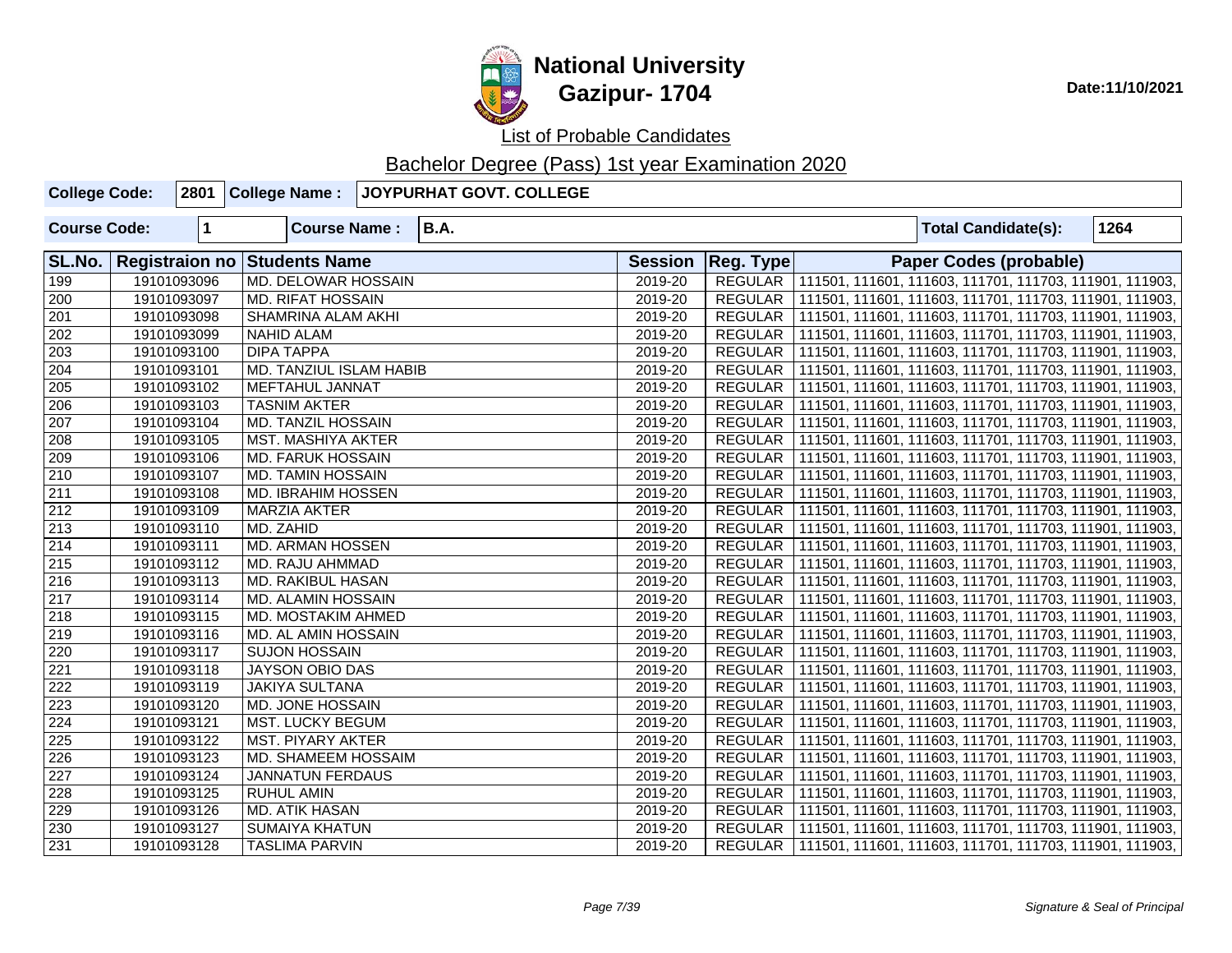

| <b>College Code:</b> |                      | 2801 College Name:           | JOYPURHAT GOVT. COLLEGE |                |                |  |                               |                                                         |
|----------------------|----------------------|------------------------------|-------------------------|----------------|----------------|--|-------------------------------|---------------------------------------------------------|
| <b>Course Code:</b>  | $\blacktriangleleft$ | <b>Course Name:</b>          | <b>B.A.</b>             |                |                |  | <b>Total Candidate(s):</b>    | 1264                                                    |
| SL.No.               |                      | Registraion no Students Name |                         | <b>Session</b> | Reg. Type      |  | <b>Paper Codes (probable)</b> |                                                         |
| 199                  | 19101093096          | MD. DELOWAR HOSSAIN          |                         | 2019-20        | <b>REGULAR</b> |  |                               | 111501, 111601, 111603, 111701, 111703, 111901, 111903, |
| 200                  | 19101093097          | <b>MD. RIFAT HOSSAIN</b>     |                         | 2019-20        | REGULAR        |  |                               | 111501, 111601, 111603, 111701, 111703, 111901, 111903, |
| 201                  | 19101093098          | SHAMRINA ALAM AKHI           |                         | 2019-20        | <b>REGULAR</b> |  |                               | 111501, 111601, 111603, 111701, 111703, 111901, 111903, |
| 202                  | 19101093099          | <b>NAHID ALAM</b>            |                         | 2019-20        | <b>REGULAR</b> |  |                               | 111501, 111601, 111603, 111701, 111703, 111901, 111903, |
| 203                  | 19101093100          | <b>DIPA TAPPA</b>            |                         | 2019-20        | <b>REGULAR</b> |  |                               | 111501, 111601, 111603, 111701, 111703, 111901, 111903, |
| 204                  | 19101093101          | MD. TANZIUL ISLAM HABIB      |                         | 2019-20        | REGULAR        |  |                               | 111501, 111601, 111603, 111701, 111703, 111901, 111903, |
| 205                  | 19101093102          | <b>MEFTAHUL JANNAT</b>       |                         | 2019-20        | <b>REGULAR</b> |  |                               | 111501, 111601, 111603, 111701, 111703, 111901, 111903, |
| 206                  | 19101093103          | <b>TASNIM AKTER</b>          |                         | 2019-20        | REGULAR        |  |                               | 111501, 111601, 111603, 111701, 111703, 111901, 111903, |
| 207                  | 19101093104          | MD. TANZIL HOSSAIN           |                         | 2019-20        | REGULAR        |  |                               | 111501, 111601, 111603, 111701, 111703, 111901, 111903, |
| $\overline{208}$     | 19101093105          | MST. MASHIYA AKTER           |                         | 2019-20        | REGULAR        |  |                               | 111501, 111601, 111603, 111701, 111703, 111901, 111903, |
| 209                  | 19101093106          | MD. FARUK HOSSAIN            |                         | 2019-20        | <b>REGULAR</b> |  |                               | 111501, 111601, 111603, 111701, 111703, 111901, 111903, |
| 210                  | 19101093107          | MD. TAMIN HOSSAIN            |                         | 2019-20        | REGULAR        |  |                               | 111501, 111601, 111603, 111701, 111703, 111901, 111903, |
| $\overline{211}$     | 19101093108          | <b>MD. IBRAHIM HOSSEN</b>    |                         | 2019-20        | REGULAR        |  |                               | 111501, 111601, 111603, 111701, 111703, 111901, 111903, |
| 212                  | 19101093109          | <b>MARZIA AKTER</b>          |                         | 2019-20        | <b>REGULAR</b> |  |                               | 111501, 111601, 111603, 111701, 111703, 111901, 111903, |
| 213                  | 19101093110          | MD. ZAHID                    |                         | 2019-20        | <b>REGULAR</b> |  |                               | 111501, 111601, 111603, 111701, 111703, 111901, 111903, |
| 214                  | 19101093111          | MD. ARMAN HOSSEN             |                         | 2019-20        | REGULAR        |  |                               | 111501, 111601, 111603, 111701, 111703, 111901, 111903, |
| $\sqrt{215}$         | 19101093112          | MD. RAJU AHMMAD              |                         | 2019-20        | <b>REGULAR</b> |  |                               | 111501, 111601, 111603, 111701, 111703, 111901, 111903, |
| 216                  | 19101093113          | <b>MD. RAKIBUL HASAN</b>     |                         | 2019-20        | <b>REGULAR</b> |  |                               | 111501, 111601, 111603, 111701, 111703, 111901, 111903, |
| $\overline{217}$     | 19101093114          | MD. ALAMIN HOSSAIN           |                         | 2019-20        | <b>REGULAR</b> |  |                               | 111501, 111601, 111603, 111701, 111703, 111901, 111903, |
| 218                  | 19101093115          | MD. MOSTAKIM AHMED           |                         | 2019-20        | <b>REGULAR</b> |  |                               | 111501, 111601, 111603, 111701, 111703, 111901, 111903, |
| 219                  | 19101093116          | MD. AL AMIN HOSSAIN          |                         | 2019-20        | <b>REGULAR</b> |  |                               | 111501, 111601, 111603, 111701, 111703, 111901, 111903, |
| 220                  | 19101093117          | <b>SUJON HOSSAIN</b>         |                         | 2019-20        | <b>REGULAR</b> |  |                               | 111501, 111601, 111603, 111701, 111703, 111901, 111903, |
| $\overline{221}$     | 19101093118          | JAYSON OBIO DAS              |                         | 2019-20        | <b>REGULAR</b> |  |                               | 111501, 111601, 111603, 111701, 111703, 111901, 111903, |
| 222                  | 19101093119          | <b>JAKIYA SULTANA</b>        |                         | 2019-20        | <b>REGULAR</b> |  |                               | 111501, 111601, 111603, 111701, 111703, 111901, 111903, |
| 223                  | 19101093120          | MD. JONE HOSSAIN             |                         | 2019-20        | REGULAR        |  |                               | 111501, 111601, 111603, 111701, 111703, 111901, 111903, |
| 224                  | 19101093121          | <b>MST. LUCKY BEGUM</b>      |                         | 2019-20        | REGULAR        |  |                               | 111501, 111601, 111603, 111701, 111703, 111901, 111903, |
| 225                  | 19101093122          | MST. PIYARY AKTER            |                         | 2019-20        | <b>REGULAR</b> |  |                               | 111501, 111601, 111603, 111701, 111703, 111901, 111903, |
| 226                  | 19101093123          | MD. SHAMEEM HOSSAIM          |                         | 2019-20        | <b>REGULAR</b> |  |                               | 111501, 111601, 111603, 111701, 111703, 111901, 111903, |
| $\overline{227}$     | 19101093124          | <b>JANNATUN FERDAUS</b>      |                         | 2019-20        | <b>REGULAR</b> |  |                               | 111501, 111601, 111603, 111701, 111703, 111901, 111903, |
| 228                  | 19101093125          | <b>RUHUL AMIN</b>            |                         | 2019-20        | <b>REGULAR</b> |  |                               | 111501, 111601, 111603, 111701, 111703, 111901, 111903, |
| 229                  | 19101093126          | MD. ATIK HASAN               |                         | 2019-20        | <b>REGULAR</b> |  |                               | 111501, 111601, 111603, 111701, 111703, 111901, 111903, |
| 230                  | 19101093127          | <b>SUMAIYA KHATUN</b>        |                         | 2019-20        | <b>REGULAR</b> |  |                               | 111501, 111601, 111603, 111701, 111703, 111901, 111903, |
| $\overline{231}$     | 19101093128          | <b>TASLIMA PARVIN</b>        |                         | 2019-20        | REGULAR        |  |                               | 111501, 111601, 111603, 111701, 111703, 111901, 111903, |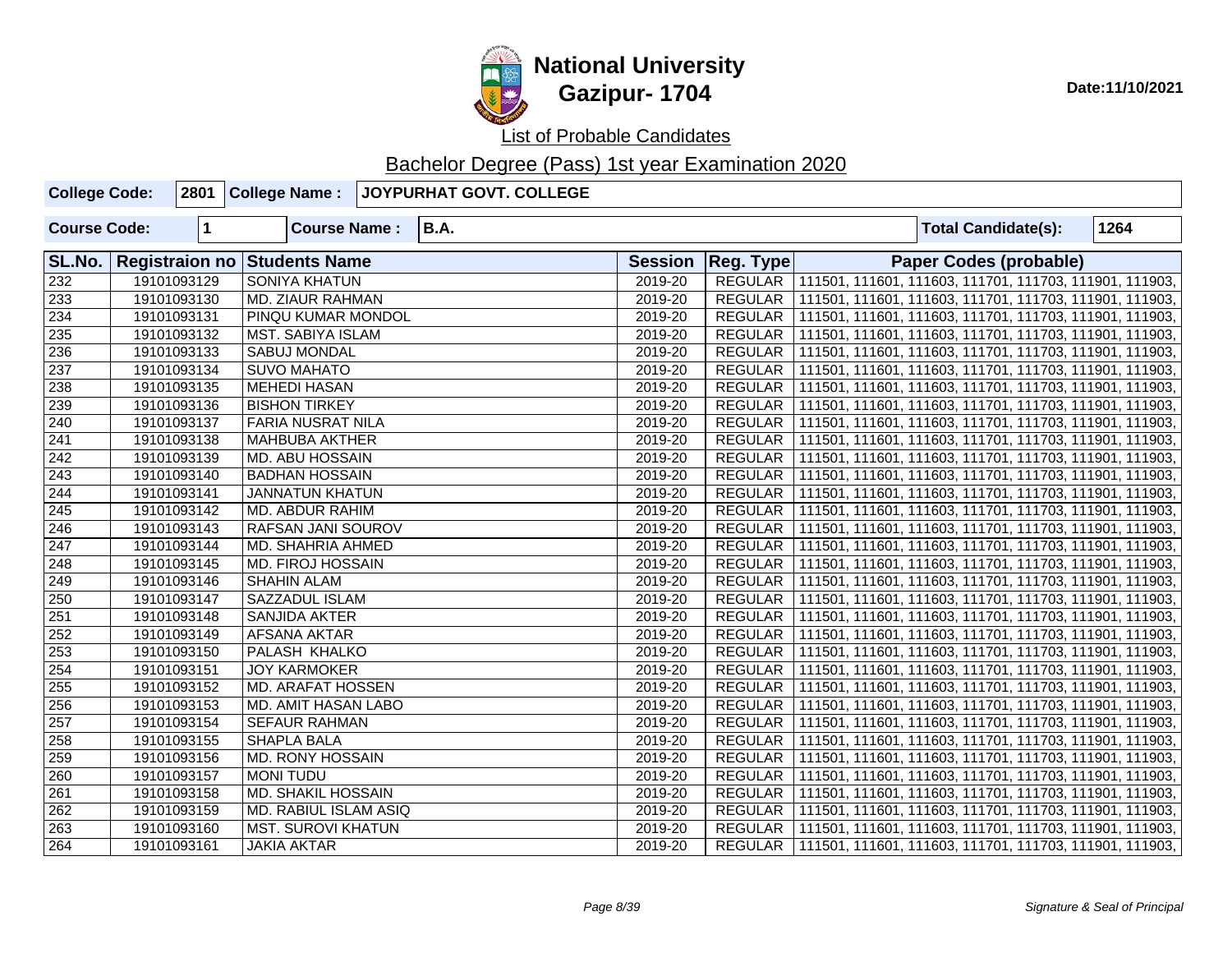

List of Probable Candidates

| <b>College Code:</b> |             | 2801 College Name:                  | JOYPURHAT GOVT. COLLEGE |                |                  |  |                                                                   |      |
|----------------------|-------------|-------------------------------------|-------------------------|----------------|------------------|--|-------------------------------------------------------------------|------|
| <b>Course Code:</b>  | 1           | <b>Course Name:</b>                 | <b>B.A.</b>             |                |                  |  | <b>Total Candidate(s):</b>                                        | 1264 |
| SL.No.               |             | <b>Registraion no Students Name</b> |                         | <b>Session</b> | <b>Reg. Type</b> |  | <b>Paper Codes (probable)</b>                                     |      |
| 232                  | 19101093129 | <b>SONIYA KHATUN</b>                |                         | 2019-20        |                  |  | REGULAR   111501, 111601, 111603, 111701, 111703, 111901, 111903, |      |
| 233                  | 19101093130 | MD. ZIAUR RAHMAN                    |                         | 2019-20        | REGULAR          |  | 111501, 111601, 111603, 111701, 111703, 111901, 111903,           |      |
| 234                  | 19101093131 | PINQU KUMAR MONDOL                  |                         | 2019-20        |                  |  | REGULAR   111501, 111601, 111603, 111701, 111703, 111901, 111903, |      |
| $\overline{235}$     | 19101093132 | <b>MST. SABIYA ISLAM</b>            |                         | 2019-20        | REGULAR          |  | 111501, 111601, 111603, 111701, 111703, 111901, 111903,           |      |
| 236                  | 19101093133 | <b>SABUJ MONDAL</b>                 |                         | 2019-20        | REGULAR          |  | 111501, 111601, 111603, 111701, 111703, 111901, 111903,           |      |
| 237                  | 19101093134 | <b>SUVO MAHATO</b>                  |                         | 2019-20        | REGULAR          |  | 111501, 111601, 111603, 111701, 111703, 111901, 111903,           |      |
| 238                  | 19101093135 | MEHEDI HASAN                        |                         | 2019-20        | <b>REGULAR</b>   |  | 111501, 111601, 111603, 111701, 111703, 111901, 111903,           |      |
| 239                  | 19101093136 | <b>BISHON TIRKEY</b>                |                         | 2019-20        | REGULAR          |  | 111501, 111601, 111603, 111701, 111703, 111901, 111903,           |      |
| $\sqrt{240}$         | 19101093137 | FARIA NUSRAT NILA                   |                         | 2019-20        | <b>REGULAR</b>   |  | 111501, 111601, 111603, 111701, 111703, 111901, 111903,           |      |
| $\sqrt{241}$         | 19101093138 | <b>MAHBUBA AKTHER</b>               |                         | 2019-20        | REGULAR          |  | 111501, 111601, 111603, 111701, 111703, 111901, 111903,           |      |
| 242                  | 19101093139 | <b>MD. ABU HOSSAIN</b>              |                         | 2019-20        | <b>REGULAR</b>   |  | 111501, 111601, 111603, 111701, 111703, 111901, 111903,           |      |
| $\sqrt{243}$         | 19101093140 | <b>BADHAN HOSSAIN</b>               |                         | 2019-20        | REGULAR          |  | 111501, 111601, 111603, 111701, 111703, 111901, 111903,           |      |
| $\overline{244}$     | 19101093141 | <b>JANNATUN KHATUN</b>              |                         | 2019-20        | <b>REGULAR</b>   |  | 111501, 111601, 111603, 111701, 111703, 111901, 111903,           |      |
| $\sqrt{245}$         | 19101093142 | <b>MD. ABDUR RAHIM</b>              |                         | 2019-20        | REGULAR          |  | 111501, 111601, 111603, 111701, 111703, 111901, 111903,           |      |
| 246                  | 19101093143 | RAFSAN JANI SOUROV                  |                         | 2019-20        | <b>REGULAR</b>   |  | 111501, 111601, 111603, 111701, 111703, 111901, 111903,           |      |
| 247                  | 19101093144 | <b>MD. SHAHRIA AHMED</b>            |                         | 2019-20        | REGULAR          |  | 111501, 111601, 111603, 111701, 111703, 111901, 111903,           |      |
| $\overline{248}$     | 19101093145 | <b>MD. FIROJ HOSSAIN</b>            |                         | 2019-20        | REGULAR          |  | 111501, 111601, 111603, 111701, 111703, 111901, 111903,           |      |
| 249                  | 19101093146 | <b>SHAHIN ALAM</b>                  |                         | 2019-20        | REGULAR          |  | 111501, 111601, 111603, 111701, 111703, 111901, 111903,           |      |
| 250                  | 19101093147 | SAZZADUL ISLAM                      |                         | 2019-20        | <b>REGULAR</b>   |  | 111501, 111601, 111603, 111701, 111703, 111901, 111903,           |      |
| $\overline{251}$     | 19101093148 | SANJIDA AKTER                       |                         | 2019-20        | <b>REGULAR</b>   |  | 111501, 111601, 111603, 111701, 111703, 111901, 111903,           |      |
| $\overline{252}$     | 19101093149 | <b>AFSANA AKTAR</b>                 |                         | 2019-20        | <b>REGULAR</b>   |  | 111501, 111601, 111603, 111701, 111703, 111901, 111903,           |      |
| $\overline{253}$     | 19101093150 | PALASH KHALKO                       |                         | 2019-20        | <b>REGULAR</b>   |  | 111501, 111601, 111603, 111701, 111703, 111901, 111903,           |      |
| $\overline{254}$     | 19101093151 | <b>JOY KARMOKER</b>                 |                         | 2019-20        | <b>REGULAR</b>   |  | 111501, 111601, 111603, 111701, 111703, 111901, 111903,           |      |
| $\overline{255}$     | 19101093152 | <b>MD. ARAFAT HOSSEN</b>            |                         | 2019-20        | <b>REGULAR</b>   |  | 111501, 111601, 111603, 111701, 111703, 111901, 111903,           |      |
| $\overline{256}$     | 19101093153 | MD. AMIT HASAN LABO                 |                         | 2019-20        | <b>REGULAR</b>   |  | 111501, 111601, 111603, 111701, 111703, 111901, 111903,           |      |
| $\overline{257}$     | 19101093154 | <b>SEFAUR RAHMAN</b>                |                         | 2019-20        | REGULAR          |  | 111501, 111601, 111603, 111701, 111703, 111901, 111903,           |      |
| 258                  | 19101093155 | <b>SHAPLA BALA</b>                  |                         | 2019-20        | <b>REGULAR</b>   |  | 111501, 111601, 111603, 111701, 111703, 111901, 111903,           |      |
| 259                  | 19101093156 | <b>MD. RONY HOSSAIN</b>             |                         | 2019-20        | <b>REGULAR</b>   |  | 111501, 111601, 111603, 111701, 111703, 111901, 111903,           |      |
| 260                  | 19101093157 | <b>MONI TUDU</b>                    |                         | 2019-20        | REGULAR          |  | 111501, 111601, 111603, 111701, 111703, 111901, 111903,           |      |
| 261                  | 19101093158 | <b>MD. SHAKIL HOSSAIN</b>           |                         | 2019-20        | <b>REGULAR</b>   |  | 111501, 111601, 111603, 111701, 111703, 111901, 111903,           |      |
| 262                  | 19101093159 | <b>MD. RABIUL ISLAM ASIQ</b>        |                         | 2019-20        | REGULAR          |  | 111501, 111601, 111603, 111701, 111703, 111901, 111903,           |      |
| 263                  | 19101093160 | <b>MST. SUROVI KHATUN</b>           |                         | 2019-20        | REGULAR          |  | 111501, 111601, 111603, 111701, 111703, 111901, 111903,           |      |
| 264                  | 19101093161 | <b>JAKIA AKTAR</b>                  |                         | 2019-20        |                  |  | REGULAR   111501, 111601, 111603, 111701, 111703, 111901, 111903, |      |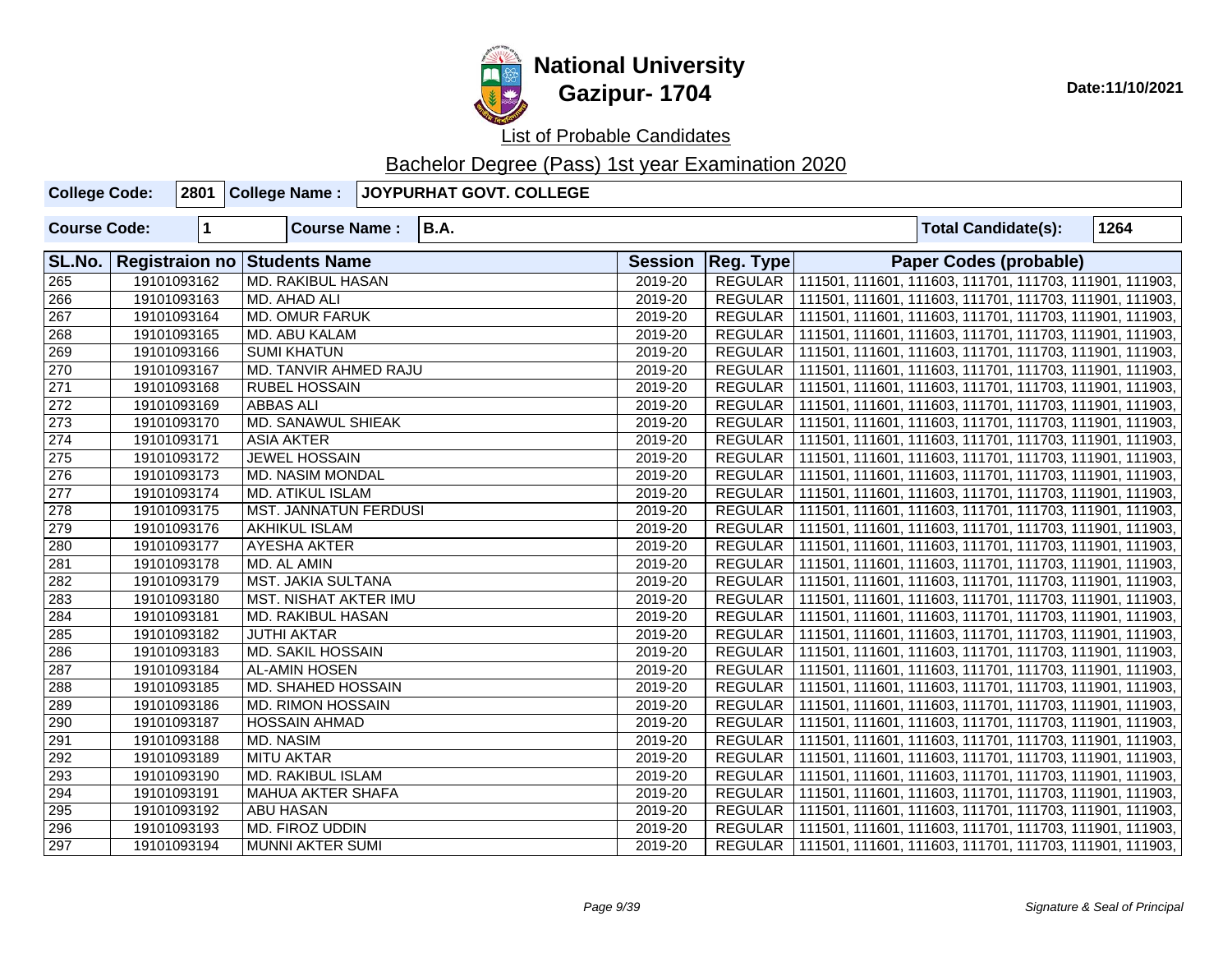

| <b>College Code:</b> |             | 2801 College Name:           | JOYPURHAT GOVT. COLLEGE |                |                |  |                               |                                                                   |
|----------------------|-------------|------------------------------|-------------------------|----------------|----------------|--|-------------------------------|-------------------------------------------------------------------|
| <b>Course Code:</b>  | $\mathbf 1$ | <b>Course Name:</b>          | <b>B.A.</b>             |                |                |  | <b>Total Candidate(s):</b>    | 1264                                                              |
| SL.No.               |             | Registraion no Students Name |                         | <b>Session</b> | Reg. Type      |  | <b>Paper Codes (probable)</b> |                                                                   |
| 265                  | 19101093162 | <b>MD. RAKIBUL HASAN</b>     |                         | 2019-20        |                |  |                               | REGULAR 111501, 111601, 111603, 111701, 111703, 111901, 111903,   |
| 266                  | 19101093163 | <b>MD. AHAD ALI</b>          |                         | 2019-20        |                |  |                               | REGULAR   111501, 111601, 111603, 111701, 111703, 111901, 111903, |
| 267                  | 19101093164 | <b>MD. OMUR FARUK</b>        |                         | 2019-20        |                |  |                               | REGULAR   111501, 111601, 111603, 111701, 111703, 111901, 111903, |
| 268                  | 19101093165 | MD. ABU KALAM                |                         | 2019-20        |                |  |                               | REGULAR   111501, 111601, 111603, 111701, 111703, 111901, 111903, |
| 269                  | 19101093166 | <b>SUMI KHATUN</b>           |                         | 2019-20        |                |  |                               | REGULAR   111501, 111601, 111603, 111701, 111703, 111901, 111903, |
| 270                  | 19101093167 | MD. TANVIR AHMED RAJU        |                         | 2019-20        |                |  |                               | REGULAR   111501, 111601, 111603, 111701, 111703, 111901, 111903, |
| 271                  | 19101093168 | <b>RUBEL HOSSAIN</b>         |                         | 2019-20        |                |  |                               | REGULAR   111501, 111601, 111603, 111701, 111703, 111901, 111903, |
| 272                  | 19101093169 | <b>ABBAS ALI</b>             |                         | 2019-20        |                |  |                               | REGULAR   111501, 111601, 111603, 111701, 111703, 111901, 111903, |
| 273                  | 19101093170 | <b>MD. SANAWUL SHIEAK</b>    |                         | 2019-20        |                |  |                               | REGULAR   111501, 111601, 111603, 111701, 111703, 111901, 111903, |
| 274                  | 19101093171 | <b>ASIA AKTER</b>            |                         | 2019-20        |                |  |                               | REGULAR   111501, 111601, 111603, 111701, 111703, 111901, 111903, |
| 275                  | 19101093172 | <b>JEWEL HOSSAIN</b>         |                         | 2019-20        |                |  |                               | REGULAR   111501, 111601, 111603, 111701, 111703, 111901, 111903, |
| 276                  | 19101093173 | MD. NASIM MONDAL             |                         | 2019-20        |                |  |                               | REGULAR   111501, 111601, 111603, 111701, 111703, 111901, 111903, |
| 277                  | 19101093174 | <b>MD. ATIKUL ISLAM</b>      |                         | 2019-20        |                |  |                               | REGULAR   111501, 111601, 111603, 111701, 111703, 111901, 111903, |
| 278                  | 19101093175 | <b>MST. JANNATUN FERDUSI</b> |                         | 2019-20        |                |  |                               | REGULAR   111501, 111601, 111603, 111701, 111703, 111901, 111903, |
| 279                  | 19101093176 | <b>AKHIKUL ISLAM</b>         |                         | 2019-20        |                |  |                               | REGULAR   111501, 111601, 111603, 111701, 111703, 111901, 111903, |
| 280                  | 19101093177 | AYESHA AKTER                 |                         | 2019-20        |                |  |                               | REGULAR   111501, 111601, 111603, 111701, 111703, 111901, 111903, |
| 281                  | 19101093178 | MD. AL AMIN                  |                         | 2019-20        |                |  |                               | REGULAR   111501, 111601, 111603, 111701, 111703, 111901, 111903, |
| 282                  | 19101093179 | <b>MST. JAKIA SULTANA</b>    |                         | 2019-20        |                |  |                               | REGULAR   111501, 111601, 111603, 111701, 111703, 111901, 111903, |
| 283                  | 19101093180 | MST. NISHAT AKTER IMU        |                         | 2019-20        |                |  |                               | REGULAR   111501, 111601, 111603, 111701, 111703, 111901, 111903, |
| 284                  | 19101093181 | MD. RAKIBUL HASAN            |                         | 2019-20        |                |  |                               | REGULAR   111501, 111601, 111603, 111701, 111703, 111901, 111903, |
| 285                  | 19101093182 | <b>JUTHI AKTAR</b>           |                         | 2019-20        | <b>REGULAR</b> |  |                               | 111501, 111601, 111603, 111701, 111703, 111901, 111903,           |
| 286                  | 19101093183 | MD. SAKIL HOSSAIN            |                         | 2019-20        | REGULAR        |  |                               | 111501, 111601, 111603, 111701, 111703, 111901, 111903,           |
| 287                  | 19101093184 | <b>AL-AMIN HOSEN</b>         |                         | 2019-20        |                |  |                               | REGULAR   111501, 111601, 111603, 111701, 111703, 111901, 111903, |
| 288                  | 19101093185 | MD. SHAHED HOSSAIN           |                         | 2019-20        |                |  |                               | REGULAR   111501, 111601, 111603, 111701, 111703, 111901, 111903, |
| 289                  | 19101093186 | <b>MD. RIMON HOSSAIN</b>     |                         | 2019-20        | REGULAR        |  |                               | 111501, 111601, 111603, 111701, 111703, 111901, 111903,           |
| 290                  | 19101093187 | <b>HOSSAIN AHMAD</b>         |                         | 2019-20        | REGULAR        |  |                               | 111501, 111601, 111603, 111701, 111703, 111901, 111903,           |
| 291                  | 19101093188 | MD. NASIM                    |                         | 2019-20        | REGULAR        |  |                               | 111501, 111601, 111603, 111701, 111703, 111901, 111903,           |
| 292                  | 19101093189 | <b>MITU AKTAR</b>            |                         | 2019-20        | REGULAR        |  |                               | 111501, 111601, 111603, 111701, 111703, 111901, 111903,           |
| 293                  | 19101093190 | <b>MD. RAKIBUL ISLAM</b>     |                         | 2019-20        | REGULAR        |  |                               | 111501, 111601, 111603, 111701, 111703, 111901, 111903,           |
| 294                  | 19101093191 | <b>MAHUA AKTER SHAFA</b>     |                         | 2019-20        |                |  |                               | REGULAR   111501, 111601, 111603, 111701, 111703, 111901, 111903, |
| 295                  | 19101093192 | <b>ABU HASAN</b>             |                         | 2019-20        |                |  |                               | REGULAR   111501, 111601, 111603, 111701, 111703, 111901, 111903, |
| 296                  | 19101093193 | MD. FIROZ UDDIN              |                         | 2019-20        |                |  |                               | REGULAR   111501, 111601, 111603, 111701, 111703, 111901, 111903, |
| 297                  | 19101093194 | <b>MUNNI AKTER SUMI</b>      |                         | 2019-20        |                |  |                               | REGULAR   111501, 111601, 111603, 111701, 111703, 111901, 111903, |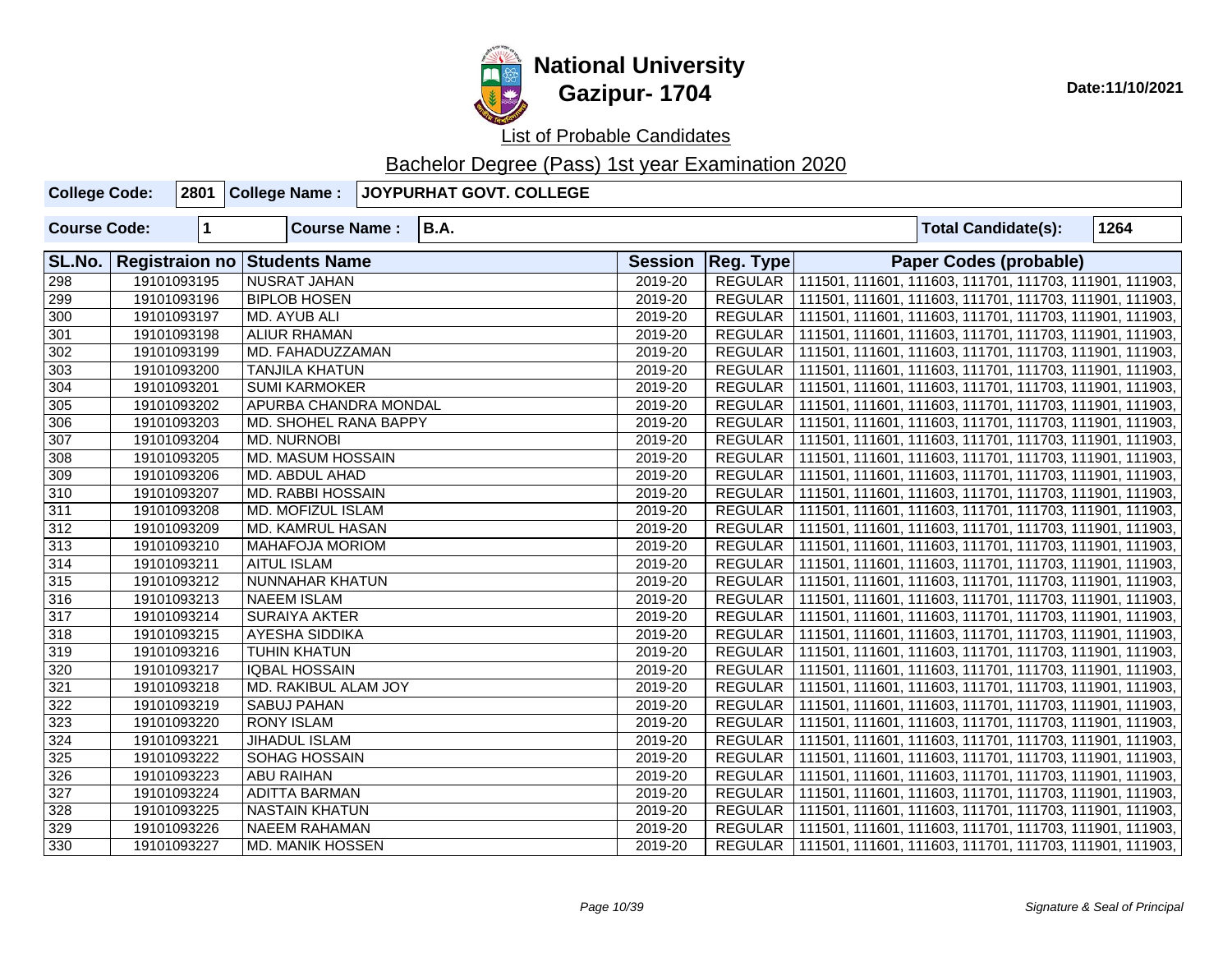

| <b>College Code:</b> |                       |              | 2801 College Name:      | JOYPURHAT GOVT. COLLEGE |                |                  |  |                                                         |      |
|----------------------|-----------------------|--------------|-------------------------|-------------------------|----------------|------------------|--|---------------------------------------------------------|------|
| <b>Course Code:</b>  |                       | $\mathbf{1}$ | <b>Course Name:</b>     | <b>B.A.</b>             |                |                  |  | <b>Total Candidate(s):</b>                              | 1264 |
| SL.No.               | <b>Registraion no</b> |              | <b>Students Name</b>    |                         | <b>Session</b> | <b>Reg. Type</b> |  | Paper Codes (probable)                                  |      |
| 298                  |                       | 19101093195  | <b>NUSRAT JAHAN</b>     |                         | 2019-20        | <b>REGULAR</b>   |  | 111501, 111601, 111603, 111701, 111703, 111901, 111903, |      |
| 299                  |                       | 19101093196  | <b>BIPLOB HOSEN</b>     |                         | 2019-20        | <b>REGULAR</b>   |  | 111501, 111601, 111603, 111701, 111703, 111901, 111903, |      |
| 300                  |                       | 19101093197  | MD. AYUB ALI            |                         | 2019-20        | REGULAR          |  | 111501, 111601, 111603, 111701, 111703, 111901, 111903, |      |
| 301                  |                       | 19101093198  | <b>ALIUR RHAMAN</b>     |                         | 2019-20        | REGULAR          |  | 111501, 111601, 111603, 111701, 111703, 111901, 111903, |      |
| 302                  |                       | 19101093199  | MD. FAHADUZZAMAN        |                         | 2019-20        | REGULAR          |  | 111501, 111601, 111603, 111701, 111703, 111901, 111903, |      |
| 303                  |                       | 19101093200  | <b>TANJILA KHATUN</b>   |                         | 2019-20        | <b>REGULAR</b>   |  | 111501, 111601, 111603, 111701, 111703, 111901, 111903, |      |
| 304                  |                       | 19101093201  | <b>SUMI KARMOKER</b>    |                         | 2019-20        | REGULAR          |  | 111501, 111601, 111603, 111701, 111703, 111901, 111903, |      |
| 305                  |                       | 19101093202  | APURBA CHANDRA MONDAL   |                         | 2019-20        | REGULAR          |  | 111501, 111601, 111603, 111701, 111703, 111901, 111903, |      |
| 306                  |                       | 19101093203  | MD. SHOHEL RANA BAPPY   |                         | 2019-20        | REGULAR          |  | 111501, 111601, 111603, 111701, 111703, 111901, 111903, |      |
| 307                  |                       | 19101093204  | <b>MD. NURNOBI</b>      |                         | 2019-20        | REGULAR          |  | 111501, 111601, 111603, 111701, 111703, 111901, 111903, |      |
| 308                  |                       | 19101093205  | MD. MASUM HOSSAIN       |                         | 2019-20        | <b>REGULAR</b>   |  | 111501, 111601, 111603, 111701, 111703, 111901, 111903, |      |
| 309                  |                       | 19101093206  | MD. ABDUL AHAD          |                         | 2019-20        | REGULAR          |  | 111501, 111601, 111603, 111701, 111703, 111901, 111903, |      |
| 310                  |                       | 19101093207  | MD. RABBI HOSSAIN       |                         | 2019-20        | <b>REGULAR</b>   |  | 111501, 111601, 111603, 111701, 111703, 111901, 111903, |      |
| 311                  |                       | 19101093208  | MD. MOFIZUL ISLAM       |                         | 2019-20        | <b>REGULAR</b>   |  | 111501, 111601, 111603, 111701, 111703, 111901, 111903, |      |
| 312                  |                       | 19101093209  | MD. KAMRUL HASAN        |                         | 2019-20        | REGULAR          |  | 111501, 111601, 111603, 111701, 111703, 111901, 111903, |      |
| 313                  |                       | 19101093210  | <b>MAHAFOJA MORIOM</b>  |                         | 2019-20        | REGULAR          |  | 111501, 111601, 111603, 111701, 111703, 111901, 111903, |      |
| 314                  |                       | 19101093211  | <b>AITUL ISLAM</b>      |                         | 2019-20        | <b>REGULAR</b>   |  | 111501, 111601, 111603, 111701, 111703, 111901, 111903, |      |
| 315                  |                       | 19101093212  | NUNNAHAR KHATUN         |                         | 2019-20        | <b>REGULAR</b>   |  | 111501, 111601, 111603, 111701, 111703, 111901, 111903, |      |
| 316                  |                       | 19101093213  | <b>NAEEM ISLAM</b>      |                         | 2019-20        | <b>REGULAR</b>   |  | 111501, 111601, 111603, 111701, 111703, 111901, 111903, |      |
| 317                  |                       | 19101093214  | <b>SURAIYA AKTER</b>    |                         | 2019-20        | <b>REGULAR</b>   |  | 111501, 111601, 111603, 111701, 111703, 111901, 111903, |      |
| 318                  |                       | 19101093215  | AYESHA SIDDIKA          |                         | 2019-20        | <b>REGULAR</b>   |  | 111501, 111601, 111603, 111701, 111703, 111901, 111903, |      |
| $\overline{319}$     |                       | 19101093216  | <b>TUHIN KHATUN</b>     |                         | 2019-20        | <b>REGULAR</b>   |  | 111501, 111601, 111603, 111701, 111703, 111901, 111903, |      |
| 320                  |                       | 19101093217  | <b>IQBAL HOSSAIN</b>    |                         | 2019-20        | REGULAR          |  | 111501, 111601, 111603, 111701, 111703, 111901, 111903, |      |
| 321                  |                       | 19101093218  | MD. RAKIBUL ALAM JOY    |                         | 2019-20        | <b>REGULAR</b>   |  | 111501, 111601, 111603, 111701, 111703, 111901, 111903, |      |
| 322                  |                       | 19101093219  | SABUJ PAHAN             |                         | 2019-20        | REGULAR          |  | 111501, 111601, 111603, 111701, 111703, 111901, 111903, |      |
| 323                  |                       | 19101093220  | <b>RONY ISLAM</b>       |                         | 2019-20        | <b>REGULAR</b>   |  | 111501, 111601, 111603, 111701, 111703, 111901, 111903, |      |
| 324                  |                       | 19101093221  | <b>JIHADUL ISLAM</b>    |                         | 2019-20        | <b>REGULAR</b>   |  | 111501, 111601, 111603, 111701, 111703, 111901, 111903, |      |
| 325                  |                       | 19101093222  | SOHAG HOSSAIN           |                         | 2019-20        | REGULAR          |  | 111501, 111601, 111603, 111701, 111703, 111901, 111903, |      |
| 326                  |                       | 19101093223  | <b>ABU RAIHAN</b>       |                         | 2019-20        | REGULAR          |  | 111501, 111601, 111603, 111701, 111703, 111901, 111903, |      |
| 327                  |                       | 19101093224  | <b>ADITTA BARMAN</b>    |                         | 2019-20        | REGULAR          |  | 111501, 111601, 111603, 111701, 111703, 111901, 111903, |      |
| 328                  |                       | 19101093225  | <b>NASTAIN KHATUN</b>   |                         | 2019-20        | <b>REGULAR</b>   |  | 111501, 111601, 111603, 111701, 111703, 111901, 111903, |      |
| 329                  |                       | 19101093226  | <b>NAEEM RAHAMAN</b>    |                         | 2019-20        | <b>REGULAR</b>   |  | 111501, 111601, 111603, 111701, 111703, 111901, 111903, |      |
| 330                  |                       | 19101093227  | <b>MD. MANIK HOSSEN</b> |                         | 2019-20        | REGULAR          |  | 111501, 111601, 111603, 111701, 111703, 111901, 111903, |      |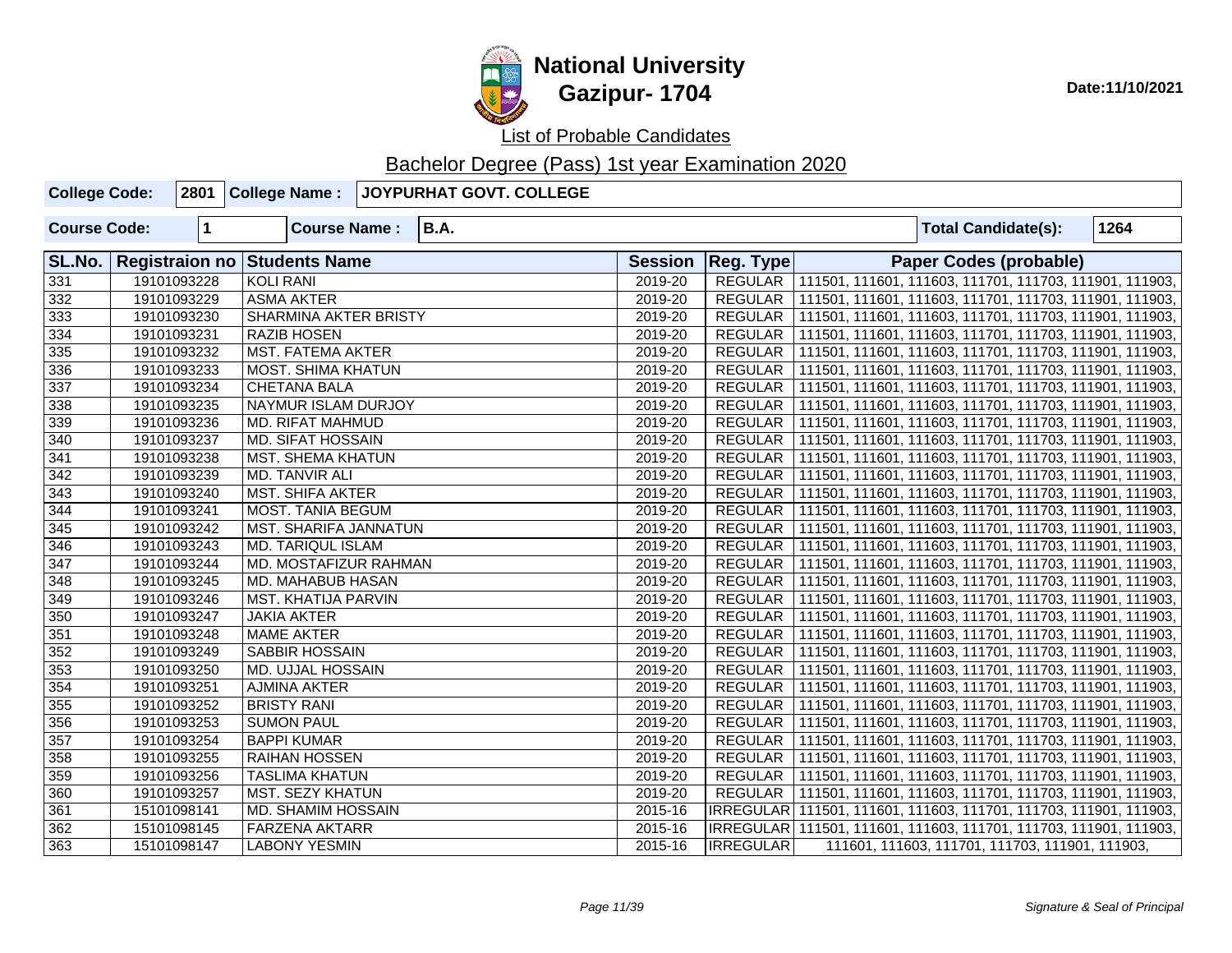

| <b>College Code:</b> |             | 2801 College Name:                  | JOYPURHAT GOVT. COLLEGE |                |                |                                                                     |
|----------------------|-------------|-------------------------------------|-------------------------|----------------|----------------|---------------------------------------------------------------------|
| <b>Course Code:</b>  | $\mathbf 1$ | <b>Course Name:</b>                 | <b>B.A.</b>             |                |                | 1264<br><b>Total Candidate(s):</b>                                  |
| SL.No.               |             | <b>Registraion no Students Name</b> |                         | <b>Session</b> | Reg. Type      | <b>Paper Codes (probable)</b>                                       |
| $\overline{331}$     | 19101093228 | <b>KOLI RANI</b>                    |                         | 2019-20        |                | REGULAR 111501, 111601, 111603, 111701, 111703, 111901, 111903,     |
| 332                  | 19101093229 | <b>ASMA AKTER</b>                   |                         | 2019-20        |                | REGULAR   111501, 111601, 111603, 111701, 111703, 111901, 111903,   |
| 333                  | 19101093230 | <b>SHARMINA AKTER BRISTY</b>        |                         | 2019-20        |                | REGULAR   111501, 111601, 111603, 111701, 111703, 111901, 111903,   |
| 334                  | 19101093231 | <b>RAZIB HOSEN</b>                  |                         | 2019-20        |                | REGULAR   111501, 111601, 111603, 111701, 111703, 111901, 111903,   |
| $\overline{335}$     | 19101093232 | <b>MST. FATEMA AKTER</b>            |                         | 2019-20        |                | REGULAR   111501, 111601, 111603, 111701, 111703, 111901, 111903,   |
| 336                  | 19101093233 | <b>MOST. SHIMA KHATUN</b>           |                         | 2019-20        |                | REGULAR   111501, 111601, 111603, 111701, 111703, 111901, 111903,   |
| 337                  | 19101093234 | <b>CHETANA BALA</b>                 |                         | 2019-20        |                | REGULAR   111501, 111601, 111603, 111701, 111703, 111901, 111903,   |
| 338                  | 19101093235 | NAYMUR ISLAM DURJOY                 |                         | 2019-20        |                | REGULAR   111501, 111601, 111603, 111701, 111703, 111901, 111903,   |
| 339                  | 19101093236 | MD. RIFAT MAHMUD                    |                         | 2019-20        |                | REGULAR   111501, 111601, 111603, 111701, 111703, 111901, 111903,   |
| 340                  | 19101093237 | MD. SIFAT HOSSAIN                   |                         | 2019-20        |                | REGULAR   111501, 111601, 111603, 111701, 111703, 111901, 111903,   |
| 341                  | 19101093238 | <b>MST. SHEMA KHATUN</b>            |                         | 2019-20        |                | REGULAR   111501, 111601, 111603, 111701, 111703, 111901, 111903,   |
| 342                  | 19101093239 | MD. TANVIR ALI                      |                         | 2019-20        |                | REGULAR   111501, 111601, 111603, 111701, 111703, 111901, 111903,   |
| 343                  | 19101093240 | <b>MST. SHIFA AKTER</b>             |                         | 2019-20        |                | REGULAR   111501, 111601, 111603, 111701, 111703, 111901, 111903,   |
| 344                  | 19101093241 | MOST. TANIA BEGUM                   |                         | 2019-20        |                | REGULAR   111501, 111601, 111603, 111701, 111703, 111901, 111903,   |
| 345                  | 19101093242 | MST. SHARIFA JANNATUN               |                         | 2019-20        |                | REGULAR   111501, 111601, 111603, 111701, 111703, 111901, 111903,   |
| 346                  | 19101093243 | <b>MD. TARIQUL ISLAM</b>            |                         | 2019-20        |                | REGULAR   111501, 111601, 111603, 111701, 111703, 111901, 111903,   |
| 347                  | 19101093244 | MD. MOSTAFIZUR RAHMAN               |                         | 2019-20        |                | REGULAR   111501, 111601, 111603, 111701, 111703, 111901, 111903,   |
| 348                  | 19101093245 | MD. MAHABUB HASAN                   |                         | 2019-20        |                | REGULAR   111501, 111601, 111603, 111701, 111703, 111901, 111903,   |
| 349                  | 19101093246 | <b>MST. KHATIJA PARVIN</b>          |                         | 2019-20        |                | REGULAR   111501, 111601, 111603, 111701, 111703, 111901, 111903,   |
| 350                  | 19101093247 | <b>JAKIA AKTER</b>                  |                         | 2019-20        |                | REGULAR   111501, 111601, 111603, 111701, 111703, 111901, 111903,   |
| 351                  | 19101093248 | <b>MAME AKTER</b>                   |                         | 2019-20        | <b>REGULAR</b> | 111501, 111601, 111603, 111701, 111703, 111901, 111903,             |
| 352                  | 19101093249 | SABBIR HOSSAIN                      |                         | 2019-20        | REGULAR        | 111501, 111601, 111603, 111701, 111703, 111901, 111903,             |
| 353                  | 19101093250 | <b>MD. UJJAL HOSSAIN</b>            |                         | 2019-20        |                | REGULAR   111501, 111601, 111603, 111701, 111703, 111901, 111903,   |
| 354                  | 19101093251 | <b>AJMINA AKTER</b>                 |                         | 2019-20        |                | REGULAR   111501, 111601, 111603, 111701, 111703, 111901, 111903,   |
| 355                  | 19101093252 | <b>BRISTY RANI</b>                  |                         | 2019-20        | REGULAR        | 111501, 111601, 111603, 111701, 111703, 111901, 111903,             |
| 356                  | 19101093253 | <b>SUMON PAUL</b>                   |                         | 2019-20        |                | REGULAR   111501, 111601, 111603, 111701, 111703, 111901, 111903,   |
| 357                  | 19101093254 | <b>BAPPI KUMAR</b>                  |                         | 2019-20        | REGULAR        | 111501, 111601, 111603, 111701, 111703, 111901, 111903,             |
| 358                  | 19101093255 | <b>RAIHAN HOSSEN</b>                |                         | 2019-20        | REGULAR        | 111501, 111601, 111603, 111701, 111703, 111901, 111903,             |
| 359                  | 19101093256 | <b>TASLIMA KHATUN</b>               |                         | 2019-20        | REGULAR        | 111501, 111601, 111603, 111701, 111703, 111901, 111903,             |
| 360                  | 19101093257 | <b>MST. SEZY KHATUN</b>             |                         | 2019-20        |                | REGULAR   111501, 111601, 111603, 111701, 111703, 111901, 111903,   |
| 361                  | 15101098141 | MD. SHAMIM HOSSAIN                  |                         | 2015-16        |                | IRREGULAR 111501, 111601, 111603, 111701, 111703, 111901, 111903,   |
| 362                  | 15101098145 | <b>FARZENA AKTARR</b>               |                         | 2015-16        |                | IRREGULAR   111501, 111601, 111603, 111701, 111703, 111901, 111903, |
| 363                  | 15101098147 | <b>LABONY YESMIN</b>                |                         | 2015-16        | IRREGULAR      | 111601, 111603, 111701, 111703, 111901, 111903,                     |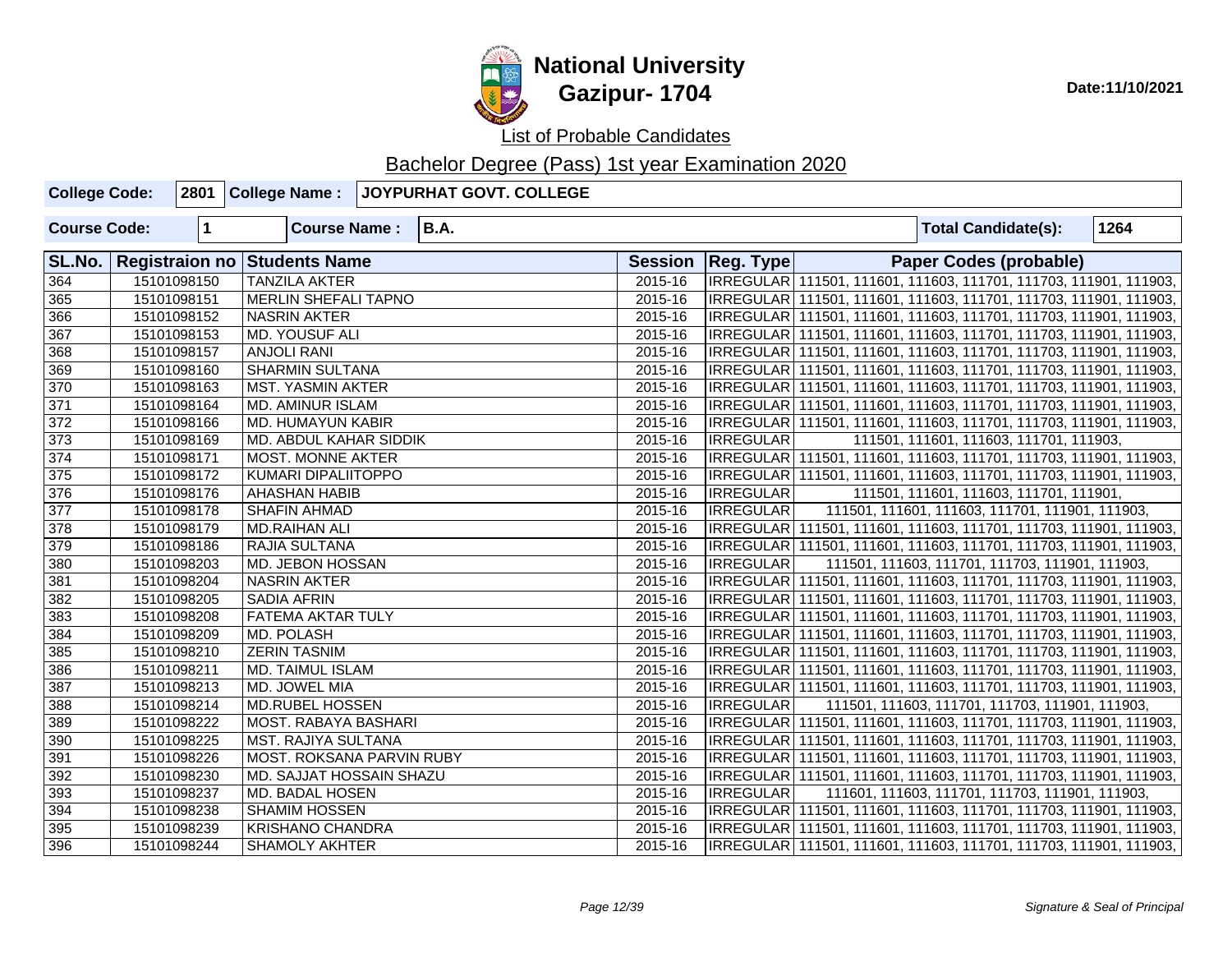

| <b>College Code:</b> |             | 2801 College Name:           | JOYPURHAT GOVT. COLLEGE |         |                     |                                                                     |      |
|----------------------|-------------|------------------------------|-------------------------|---------|---------------------|---------------------------------------------------------------------|------|
| <b>Course Code:</b>  | 1           | <b>Course Name:</b>          | <b>B.A.</b>             |         |                     | <b>Total Candidate(s):</b>                                          | 1264 |
| SL.No.               |             | Registraion no Students Name |                         |         | Session   Reg. Type | <b>Paper Codes (probable)</b>                                       |      |
| 364                  | 15101098150 | <b>TANZILA AKTER</b>         |                         | 2015-16 |                     | IRREGULAR 111501, 111601, 111603, 111701, 111703, 111901, 111903,   |      |
| 365                  | 15101098151 | <b>MERLIN SHEFALI TAPNO</b>  |                         | 2015-16 |                     | IRREGULAR   111501, 111601, 111603, 111701, 111703, 111901, 111903, |      |
| 366                  | 15101098152 | <b>NASRIN AKTER</b>          |                         | 2015-16 |                     | IRREGULAR 111501, 111601, 111603, 111701, 111703, 111901, 111903,   |      |
| 367                  | 15101098153 | MD. YOUSUF ALI               |                         | 2015-16 |                     | IRREGULAR 111501, 111601, 111603, 111701, 111703, 111901, 111903,   |      |
| 368                  | 15101098157 | <b>ANJOLI RANI</b>           |                         | 2015-16 |                     | IRREGULAR 111501, 111601, 111603, 111701, 111703, 111901, 111903,   |      |
| 369                  | 15101098160 | <b>SHARMIN SULTANA</b>       |                         | 2015-16 |                     | IRREGULAR 111501, 111601, 111603, 111701, 111703, 111901, 111903,   |      |
| 370                  | 15101098163 | <b>MST. YASMIN AKTER</b>     |                         | 2015-16 |                     | IRREGULAR 111501, 111601, 111603, 111701, 111703, 111901, 111903,   |      |
| 371                  | 15101098164 | <b>MD. AMINUR ISLAM</b>      |                         | 2015-16 |                     | IRREGULAR 111501, 111601, 111603, 111701, 111703, 111901, 111903,   |      |
| 372                  | 15101098166 | <b>MD. HUMAYUN KABIR</b>     |                         | 2015-16 |                     | IRREGULAR 111501, 111601, 111603, 111701, 111703, 111901, 111903,   |      |
| 373                  | 15101098169 | MD. ABDUL KAHAR SIDDIK       |                         | 2015-16 | <b>IRREGULAR</b>    | 111501, 111601, 111603, 111701, 111903,                             |      |
| 374                  | 15101098171 | <b>MOST. MONNE AKTER</b>     |                         | 2015-16 |                     | IRREGULAR 111501, 111601, 111603, 111701, 111703, 111901, 111903,   |      |
| 375                  | 15101098172 | KUMARI DIPALIITOPPO          |                         | 2015-16 |                     | IRREGULAR 111501, 111601, 111603, 111701, 111703, 111901, 111903,   |      |
| 376                  | 15101098176 | AHASHAN HABIB                |                         | 2015-16 | <b>IRREGULAR</b>    | 111501, 111601, 111603, 111701, 111901,                             |      |
| 377                  | 15101098178 | <b>SHAFIN AHMAD</b>          |                         | 2015-16 | IRREGULAR           | 111501, 111601, 111603, 111701, 111901, 111903,                     |      |
| 378                  | 15101098179 | <b>MD.RAIHAN ALI</b>         |                         | 2015-16 |                     | IRREGULAR   111501, 111601, 111603, 111701, 111703, 111901, 111903, |      |
| 379                  | 15101098186 | RAJIA SULTANA                |                         | 2015-16 |                     | IRREGULAR   111501, 111601, 111603, 111701, 111703, 111901, 111903, |      |
| 380                  | 15101098203 | MD. JEBON HOSSAN             |                         | 2015-16 | <b>IRREGULAR</b>    | 111501, 111603, 111701, 111703, 111901, 111903,                     |      |
| 381                  | 15101098204 | <b>NASRIN AKTER</b>          |                         | 2015-16 |                     | IRREGULAR 111501, 111601, 111603, 111701, 111703, 111901, 111903,   |      |
| 382                  | 15101098205 | <b>SADIA AFRIN</b>           |                         | 2015-16 |                     | IRREGULAR   111501, 111601, 111603, 111701, 111703, 111901, 111903, |      |
| 383                  | 15101098208 | FATEMA AKTAR TULY            |                         | 2015-16 |                     | IRREGULAR  111501, 111601, 111603, 111701, 111703, 111901, 111903,  |      |
| 384                  | 15101098209 | MD. POLASH                   |                         | 2015-16 |                     | IRREGULAR 111501, 111601, 111603, 111701, 111703, 111901, 111903,   |      |
| 385                  | 15101098210 | <b>ZERIN TASNIM</b>          |                         | 2015-16 |                     | IRREGULAR 111501, 111601, 111603, 111701, 111703, 111901, 111903,   |      |
| 386                  | 15101098211 | MD. TAIMUL ISLAM             |                         | 2015-16 |                     | IRREGULAR   111501, 111601, 111603, 111701, 111703, 111901, 111903, |      |
| 387                  | 15101098213 | MD. JOWEL MIA                |                         | 2015-16 |                     | IRREGULAR   111501, 111601, 111603, 111701, 111703, 111901, 111903, |      |
| 388                  | 15101098214 | MD.RUBEL HOSSEN              |                         | 2015-16 | <b>IRREGULAR</b>    | 111501, 111603, 111701, 111703, 111901, 111903,                     |      |
| 389                  | 15101098222 | MOST. RABAYA BASHARI         |                         | 2015-16 |                     | IRREGULAR 111501, 111601, 111603, 111701, 111703, 111901, 111903,   |      |
| 390                  | 15101098225 | <b>MST. RAJIYA SULTANA</b>   |                         | 2015-16 |                     | IRREGULAR 111501, 111601, 111603, 111701, 111703, 111901, 111903,   |      |
| 391                  | 15101098226 | MOST. ROKSANA PARVIN RUBY    |                         | 2015-16 |                     | IRREGULAR 111501, 111601, 111603, 111701, 111703, 111901, 111903,   |      |
| 392                  | 15101098230 | MD. SAJJAT HOSSAIN SHAZU     |                         | 2015-16 |                     | IRREGULAR 111501, 111601, 111603, 111701, 111703, 111901, 111903,   |      |
| 393                  | 15101098237 | <b>MD. BADAL HOSEN</b>       |                         | 2015-16 | <b>IRREGULAR</b>    | 111601, 111603, 111701, 111703, 111901, 111903,                     |      |
| 394                  | 15101098238 | <b>SHAMIM HOSSEN</b>         |                         | 2015-16 |                     | IRREGULAR 111501, 111601, 111603, 111701, 111703, 111901, 111903,   |      |
| 395                  | 15101098239 | <b>KRISHANO CHANDRA</b>      |                         | 2015-16 |                     | IRREGULAR 111501, 111601, 111603, 111701, 111703, 111901, 111903,   |      |
| 396                  | 15101098244 | <b>SHAMOLY AKHTER</b>        |                         | 2015-16 |                     | IRREGULAR 111501, 111601, 111603, 111701, 111703, 111901, 111903,   |      |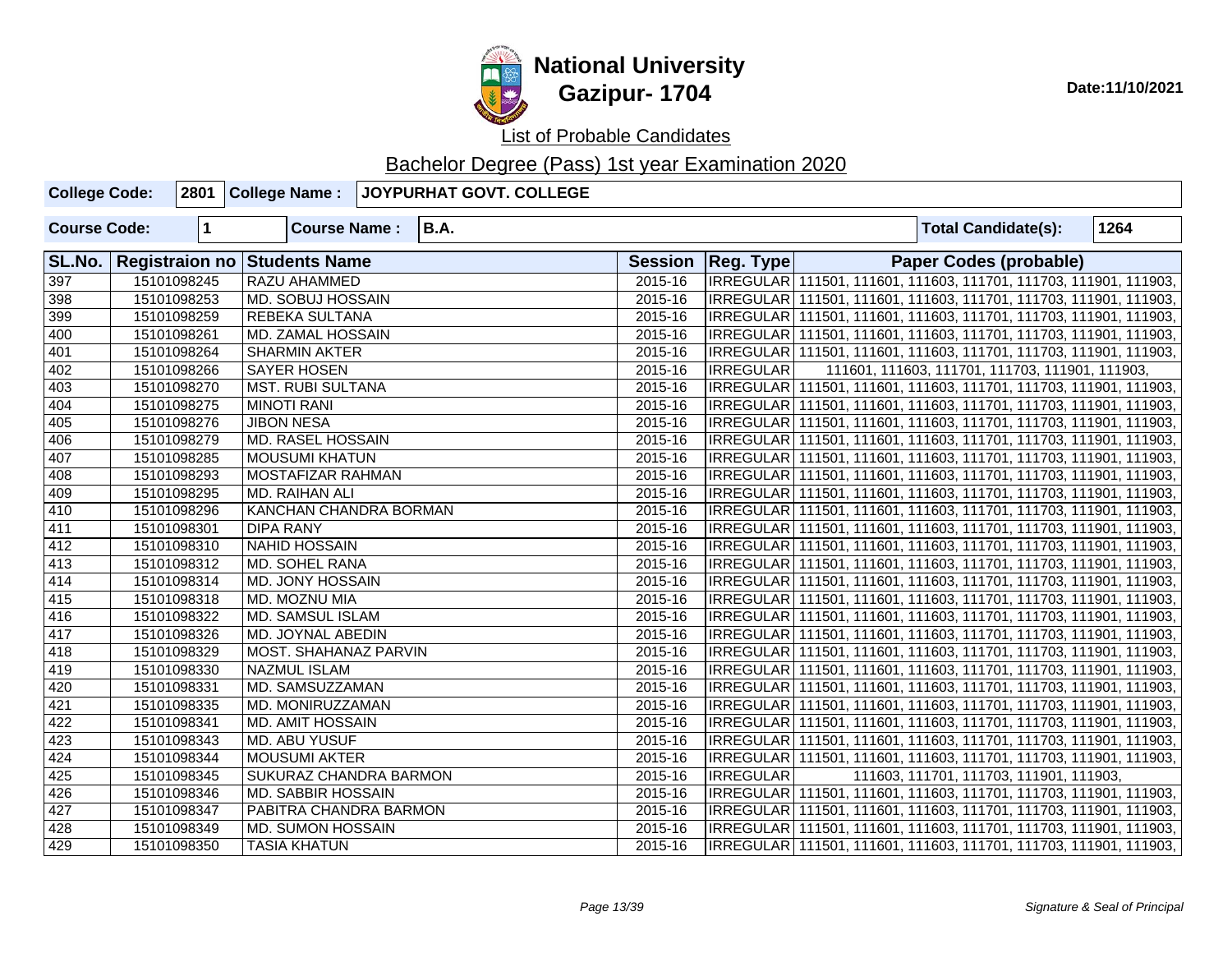

| <b>College Code:</b> |             | 2801 College Name:           | <b>JOYPURHAT GOVT. COLLEGE</b> |         |                     |                                                                     |      |
|----------------------|-------------|------------------------------|--------------------------------|---------|---------------------|---------------------------------------------------------------------|------|
| <b>Course Code:</b>  | $\mathbf 1$ | <b>Course Name:</b>          | <b>B.A.</b>                    |         |                     | <b>Total Candidate(s):</b>                                          | 1264 |
| SL.No.               |             | Registraion no Students Name |                                |         | Session   Reg. Type | <b>Paper Codes (probable)</b>                                       |      |
| 397                  | 15101098245 | RAZU AHAMMED                 |                                | 2015-16 |                     | IRREGULAR   111501, 111601, 111603, 111701, 111703, 111901, 111903, |      |
| 398                  | 15101098253 | MD. SOBUJ HOSSAIN            |                                | 2015-16 |                     | IRREGULAR   111501, 111601, 111603, 111701, 111703, 111901, 111903, |      |
| 399                  | 15101098259 | <b>REBEKA SULTANA</b>        |                                | 2015-16 |                     | IRREGULAR   111501, 111601, 111603, 111701, 111703, 111901, 111903, |      |
| 400                  | 15101098261 | MD. ZAMAL HOSSAIN            |                                | 2015-16 |                     | IRREGULAR 111501, 111601, 111603, 111701, 111703, 111901, 111903,   |      |
| 401                  | 15101098264 | <b>SHARMIN AKTER</b>         |                                | 2015-16 |                     | IRREGULAR 111501, 111601, 111603, 111701, 111703, 111901, 111903,   |      |
| 402                  | 15101098266 | <b>SAYER HOSEN</b>           |                                | 2015-16 | <b>IRREGULAR</b>    | 111601, 111603, 111701, 111703, 111901, 111903,                     |      |
| 403                  | 15101098270 | <b>MST. RUBI SULTANA</b>     |                                | 2015-16 |                     | IRREGULAR 111501, 111601, 111603, 111701, 111703, 111901, 111903,   |      |
| 404                  | 15101098275 | <b>MINOTI RANI</b>           |                                | 2015-16 |                     | IRREGULAR 111501, 111601, 111603, 111701, 111703, 111901, 111903,   |      |
| 405                  | 15101098276 | <b>JIBON NESA</b>            |                                | 2015-16 |                     | IRREGULAR   111501, 111601, 111603, 111701, 111703, 111901, 111903, |      |
| 406                  | 15101098279 | <b>MD. RASEL HOSSAIN</b>     |                                | 2015-16 |                     | IRREGULAR 111501, 111601, 111603, 111701, 111703, 111901, 111903,   |      |
| 407                  | 15101098285 | <b>MOUSUMI KHATUN</b>        |                                | 2015-16 |                     | IRREGULAR 111501, 111601, 111603, 111701, 111703, 111901, 111903,   |      |
| 408                  | 15101098293 | MOSTAFIZAR RAHMAN            |                                | 2015-16 |                     | IRREGULAR 111501, 111601, 111603, 111701, 111703, 111901, 111903,   |      |
| 409                  | 15101098295 | MD. RAIHAN ALI               |                                | 2015-16 |                     | IRREGULAR   111501, 111601, 111603, 111701, 111703, 111901, 111903, |      |
| 410                  | 15101098296 | KANCHAN CHANDRA BORMAN       |                                | 2015-16 |                     | IRREGULAR 111501, 111601, 111603, 111701, 111703, 111901, 111903,   |      |
| 411                  | 15101098301 | <b>DIPA RANY</b>             |                                | 2015-16 |                     | IRREGULAR   111501, 111601, 111603, 111701, 111703, 111901, 111903, |      |
| 412                  | 15101098310 | NAHID HOSSAIN                |                                | 2015-16 |                     | IRREGULAR  111501, 111601, 111603, 111701, 111703, 111901, 111903,  |      |
| 413                  | 15101098312 | MD. SOHEL RANA               |                                | 2015-16 |                     | IRREGULAR   111501, 111601, 111603, 111701, 111703, 111901, 111903, |      |
| 414                  | 15101098314 | MD. JONY HOSSAIN             |                                | 2015-16 |                     | IRREGULAR 111501, 111601, 111603, 111701, 111703, 111901, 111903,   |      |
| 415                  | 15101098318 | MD. MOZNU MIA                |                                | 2015-16 |                     | IRREGULAR 111501, 111601, 111603, 111701, 111703, 111901, 111903,   |      |
| 416                  | 15101098322 | <b>MD. SAMSUL ISLAM</b>      |                                | 2015-16 |                     | IRREGULAR   111501, 111601, 111603, 111701, 111703, 111901, 111903, |      |
| 417                  | 15101098326 | MD. JOYNAL ABEDIN            |                                | 2015-16 |                     | IRREGULAR  111501, 111601, 111603, 111701, 111703, 111901, 111903,  |      |
| 418                  | 15101098329 | MOST. SHAHANAZ PARVIN        |                                | 2015-16 |                     | IRREGULAR   111501, 111601, 111603, 111701, 111703, 111901, 111903, |      |
| 419                  | 15101098330 | <b>NAZMUL ISLAM</b>          |                                | 2015-16 |                     | IRREGULAR 111501, 111601, 111603, 111701, 111703, 111901, 111903,   |      |
| 420                  | 15101098331 | MD. SAMSUZZAMAN              |                                | 2015-16 |                     | IRREGULAR 111501, 111601, 111603, 111701, 111703, 111901, 111903,   |      |
| 421                  | 15101098335 | MD. MONIRUZZAMAN             |                                | 2015-16 |                     | IRREGULAR 111501, 111601, 111603, 111701, 111703, 111901, 111903,   |      |
| 422                  | 15101098341 | <b>MD. AMIT HOSSAIN</b>      |                                | 2015-16 |                     | IRREGULAR 111501, 111601, 111603, 111701, 111703, 111901, 111903,   |      |
| 423                  | 15101098343 | MD. ABU YUSUF                |                                | 2015-16 |                     | IRREGULAR   111501, 111601, 111603, 111701, 111703, 111901, 111903, |      |
| 424                  | 15101098344 | <b>MOUSUMI AKTER</b>         |                                | 2015-16 |                     | IRREGULAR   111501, 111601, 111603, 111701, 111703, 111901, 111903, |      |
| 425                  | 15101098345 | SUKURAZ CHANDRA BARMON       |                                | 2015-16 | <b>IRREGULAR</b>    | 111603, 111701, 111703, 111901, 111903,                             |      |
| 426                  | 15101098346 | MD. SABBIR HOSSAIN           |                                | 2015-16 |                     | IRREGULAR 111501, 111601, 111603, 111701, 111703, 111901, 111903,   |      |
| 427                  | 15101098347 | PABITRA CHANDRA BARMON       |                                | 2015-16 |                     | IRREGULAR 111501, 111601, 111603, 111701, 111703, 111901, 111903,   |      |
| 428                  | 15101098349 | MD. SUMON HOSSAIN            |                                | 2015-16 |                     | IRREGULAR 111501, 111601, 111603, 111701, 111703, 111901, 111903,   |      |
| 429                  | 15101098350 | <b>TASIA KHATUN</b>          |                                | 2015-16 |                     | IRREGULAR 111501, 111601, 111603, 111701, 111703, 111901, 111903,   |      |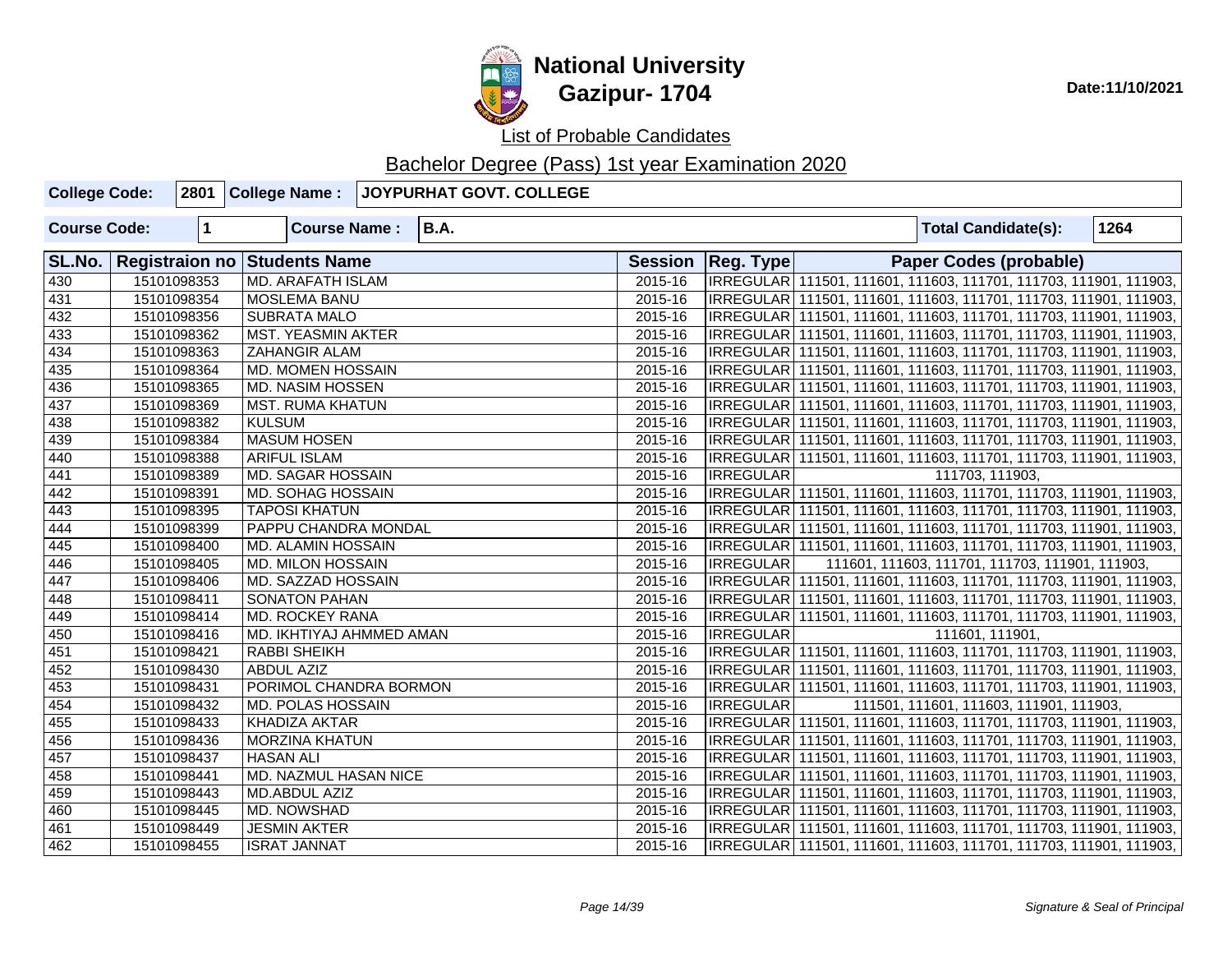

List of Probable Candidates

| <b>College Code:</b> |             |                                     | 2801 College Name : JOYPURHAT GOVT. COLLEGE |         |                     |                                                                     |      |
|----------------------|-------------|-------------------------------------|---------------------------------------------|---------|---------------------|---------------------------------------------------------------------|------|
| <b>Course Code:</b>  | $\mathbf 1$ | <b>Course Name:</b>                 | <b>B.A.</b>                                 |         |                     | <b>Total Candidate(s):</b>                                          | 1264 |
| SL.No.               |             | <b>Registraion no Students Name</b> |                                             |         | Session   Reg. Type | <b>Paper Codes (probable)</b>                                       |      |
| 430                  | 15101098353 | <b>MD. ARAFATH ISLAM</b>            |                                             | 2015-16 |                     | IRREGULAR 111501, 111601, 111603, 111701, 111703, 111901, 111903,   |      |
| 431                  | 15101098354 | <b>MOSLEMA BANU</b>                 |                                             | 2015-16 |                     | IRREGULAR   111501, 111601, 111603, 111701, 111703, 111901, 111903, |      |
| 432                  | 15101098356 | <b>SUBRATA MALO</b>                 |                                             | 2015-16 |                     | IRREGULAR 111501, 111601, 111603, 111701, 111703, 111901, 111903,   |      |
| 433                  | 15101098362 | MST. YEASMIN AKTER                  |                                             | 2015-16 |                     | IRREGULAR 111501, 111601, 111603, 111701, 111703, 111901, 111903,   |      |
| 434                  | 15101098363 | <b>ZAHANGIR ALAM</b>                |                                             | 2015-16 |                     | IRREGULAR 111501, 111601, 111603, 111701, 111703, 111901, 111903,   |      |
| 435                  | 15101098364 | MD. MOMEN HOSSAIN                   |                                             | 2015-16 |                     | IRREGULAR 111501, 111601, 111603, 111701, 111703, 111901, 111903,   |      |
| 436                  | 15101098365 | <b>MD. NASIM HOSSEN</b>             |                                             | 2015-16 |                     | IRREGULAR 111501, 111601, 111603, 111701, 111703, 111901, 111903,   |      |
| 437                  | 15101098369 | <b>MST. RUMA KHATUN</b>             |                                             | 2015-16 |                     | IRREGULAR 111501, 111601, 111603, 111701, 111703, 111901, 111903,   |      |
| 438                  | 15101098382 | <b>KULSUM</b>                       |                                             | 2015-16 |                     | IRREGULAR 111501, 111601, 111603, 111701, 111703, 111901, 111903,   |      |
| 439                  | 15101098384 | <b>MASUM HOSEN</b>                  |                                             | 2015-16 |                     | IRREGULAR 111501, 111601, 111603, 111701, 111703, 111901, 111903,   |      |
| 440                  | 15101098388 | <b>ARIFUL ISLAM</b>                 |                                             | 2015-16 |                     | IRREGULAR 111501, 111601, 111603, 111701, 111703, 111901, 111903,   |      |
| 441                  | 15101098389 | <b>MD. SAGAR HOSSAIN</b>            |                                             | 2015-16 | <b>IRREGULAR</b>    | 111703, 111903,                                                     |      |
| 442                  | 15101098391 | <b>MD. SOHAG HOSSAIN</b>            |                                             | 2015-16 |                     | IRREGULAR 111501, 111601, 111603, 111701, 111703, 111901, 111903,   |      |
| 443                  | 15101098395 | <b>TAPOSI KHATUN</b>                |                                             | 2015-16 |                     | IRREGULAR 111501, 111601, 111603, 111701, 111703, 111901, 111903,   |      |
| 444                  | 15101098399 | PAPPU CHANDRA MONDAL                |                                             | 2015-16 |                     | IRREGULAR   111501, 111601, 111603, 111701, 111703, 111901, 111903, |      |
| 445                  | 15101098400 | MD. ALAMIN HOSSAIN                  |                                             | 2015-16 |                     | IRREGULAR 111501, 111601, 111603, 111701, 111703, 111901, 111903,   |      |
| 446                  | 15101098405 | <b>MD. MILON HOSSAIN</b>            |                                             | 2015-16 | <b>IRREGULAR</b>    | 111601, 111603, 111701, 111703, 111901, 111903,                     |      |
| 447                  | 15101098406 | MD. SAZZAD HOSSAIN                  |                                             | 2015-16 |                     | IRREGULAR 111501, 111601, 111603, 111701, 111703, 111901, 111903,   |      |
| 448                  | 15101098411 | <b>SONATON PAHAN</b>                |                                             | 2015-16 |                     | IRREGULAR   111501, 111601, 111603, 111701, 111703, 111901, 111903, |      |
| 449                  | 15101098414 | MD. ROCKEY RANA                     |                                             | 2015-16 |                     | IRREGULAR 111501, 111601, 111603, 111701, 111703, 111901, 111903,   |      |
| 450                  | 15101098416 | MD. IKHTIYAJ AHMMED AMAN            |                                             | 2015-16 | <b>IRREGULAR</b>    | 111601, 111901,                                                     |      |
| 451                  | 15101098421 | RABBI SHEIKH                        |                                             | 2015-16 |                     | IRREGULAR 111501, 111601, 111603, 111701, 111703, 111901, 111903,   |      |
| 452                  | 15101098430 | <b>ABDUL AZIZ</b>                   |                                             | 2015-16 |                     | IRREGULAR 111501, 111601, 111603, 111701, 111703, 111901, 111903,   |      |
| 453                  | 15101098431 | PORIMOL CHANDRA BORMON              |                                             | 2015-16 |                     | IRREGULAR 111501, 111601, 111603, 111701, 111703, 111901, 111903,   |      |
| 454                  | 15101098432 | MD. POLAS HOSSAIN                   |                                             | 2015-16 | <b>IRREGULAR</b>    | 111501, 111601, 111603, 111901, 111903,                             |      |
| 455                  | 15101098433 | <b>KHADIZA AKTAR</b>                |                                             | 2015-16 |                     | IRREGULAR 111501, 111601, 111603, 111701, 111703, 111901, 111903,   |      |
| 456                  | 15101098436 | <b>MORZINA KHATUN</b>               |                                             | 2015-16 |                     | IRREGULAR 111501, 111601, 111603, 111701, 111703, 111901, 111903,   |      |
| 457                  | 15101098437 | <b>HASAN ALI</b>                    |                                             | 2015-16 |                     | IRREGULAR   111501, 111601, 111603, 111701, 111703, 111901, 111903, |      |
| 458                  | 15101098441 | MD. NAZMUL HASAN NICE               |                                             | 2015-16 |                     | IRREGULAR 111501, 111601, 111603, 111701, 111703, 111901, 111903,   |      |
| 459                  | 15101098443 | MD.ABDUL AZIZ                       |                                             | 2015-16 |                     | IRREGULAR 111501, 111601, 111603, 111701, 111703, 111901, 111903,   |      |
| 460                  | 15101098445 | MD. NOWSHAD                         |                                             | 2015-16 |                     | IRREGULAR 111501, 111601, 111603, 111701, 111703, 111901, 111903,   |      |
| 461                  | 15101098449 | <b>JESMIN AKTER</b>                 |                                             | 2015-16 |                     | IRREGULAR 111501, 111601, 111603, 111701, 111703, 111901, 111903,   |      |
| 462                  | 15101098455 | <b>ISRAT JANNAT</b>                 |                                             | 2015-16 |                     | IRREGULAR 111501, 111601, 111603, 111701, 111703, 111901, 111903,   |      |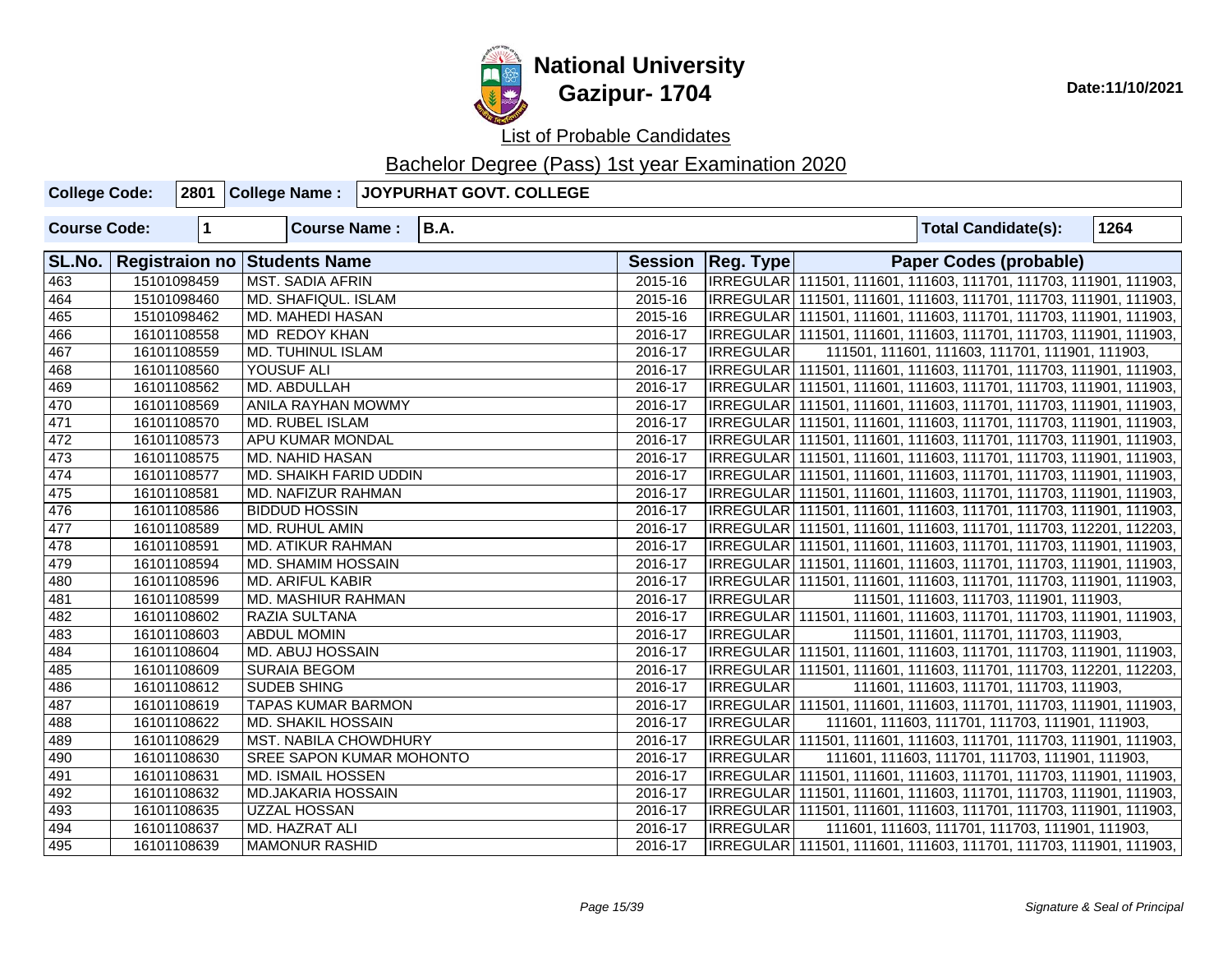

List of Probable Candidates

| <b>College Code:</b> |                         | 2801 College Name:                  | <b>JOYPURHAT GOVT. COLLEGE</b> |         |                                                                     |  |                                                                     |      |  |  |  |
|----------------------|-------------------------|-------------------------------------|--------------------------------|---------|---------------------------------------------------------------------|--|---------------------------------------------------------------------|------|--|--|--|
| <b>Course Code:</b>  | $\overline{\mathbf{1}}$ | <b>Course Name:</b>                 | <b>B.A.</b>                    |         |                                                                     |  | <b>Total Candidate(s):</b>                                          | 1264 |  |  |  |
| SL.No.               |                         | <b>Registraion no Students Name</b> |                                |         | Session   Reg. Type                                                 |  | <b>Paper Codes (probable)</b>                                       |      |  |  |  |
| 463                  | 15101098459             | <b>MST. SADIA AFRIN</b>             |                                | 2015-16 |                                                                     |  | IRREGULAR 111501, 111601, 111603, 111701, 111703, 111901, 111903,   |      |  |  |  |
| 464                  | 15101098460             | <b>MD. SHAFIQUL. ISLAM</b>          |                                | 2015-16 |                                                                     |  | IRREGULAR 111501, 111601, 111603, 111701, 111703, 111901, 111903,   |      |  |  |  |
| 465                  | 15101098462             | MD. MAHEDI HASAN                    |                                | 2015-16 |                                                                     |  | IRREGULAR 111501, 111601, 111603, 111701, 111703, 111901, 111903,   |      |  |  |  |
| 466                  | 16101108558             | <b>MD REDOY KHAN</b>                |                                | 2016-17 | IRREGULAR   111501, 111601, 111603, 111701, 111703, 111901, 111903, |  |                                                                     |      |  |  |  |
| 467                  | 16101108559             | MD. TUHINUL ISLAM                   |                                | 2016-17 | <b>IRREGULAR</b><br>111501, 111601, 111603, 111701, 111901, 111903, |  |                                                                     |      |  |  |  |
| 468                  | 16101108560             | YOUSUF ALI                          |                                | 2016-17 | IRREGULAR 111501, 111601, 111603, 111701, 111703, 111901, 111903,   |  |                                                                     |      |  |  |  |
| 469                  | 16101108562             | MD. ABDULLAH                        |                                | 2016-17 |                                                                     |  | IRREGULAR 111501, 111601, 111603, 111701, 111703, 111901, 111903,   |      |  |  |  |
| 470                  | 16101108569             | ANILA RAYHAN MOWMY                  |                                | 2016-17 |                                                                     |  | IRREGULAR 111501, 111601, 111603, 111701, 111703, 111901, 111903,   |      |  |  |  |
| 471                  | 16101108570             | MD. RUBEL ISLAM                     |                                | 2016-17 |                                                                     |  | IRREGULAR   111501, 111601, 111603, 111701, 111703, 111901, 111903, |      |  |  |  |
| 472                  | 16101108573             | <b>APU KUMAR MONDAL</b>             |                                | 2016-17 |                                                                     |  | IRREGULAR 111501, 111601, 111603, 111701, 111703, 111901, 111903,   |      |  |  |  |
| 473                  | 16101108575             | <b>MD. NAHID HASAN</b>              |                                | 2016-17 |                                                                     |  | IRREGULAR 111501, 111601, 111603, 111701, 111703, 111901, 111903,   |      |  |  |  |
| 474                  | 16101108577             | MD. SHAIKH FARID UDDIN              |                                | 2016-17 |                                                                     |  | IRREGULAR 111501, 111601, 111603, 111701, 111703, 111901, 111903,   |      |  |  |  |
| 475                  | 16101108581             | MD. NAFIZUR RAHMAN                  |                                | 2016-17 |                                                                     |  | IRREGULAR 111501, 111601, 111603, 111701, 111703, 111901, 111903,   |      |  |  |  |
| 476                  | 16101108586             | <b>BIDDUD HOSSIN</b>                |                                | 2016-17 |                                                                     |  | IRREGULAR 111501, 111601, 111603, 111701, 111703, 111901, 111903,   |      |  |  |  |
| 477                  | 16101108589             | <b>MD. RUHUL AMIN</b>               |                                | 2016-17 |                                                                     |  | IRREGULAR 111501, 111601, 111603, 111701, 111703, 112201, 112203,   |      |  |  |  |
| 478                  | 16101108591             | MD. ATIKUR RAHMAN                   |                                | 2016-17 |                                                                     |  | IRREGULAR   111501, 111601, 111603, 111701, 111703, 111901, 111903, |      |  |  |  |
| 479                  | 16101108594             | MD. SHAMIM HOSSAIN                  |                                | 2016-17 |                                                                     |  | IRREGULAR 111501, 111601, 111603, 111701, 111703, 111901, 111903,   |      |  |  |  |
| 480                  | 16101108596             | <b>MD. ARIFUL KABIR</b>             |                                | 2016-17 |                                                                     |  | IRREGULAR   111501, 111601, 111603, 111701, 111703, 111901, 111903, |      |  |  |  |
| 481                  | 16101108599             | MD. MASHIUR RAHMAN                  |                                | 2016-17 | <b>IRREGULAR</b>                                                    |  | 111501, 111603, 111703, 111901, 111903,                             |      |  |  |  |
| 482                  | 16101108602             | RAZIA SULTANA                       |                                | 2016-17 |                                                                     |  | IRREGULAR 111501, 111601, 111603, 111701, 111703, 111901, 111903,   |      |  |  |  |
| 483                  | 16101108603             | <b>ABDUL MOMIN</b>                  |                                | 2016-17 | <b>IRREGULAR</b>                                                    |  | 111501, 111601, 111701, 111703, 111903,                             |      |  |  |  |
| 484                  | 16101108604             | <b>MD. ABUJ HOSSAIN</b>             |                                | 2016-17 |                                                                     |  | IRREGULAR 111501, 111601, 111603, 111701, 111703, 111901, 111903,   |      |  |  |  |
| 485                  | 16101108609             | <b>SURAIA BEGOM</b>                 |                                | 2016-17 |                                                                     |  | IRREGULAR 111501, 111601, 111603, 111701, 111703, 112201, 112203,   |      |  |  |  |
| 486                  | 16101108612             | <b>SUDEB SHING</b>                  |                                | 2016-17 | <b>IRREGULAR</b>                                                    |  | 111601, 111603, 111701, 111703, 111903,                             |      |  |  |  |
| 487                  | 16101108619             | <b>TAPAS KUMAR BARMON</b>           |                                | 2016-17 |                                                                     |  | IRREGULAR 111501, 111601, 111603, 111701, 111703, 111901, 111903,   |      |  |  |  |
| 488                  | 16101108622             | MD. SHAKIL HOSSAIN                  |                                | 2016-17 | <b>IRREGULAR</b>                                                    |  | 111601, 111603, 111701, 111703, 111901, 111903,                     |      |  |  |  |
| 489                  | 16101108629             | MST. NABILA CHOWDHURY               |                                | 2016-17 |                                                                     |  | IRREGULAR 111501, 111601, 111603, 111701, 111703, 111901, 111903,   |      |  |  |  |
| 490                  | 16101108630             | <b>SREE SAPON KUMAR MOHONTO</b>     |                                | 2016-17 | <b>IRREGULAR</b>                                                    |  | 111601, 111603, 111701, 111703, 111901, 111903,                     |      |  |  |  |
| 491                  | 16101108631             | <b>MD. ISMAIL HOSSEN</b>            |                                | 2016-17 |                                                                     |  | IRREGULAR 111501, 111601, 111603, 111701, 111703, 111901, 111903,   |      |  |  |  |
| 492                  | 16101108632             | <b>MD.JAKARIA HOSSAIN</b>           |                                | 2016-17 |                                                                     |  | IRREGULAR 111501, 111601, 111603, 111701, 111703, 111901, 111903,   |      |  |  |  |
| 493                  | 16101108635             | <b>UZZAL HOSSAN</b>                 |                                | 2016-17 |                                                                     |  | IRREGULAR 111501, 111601, 111603, 111701, 111703, 111901, 111903,   |      |  |  |  |
| 494                  | 16101108637             | MD. HAZRAT ALI                      |                                | 2016-17 | <b>IRREGULAR</b>                                                    |  | 111601, 111603, 111701, 111703, 111901, 111903,                     |      |  |  |  |
| 495                  | 16101108639             | <b>MAMONUR RASHID</b>               |                                | 2016-17 |                                                                     |  | IRREGULAR   111501, 111601, 111603, 111701, 111703, 111901, 111903, |      |  |  |  |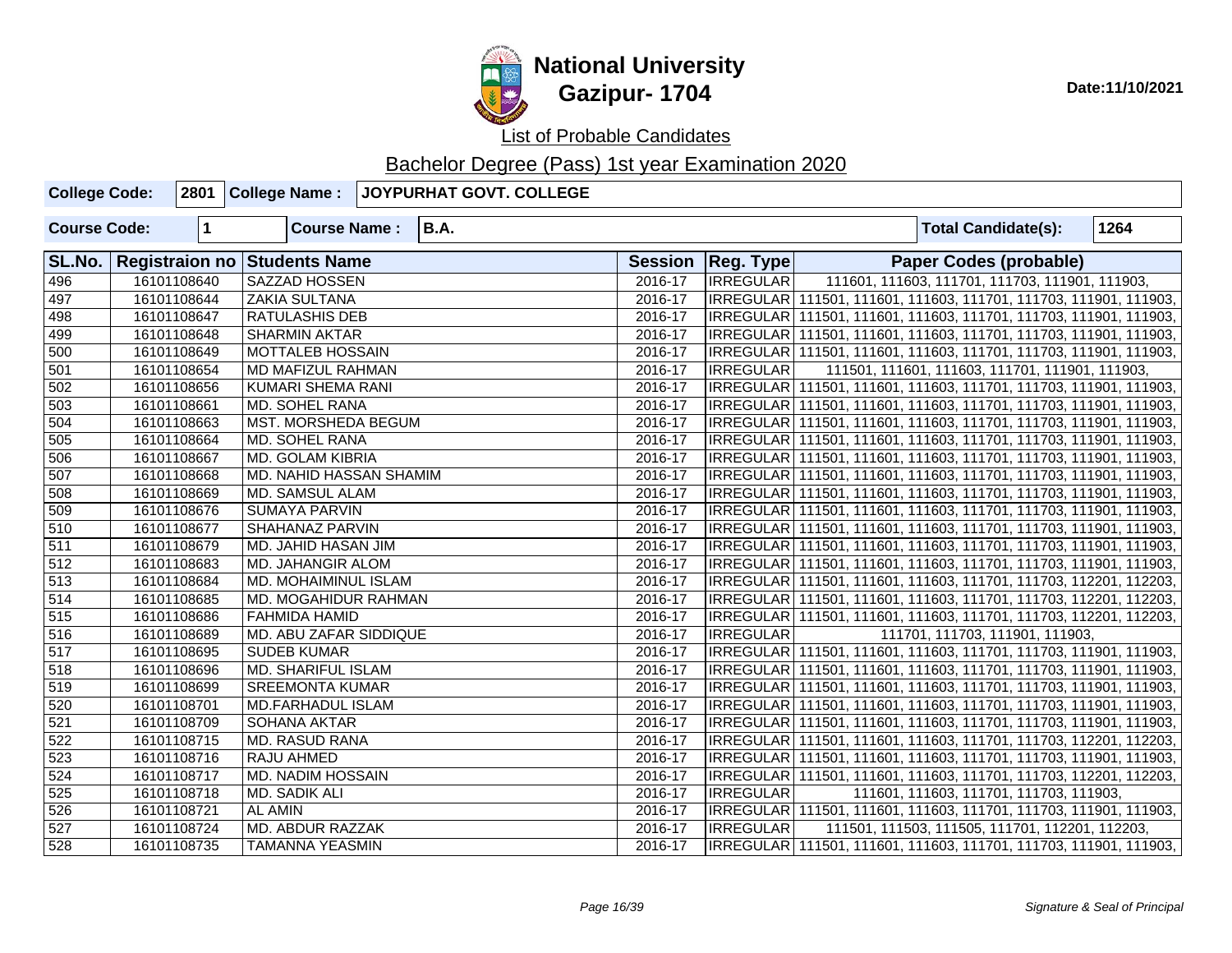

| <b>College Code:</b> |             | 2801 College Name:           | JOYPURHAT GOVT. COLLEGE |         |                                                                     |                                                                     |  |  |  |  |
|----------------------|-------------|------------------------------|-------------------------|---------|---------------------------------------------------------------------|---------------------------------------------------------------------|--|--|--|--|
| <b>Course Code:</b>  | $\mathbf 1$ | <b>Course Name:</b>          | <b>B.A.</b>             |         |                                                                     | 1264<br><b>Total Candidate(s):</b>                                  |  |  |  |  |
| SL.No.               |             | Registraion no Students Name |                         |         | Session   Reg. Type                                                 | <b>Paper Codes (probable)</b>                                       |  |  |  |  |
| 496                  | 16101108640 | SAZZAD HOSSEN                |                         | 2016-17 | <b>IRREGULAR</b>                                                    | 111601, 111603, 111701, 111703, 111901, 111903,                     |  |  |  |  |
| 497                  | 16101108644 | <b>ZAKIA SULTANA</b>         |                         | 2016-17 |                                                                     | IRREGULAR 111501, 111601, 111603, 111701, 111703, 111901, 111903,   |  |  |  |  |
| 498                  | 16101108647 | <b>RATULASHIS DEB</b>        |                         | 2016-17 |                                                                     | IRREGULAR 111501, 111601, 111603, 111701, 111703, 111901, 111903,   |  |  |  |  |
| 499                  | 16101108648 | <b>SHARMIN AKTAR</b>         |                         | 2016-17 |                                                                     | IRREGULAR   111501, 111601, 111603, 111701, 111703, 111901, 111903, |  |  |  |  |
| 500                  | 16101108649 | <b>MOTTALEB HOSSAIN</b>      |                         | 2016-17 |                                                                     | IRREGULAR   111501, 111601, 111603, 111701, 111703, 111901, 111903, |  |  |  |  |
| 501                  | 16101108654 | <b>MD MAFIZUL RAHMAN</b>     |                         | 2016-17 | <b>IRREGULAR</b><br>111501, 111601, 111603, 111701, 111901, 111903, |                                                                     |  |  |  |  |
| 502                  | 16101108656 | KUMARI SHEMA RANI            |                         | 2016-17 | IRREGULAR 111501, 111601, 111603, 111701, 111703, 111901, 111903,   |                                                                     |  |  |  |  |
| 503                  | 16101108661 | MD. SOHEL RANA               |                         | 2016-17 |                                                                     | IRREGULAR   111501, 111601, 111603, 111701, 111703, 111901, 111903, |  |  |  |  |
| 504                  | 16101108663 | MST. MORSHEDA BEGUM          |                         | 2016-17 |                                                                     | IRREGULAR   111501, 111601, 111603, 111701, 111703, 111901, 111903, |  |  |  |  |
| 505                  | 16101108664 | <b>MD. SOHEL RANA</b>        |                         | 2016-17 |                                                                     | IRREGULAR 111501, 111601, 111603, 111701, 111703, 111901, 111903,   |  |  |  |  |
| 506                  | 16101108667 | <b>MD. GOLAM KIBRIA</b>      |                         | 2016-17 |                                                                     | IRREGULAR 111501, 111601, 111603, 111701, 111703, 111901, 111903,   |  |  |  |  |
| 507                  | 16101108668 | MD. NAHID HASSAN SHAMIM      |                         | 2016-17 |                                                                     | IRREGULAR 111501, 111601, 111603, 111701, 111703, 111901, 111903,   |  |  |  |  |
| 508                  | 16101108669 | MD. SAMSUL ALAM              |                         | 2016-17 |                                                                     | IRREGULAR 111501, 111601, 111603, 111701, 111703, 111901, 111903,   |  |  |  |  |
| 509                  | 16101108676 | <b>SUMAYA PARVIN</b>         |                         | 2016-17 |                                                                     | IRREGULAR   111501, 111601, 111603, 111701, 111703, 111901, 111903, |  |  |  |  |
| 510                  | 16101108677 | SHAHANAZ PARVIN              |                         | 2016-17 |                                                                     | IRREGULAR   111501, 111601, 111603, 111701, 111703, 111901, 111903, |  |  |  |  |
| 511                  | 16101108679 | MD. JAHID HASAN JIM          |                         | 2016-17 | IRREGULAR 111501, 111601, 111603, 111701, 111703, 111901, 111903,   |                                                                     |  |  |  |  |
| 512                  | 16101108683 | MD. JAHANGIR ALOM            |                         | 2016-17 |                                                                     | IRREGULAR   111501, 111601, 111603, 111701, 111703, 111901, 111903, |  |  |  |  |
| $\overline{513}$     | 16101108684 | MD. MOHAIMINUL ISLAM         |                         | 2016-17 |                                                                     | IRREGULAR 111501, 111601, 111603, 111701, 111703, 112201, 112203,   |  |  |  |  |
| $\overline{514}$     | 16101108685 | MD. MOGAHIDUR RAHMAN         |                         | 2016-17 |                                                                     | IRREGULAR   111501, 111601, 111603, 111701, 111703, 112201, 112203, |  |  |  |  |
| 515                  | 16101108686 | FAHMIDA HAMID                |                         | 2016-17 |                                                                     | IRREGULAR   111501, 111601, 111603, 111701, 111703, 112201, 112203, |  |  |  |  |
| $\overline{516}$     | 16101108689 | MD. ABU ZAFAR SIDDIQUE       |                         | 2016-17 | <b>IRREGULAR</b>                                                    | 111701, 111703, 111901, 111903,                                     |  |  |  |  |
| 517                  | 16101108695 | <b>SUDEB KUMAR</b>           |                         | 2016-17 |                                                                     | IRREGULAR 111501, 111601, 111603, 111701, 111703, 111901, 111903,   |  |  |  |  |
| 518                  | 16101108696 | MD. SHARIFUL ISLAM           |                         | 2016-17 |                                                                     | IRREGULAR   111501, 111601, 111603, 111701, 111703, 111901, 111903, |  |  |  |  |
| 519                  | 16101108699 | <b>SREEMONTA KUMAR</b>       |                         | 2016-17 |                                                                     | IRREGULAR   111501, 111601, 111603, 111701, 111703, 111901, 111903, |  |  |  |  |
| 520                  | 16101108701 | MD.FARHADUL ISLAM            |                         | 2016-17 |                                                                     | IRREGULAR 111501, 111601, 111603, 111701, 111703, 111901, 111903,   |  |  |  |  |
| 521                  | 16101108709 | SOHANA AKTAR                 |                         | 2016-17 |                                                                     | IRREGULAR   111501, 111601, 111603, 111701, 111703, 111901, 111903, |  |  |  |  |
| 522                  | 16101108715 | <b>MD. RASUD RANA</b>        |                         | 2016-17 |                                                                     | IRREGULAR   111501, 111601, 111603, 111701, 111703, 112201, 112203, |  |  |  |  |
| 523                  | 16101108716 | <b>RAJU AHMED</b>            |                         | 2016-17 |                                                                     | IRREGULAR 111501, 111601, 111603, 111701, 111703, 111901, 111903,   |  |  |  |  |
| 524                  | 16101108717 | MD. NADIM HOSSAIN            |                         | 2016-17 |                                                                     | IRREGULAR 111501, 111601, 111603, 111701, 111703, 112201, 112203,   |  |  |  |  |
| 525                  | 16101108718 | MD. SADIK ALI                |                         | 2016-17 | <b>IRREGULAR</b>                                                    | 111601, 111603, 111701, 111703, 111903,                             |  |  |  |  |
| 526                  | 16101108721 | <b>AL AMIN</b>               |                         | 2016-17 |                                                                     | IRREGULAR 111501, 111601, 111603, 111701, 111703, 111901, 111903,   |  |  |  |  |
| 527                  | 16101108724 | <b>MD. ABDUR RAZZAK</b>      |                         | 2016-17 | <b>IRREGULAR</b>                                                    | 111501, 111503, 111505, 111701, 112201, 112203,                     |  |  |  |  |
| 528                  | 16101108735 | <b>TAMANNA YEASMIN</b>       |                         | 2016-17 |                                                                     | IRREGULAR   111501, 111601, 111603, 111701, 111703, 111901, 111903, |  |  |  |  |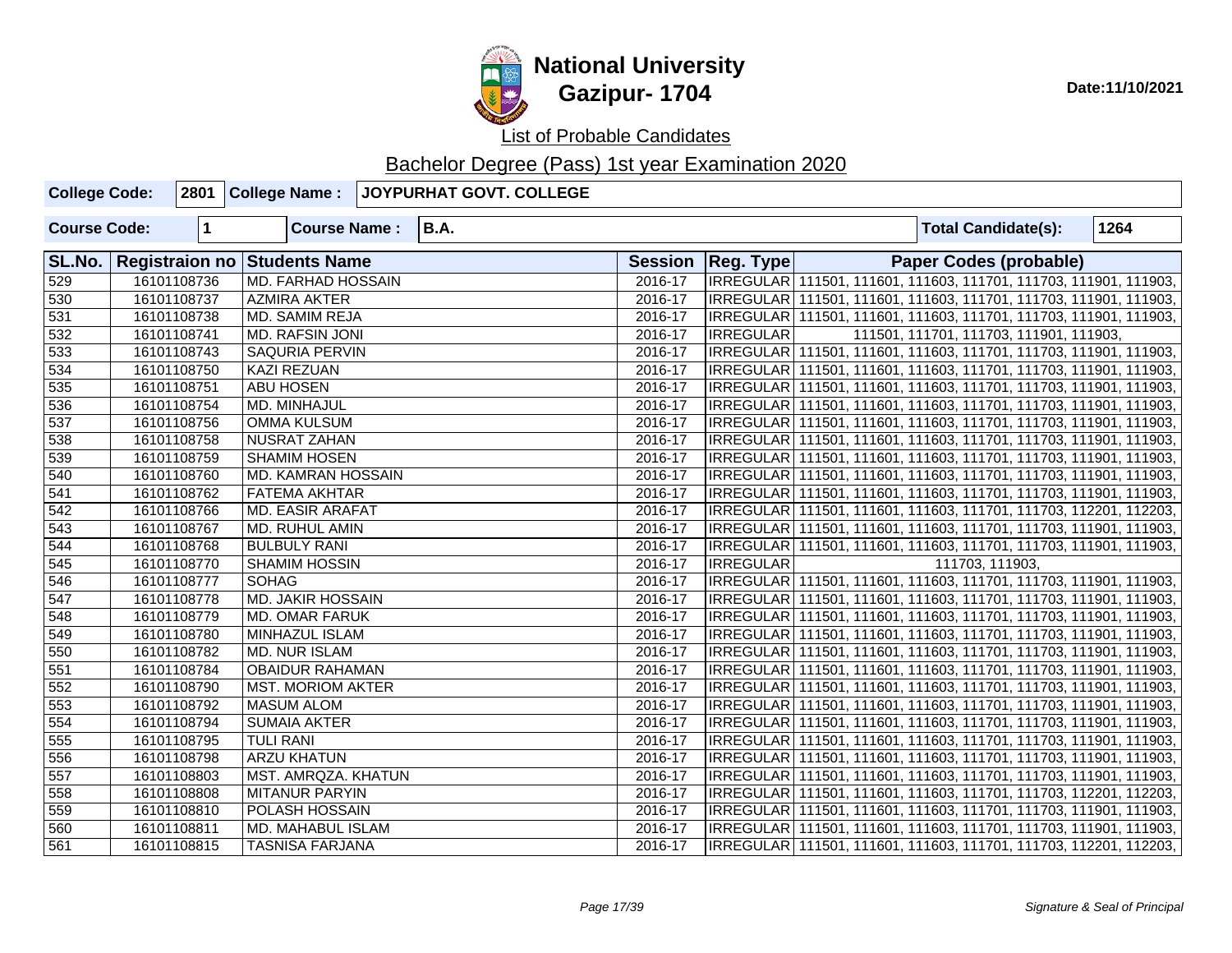

| <b>College Code:</b> |             | 2801 College Name:           | JOYPURHAT GOVT. COLLEGE |         |                                                                     |  |                 |                                         |      |  |
|----------------------|-------------|------------------------------|-------------------------|---------|---------------------------------------------------------------------|--|-----------------|-----------------------------------------|------|--|
| <b>Course Code:</b>  | $\mathbf 1$ | <b>Course Name:</b>          | <b>B.A.</b>             |         |                                                                     |  |                 | <b>Total Candidate(s):</b>              | 1264 |  |
| SL.No.               |             | Registraion no Students Name |                         |         | Session   Reg. Type                                                 |  |                 | <b>Paper Codes (probable)</b>           |      |  |
| 529                  | 16101108736 | <b>MD. FARHAD HOSSAIN</b>    |                         | 2016-17 | IRREGULAR 111501, 111601, 111603, 111701, 111703, 111901, 111903,   |  |                 |                                         |      |  |
| 530                  | 16101108737 | <b>AZMIRA AKTER</b>          |                         | 2016-17 | IRREGULAR 111501, 111601, 111603, 111701, 111703, 111901, 111903,   |  |                 |                                         |      |  |
| 531                  | 16101108738 | MD. SAMIM REJA               |                         | 2016-17 | IRREGULAR 111501, 111601, 111603, 111701, 111703, 111901, 111903,   |  |                 |                                         |      |  |
| 532                  | 16101108741 | MD. RAFSIN JONI              |                         | 2016-17 | <b>IRREGULAR</b>                                                    |  |                 | 111501, 111701, 111703, 111901, 111903, |      |  |
| 533                  | 16101108743 | <b>SAQURIA PERVIN</b>        |                         | 2016-17 | IRREGULAR 111501, 111601, 111603, 111701, 111703, 111901, 111903,   |  |                 |                                         |      |  |
| $\overline{534}$     | 16101108750 | <b>KAZI REZUAN</b>           |                         | 2016-17 | IRREGULAR   111501, 111601, 111603, 111701, 111703, 111901, 111903, |  |                 |                                         |      |  |
| 535                  | 16101108751 | <b>ABU HOSEN</b>             |                         | 2016-17 | IRREGULAR   111501, 111601, 111603, 111701, 111703, 111901, 111903, |  |                 |                                         |      |  |
| 536                  | 16101108754 | MD. MINHAJUL                 |                         | 2016-17 | IRREGULAR   111501, 111601, 111603, 111701, 111703, 111901, 111903, |  |                 |                                         |      |  |
| 537                  | 16101108756 | <b>OMMA KULSUM</b>           |                         | 2016-17 | IRREGULAR   111501, 111601, 111603, 111701, 111703, 111901, 111903, |  |                 |                                         |      |  |
| 538                  | 16101108758 | NUSRAT ZAHAN                 |                         | 2016-17 | IRREGULAR   111501, 111601, 111603, 111701, 111703, 111901, 111903, |  |                 |                                         |      |  |
| 539                  | 16101108759 | <b>SHAMIM HOSEN</b>          |                         | 2016-17 | IRREGULAR   111501, 111601, 111603, 111701, 111703, 111901, 111903, |  |                 |                                         |      |  |
| 540                  | 16101108760 | MD. KAMRAN HOSSAIN           |                         | 2016-17 | IRREGULAR   111501, 111601, 111603, 111701, 111703, 111901, 111903, |  |                 |                                         |      |  |
| $\overline{541}$     | 16101108762 | <b>FATEMA AKHTAR</b>         |                         | 2016-17 | IRREGULAR   111501, 111601, 111603, 111701, 111703, 111901, 111903, |  |                 |                                         |      |  |
| 542                  | 16101108766 | <b>MD. EASIR ARAFAT</b>      |                         | 2016-17 | IRREGULAR   111501, 111601, 111603, 111701, 111703, 112201, 112203, |  |                 |                                         |      |  |
| $\overline{543}$     | 16101108767 | MD. RUHUL AMIN               |                         | 2016-17 | IRREGULAR   111501, 111601, 111603, 111701, 111703, 111901, 111903, |  |                 |                                         |      |  |
| 544                  | 16101108768 | <b>BULBULY RANI</b>          |                         | 2016-17 | IRREGULAR   111501, 111601, 111603, 111701, 111703, 111901, 111903, |  |                 |                                         |      |  |
| 545                  | 16101108770 | <b>SHAMIM HOSSIN</b>         |                         | 2016-17 | <b>IRREGULAR</b>                                                    |  | 111703, 111903, |                                         |      |  |
| 546                  | 16101108777 | <b>SOHAG</b>                 |                         | 2016-17 | IRREGULAR   111501, 111601, 111603, 111701, 111703, 111901, 111903, |  |                 |                                         |      |  |
| 547                  | 16101108778 | <b>MD. JAKIR HOSSAIN</b>     |                         | 2016-17 | IRREGULAR   111501, 111601, 111603, 111701, 111703, 111901, 111903, |  |                 |                                         |      |  |
| 548                  | 16101108779 | MD. OMAR FARUK               |                         | 2016-17 | IRREGULAR   111501, 111601, 111603, 111701, 111703, 111901, 111903, |  |                 |                                         |      |  |
| 549                  | 16101108780 | MINHAZUL ISLAM               |                         | 2016-17 | IRREGULAR   111501, 111601, 111603, 111701, 111703, 111901, 111903, |  |                 |                                         |      |  |
| 550                  | 16101108782 | MD. NUR ISLAM                |                         | 2016-17 | IRREGULAR   111501, 111601, 111603, 111701, 111703, 111901, 111903, |  |                 |                                         |      |  |
| 551                  | 16101108784 | <b>OBAIDUR RAHAMAN</b>       |                         | 2016-17 | IRREGULAR   111501, 111601, 111603, 111701, 111703, 111901, 111903, |  |                 |                                         |      |  |
| 552                  | 16101108790 | <b>MST. MORIOM AKTER</b>     |                         | 2016-17 | IRREGULAR   111501, 111601, 111603, 111701, 111703, 111901, 111903, |  |                 |                                         |      |  |
| 553                  | 16101108792 | <b>MASUM ALOM</b>            |                         | 2016-17 | IRREGULAR   111501, 111601, 111603, 111701, 111703, 111901, 111903, |  |                 |                                         |      |  |
| $\overline{554}$     | 16101108794 | <b>SUMAIA AKTER</b>          |                         | 2016-17 | IRREGULAR   111501, 111601, 111603, 111701, 111703, 111901, 111903, |  |                 |                                         |      |  |
| 555                  | 16101108795 | <b>TULI RANI</b>             |                         | 2016-17 | IRREGULAR   111501, 111601, 111603, 111701, 111703, 111901, 111903, |  |                 |                                         |      |  |
| 556                  | 16101108798 | <b>ARZU KHATUN</b>           |                         | 2016-17 | IRREGULAR   111501, 111601, 111603, 111701, 111703, 111901, 111903, |  |                 |                                         |      |  |
| 557                  | 16101108803 | MST. AMRQZA. KHATUN          |                         | 2016-17 | IRREGULAR 111501, 111601, 111603, 111701, 111703, 111901, 111903,   |  |                 |                                         |      |  |
| 558                  | 16101108808 | <b>MITANUR PARYIN</b>        |                         | 2016-17 | IRREGULAR   111501, 111601, 111603, 111701, 111703, 112201, 112203, |  |                 |                                         |      |  |
| 559                  | 16101108810 | POLASH HOSSAIN               |                         | 2016-17 | IRREGULAR   111501, 111601, 111603, 111701, 111703, 111901, 111903, |  |                 |                                         |      |  |
| 560                  | 16101108811 | MD. MAHABUL ISLAM            |                         | 2016-17 | IRREGULAR   111501, 111601, 111603, 111701, 111703, 111901, 111903, |  |                 |                                         |      |  |
| 561                  | 16101108815 | <b>TASNISA FARJANA</b>       |                         | 2016-17 | IRREGULAR   111501, 111601, 111603, 111701, 111703, 112201, 112203, |  |                 |                                         |      |  |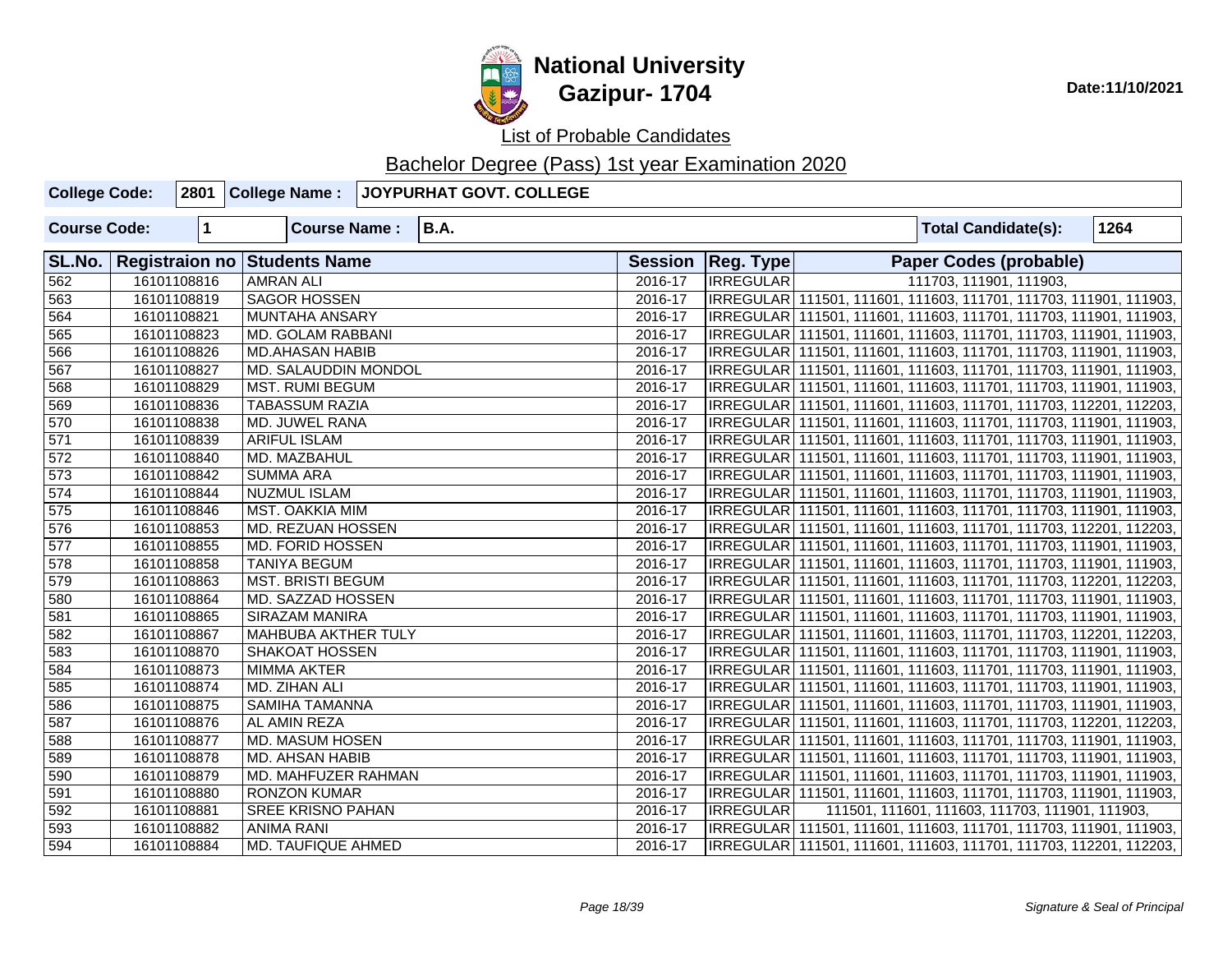

| <b>College Code:</b> |              | 2801 College Name:                  | JOYPURHAT GOVT. COLLEGE |             |                     |                                                                     |      |
|----------------------|--------------|-------------------------------------|-------------------------|-------------|---------------------|---------------------------------------------------------------------|------|
| <b>Course Code:</b>  | $\mathbf{1}$ | <b>Course Name:</b>                 | <b>B.A.</b>             |             |                     | <b>Total Candidate(s):</b>                                          | 1264 |
| SL.No.               |              | <b>Registraion no Students Name</b> |                         |             | Session   Reg. Type | Paper Codes (probable)                                              |      |
| 562                  | 16101108816  | <b>AMRAN ALI</b>                    |                         | 2016-17     | <b>IRREGULAR</b>    | 111703, 111901, 111903,                                             |      |
| 563                  | 16101108819  | <b>SAGOR HOSSEN</b>                 |                         | 2016-17     |                     | IRREGULAR 111501, 111601, 111603, 111701, 111703, 111901, 111903,   |      |
| 564                  | 16101108821  | <b>MUNTAHA ANSARY</b>               |                         | 2016-17     |                     | IRREGULAR   111501, 111601, 111603, 111701, 111703, 111901, 111903, |      |
| 565                  | 16101108823  | MD. GOLAM RABBANI                   |                         | 2016-17     |                     | IRREGULAR 111501, 111601, 111603, 111701, 111703, 111901, 111903,   |      |
| 566                  | 16101108826  | <b>MD.AHASAN HABIB</b>              |                         | $2016 - 17$ |                     | IRREGULAR 111501, 111601, 111603, 111701, 111703, 111901, 111903,   |      |
| 567                  | 16101108827  | MD. SALAUDDIN MONDOL                |                         | 2016-17     |                     | IRREGULAR   111501, 111601, 111603, 111701, 111703, 111901, 111903, |      |
| 568                  | 16101108829  | MST. RUMI BEGUM                     |                         | 2016-17     |                     | IRREGULAR 111501, 111601, 111603, 111701, 111703, 111901, 111903,   |      |
| 569                  | 16101108836  | <b>TABASSUM RAZIA</b>               |                         | 2016-17     |                     | IRREGULAR 111501, 111601, 111603, 111701, 111703, 112201, 112203,   |      |
| 570                  | 16101108838  | MD. JUWEL RANA                      |                         | 2016-17     |                     | IRREGULAR 111501, 111601, 111603, 111701, 111703, 111901, 111903,   |      |
| 571                  | 16101108839  | <b>ARIFUL ISLAM</b>                 |                         | $2016 - 17$ |                     | IRREGULAR 111501, 111601, 111603, 111701, 111703, 111901, 111903,   |      |
| 572                  | 16101108840  | MD. MAZBAHUL                        |                         | 2016-17     |                     | IRREGULAR 111501, 111601, 111603, 111701, 111703, 111901, 111903,   |      |
| $\overline{573}$     | 16101108842  | <b>SUMMA ARA</b>                    |                         | 2016-17     |                     | IRREGULAR   111501, 111601, 111603, 111701, 111703, 111901, 111903, |      |
| 574                  | 16101108844  | <b>NUZMUL ISLAM</b>                 |                         | 2016-17     |                     | IRREGULAR   111501, 111601, 111603, 111701, 111703, 111901, 111903, |      |
| 575                  | 16101108846  | MST. OAKKIA MIM                     |                         | 2016-17     |                     | IRREGULAR   111501, 111601, 111603, 111701, 111703, 111901, 111903, |      |
| 576                  | 16101108853  | MD. REZUAN HOSSEN                   |                         | 2016-17     |                     | IRREGULAR 111501, 111601, 111603, 111701, 111703, 112201, 112203,   |      |
| $\overline{577}$     | 16101108855  | <b>MD. FORID HOSSEN</b>             |                         | 2016-17     |                     | IRREGULAR   111501, 111601, 111603, 111701, 111703, 111901, 111903, |      |
| 578                  | 16101108858  | <b>TANIYA BEGUM</b>                 |                         | 2016-17     |                     | IRREGULAR 111501, 111601, 111603, 111701, 111703, 111901, 111903,   |      |
| 579                  | 16101108863  | <b>MST. BRISTI BEGUM</b>            |                         | 2016-17     |                     | IRREGULAR   111501, 111601, 111603, 111701, 111703, 112201, 112203, |      |
| 580                  | 16101108864  | MD. SAZZAD HOSSEN                   |                         | 2016-17     |                     | IRREGULAR 111501, 111601, 111603, 111701, 111703, 111901, 111903,   |      |
| 581                  | 16101108865  | <b>SIRAZAM MANIRA</b>               |                         | 2016-17     |                     | IRREGULAR   111501, 111601, 111603, 111701, 111703, 111901, 111903, |      |
| 582                  | 16101108867  | <b>MAHBUBA AKTHER TULY</b>          |                         | 2016-17     |                     | IRREGULAR 111501, 111601, 111603, 111701, 111703, 112201, 112203,   |      |
| 583                  | 16101108870  | <b>SHAKOAT HOSSEN</b>               |                         | 2016-17     |                     | IRREGULAR   111501, 111601, 111603, 111701, 111703, 111901, 111903, |      |
| 584                  | 16101108873  | <b>MIMMA AKTER</b>                  |                         | 2016-17     |                     | IRREGULAR   111501, 111601, 111603, 111701, 111703, 111901, 111903, |      |
| 585                  | 16101108874  | MD. ZIHAN ALI                       |                         | 2016-17     |                     | IRREGULAR   111501, 111601, 111603, 111701, 111703, 111901, 111903, |      |
| 586                  | 16101108875  | SAMIHA TAMANNA                      |                         | 2016-17     |                     | IRREGULAR 111501, 111601, 111603, 111701, 111703, 111901, 111903,   |      |
| 587                  | 16101108876  | <b>AL AMIN REZA</b>                 |                         | 2016-17     |                     | IRREGULAR 111501, 111601, 111603, 111701, 111703, 112201, 112203,   |      |
| 588                  | 16101108877  | MD. MASUM HOSEN                     |                         | 2016-17     |                     | IRREGULAR   111501, 111601, 111603, 111701, 111703, 111901, 111903, |      |
| 589                  | 16101108878  | MD. AHSAN HABIB                     |                         | 2016-17     |                     | IRREGULAR   111501, 111601, 111603, 111701, 111703, 111901, 111903, |      |
| 590                  | 16101108879  | MD. MAHFUZER RAHMAN                 |                         | 2016-17     |                     | IRREGULAR   111501, 111601, 111603, 111701, 111703, 111901, 111903, |      |
| 591                  | 16101108880  | <b>RONZON KUMAR</b>                 |                         | 2016-17     |                     | IRREGULAR 111501, 111601, 111603, 111701, 111703, 111901, 111903,   |      |
| 592                  | 16101108881  | <b>SREE KRISNO PAHAN</b>            |                         | 2016-17     | <b>IRREGULAR</b>    | 111501, 111601, 111603, 111703, 111901, 111903,                     |      |
| 593                  | 16101108882  | <b>ANIMA RANI</b>                   |                         | 2016-17     |                     | IRREGULAR   111501, 111601, 111603, 111701, 111703, 111901, 111903, |      |
| 594                  | 16101108884  | MD. TAUFIQUE AHMED                  |                         | 2016-17     |                     | IRREGULAR 111501, 111601, 111603, 111701, 111703, 112201, 112203,   |      |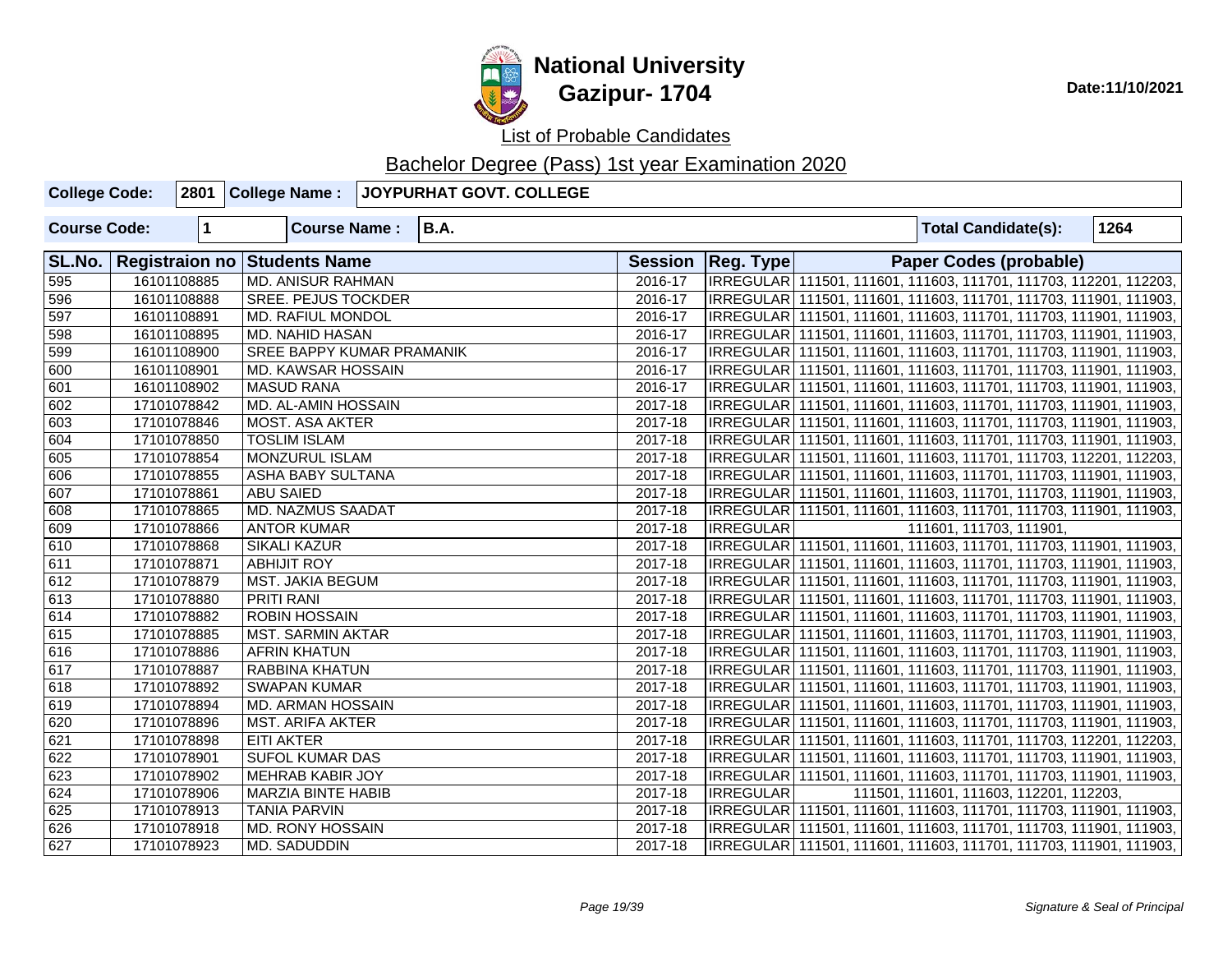

**National University Gazipur- 1704** Date:11/10/2021

List of Probable Candidates

| <b>College Code:</b> |             |                                  | 2801 College Name : JOYPURHAT GOVT. COLLEGE |         |                     |                                                                     |
|----------------------|-------------|----------------------------------|---------------------------------------------|---------|---------------------|---------------------------------------------------------------------|
| <b>Course Code:</b>  | $\vert$ 1   | <b>Course Name:</b>              | B.A.                                        |         |                     | 1264<br><b>Total Candidate(s):</b>                                  |
| SL.No.               |             | Registraion no Students Name     |                                             |         | Session   Reg. Type | <b>Paper Codes (probable)</b>                                       |
| 595                  | 16101108885 | <b>MD. ANISUR RAHMAN</b>         |                                             | 2016-17 |                     | IRREGULAR 111501, 111601, 111603, 111701, 111703, 112201, 112203,   |
| 596                  | 16101108888 | <b>SREE. PEJUS TOCKDER</b>       |                                             | 2016-17 |                     | IRREGULAR 111501, 111601, 111603, 111701, 111703, 111901, 111903,   |
| 597                  | 16101108891 | <b>MD. RAFIUL MONDOL</b>         |                                             | 2016-17 |                     | IRREGULAR 111501, 111601, 111603, 111701, 111703, 111901, 111903,   |
| 598                  | 16101108895 | MD. NAHID HASAN                  |                                             | 2016-17 |                     | IRREGULAR 111501, 111601, 111603, 111701, 111703, 111901, 111903,   |
| 599                  | 16101108900 | <b>SREE BAPPY KUMAR PRAMANIK</b> |                                             | 2016-17 |                     | IRREGULAR 111501, 111601, 111603, 111701, 111703, 111901, 111903,   |
| 600                  | 16101108901 | MD. KAWSAR HOSSAIN               |                                             | 2016-17 |                     | IRREGULAR   111501, 111601, 111603, 111701, 111703, 111901, 111903, |
| 601                  | 16101108902 | <b>MASUD RANA</b>                |                                             | 2016-17 |                     | IRREGULAR   111501, 111601, 111603, 111701, 111703, 111901, 111903, |
| 602                  | 17101078842 | MD. AL-AMIN HOSSAIN              |                                             | 2017-18 |                     | IRREGULAR   111501, 111601, 111603, 111701, 111703, 111901, 111903, |
| 603                  | 17101078846 | <b>MOST. ASA AKTER</b>           |                                             | 2017-18 |                     | IRREGULAR   111501, 111601, 111603, 111701, 111703, 111901, 111903, |
| 604                  | 17101078850 | <b>TOSLIM ISLAM</b>              |                                             | 2017-18 |                     | IRREGULAR   111501, 111601, 111603, 111701, 111703, 111901, 111903, |
| 605                  | 17101078854 | <b>MONZURUL ISLAM</b>            |                                             | 2017-18 |                     | IRREGULAR   111501, 111601, 111603, 111701, 111703, 112201, 112203, |
| 606                  | 17101078855 | ASHA BABY SULTANA                |                                             | 2017-18 |                     | IRREGULAR   111501, 111601, 111603, 111701, 111703, 111901, 111903, |
| 607                  | 17101078861 | <b>ABU SAIED</b>                 |                                             | 2017-18 |                     | IRREGULAR   111501, 111601, 111603, 111701, 111703, 111901, 111903, |
| 608                  | 17101078865 | MD. NAZMUS SAADAT                |                                             | 2017-18 |                     | IRREGULAR   111501, 111601, 111603, 111701, 111703, 111901, 111903, |
| 609                  | 17101078866 | <b>ANTOR KUMAR</b>               |                                             | 2017-18 | <b>IRREGULAR</b>    | 111601, 111703, 111901,                                             |
| 610                  | 17101078868 | <b>SIKALI KAZUR</b>              |                                             | 2017-18 |                     | IRREGULAR   111501, 111601, 111603, 111701, 111703, 111901, 111903, |
| 611                  | 17101078871 | <b>ABHIJIT ROY</b>               |                                             | 2017-18 |                     | IRREGULAR   111501, 111601, 111603, 111701, 111703, 111901, 111903, |
| 612                  | 17101078879 | MST. JAKIA BEGUM                 |                                             | 2017-18 |                     | IRREGULAR 111501, 111601, 111603, 111701, 111703, 111901, 111903,   |
| 613                  | 17101078880 | PRITI RANI                       |                                             | 2017-18 |                     | IRREGULAR   111501, 111601, 111603, 111701, 111703, 111901, 111903, |
| 614                  | 17101078882 | <b>ROBIN HOSSAIN</b>             |                                             | 2017-18 |                     | IRREGULAR   111501, 111601, 111603, 111701, 111703, 111901, 111903, |
| 615                  | 17101078885 | <b>MST. SARMIN AKTAR</b>         |                                             | 2017-18 |                     | IRREGULAR 111501, 111601, 111603, 111701, 111703, 111901, 111903,   |
| 616                  | 17101078886 | <b>AFRIN KHATUN</b>              |                                             | 2017-18 |                     | IRREGULAR   111501, 111601, 111603, 111701, 111703, 111901, 111903, |
| 617                  | 17101078887 | RABBINA KHATUN                   |                                             | 2017-18 |                     | IRREGULAR   111501, 111601, 111603, 111701, 111703, 111901, 111903, |
| 618                  | 17101078892 | <b>SWAPAN KUMAR</b>              |                                             | 2017-18 |                     | IRREGULAR   111501, 111601, 111603, 111701, 111703, 111901, 111903, |
| 619                  | 17101078894 | MD. ARMAN HOSSAIN                |                                             | 2017-18 |                     | IRREGULAR   111501, 111601, 111603, 111701, 111703, 111901, 111903, |
| 620                  | 17101078896 | <b>MST. ARIFA AKTER</b>          |                                             | 2017-18 |                     | IRREGULAR   111501, 111601, 111603, 111701, 111703, 111901, 111903, |
| 621                  | 17101078898 | <b>EITI AKTER</b>                |                                             | 2017-18 |                     | IRREGULAR   111501, 111601, 111603, 111701, 111703, 112201, 112203, |
| 622                  | 17101078901 | <b>SUFOL KUMAR DAS</b>           |                                             | 2017-18 |                     | IRREGULAR   111501, 111601, 111603, 111701, 111703, 111901, 111903, |
| 623                  | 17101078902 | <b>MEHRAB KABIR JOY</b>          |                                             | 2017-18 |                     | IRREGULAR   111501, 111601, 111603, 111701, 111703, 111901, 111903, |
| 624                  | 17101078906 | <b>MARZIA BINTE HABIB</b>        |                                             | 2017-18 | <b>IRREGULAR</b>    | 111501, 111601, 111603, 112201, 112203,                             |
| 625                  | 17101078913 | <b>TANIA PARVIN</b>              |                                             | 2017-18 |                     | IRREGULAR   111501, 111601, 111603, 111701, 111703, 111901, 111903, |
| 626                  | 17101078918 | <b>MD. RONY HOSSAIN</b>          |                                             | 2017-18 |                     | IRREGULAR   111501, 111601, 111603, 111701, 111703, 111901, 111903, |
| 627                  | 17101078923 | MD. SADUDDIN                     |                                             | 2017-18 |                     | IRREGULAR   111501, 111601, 111603, 111701, 111703, 111901, 111903, |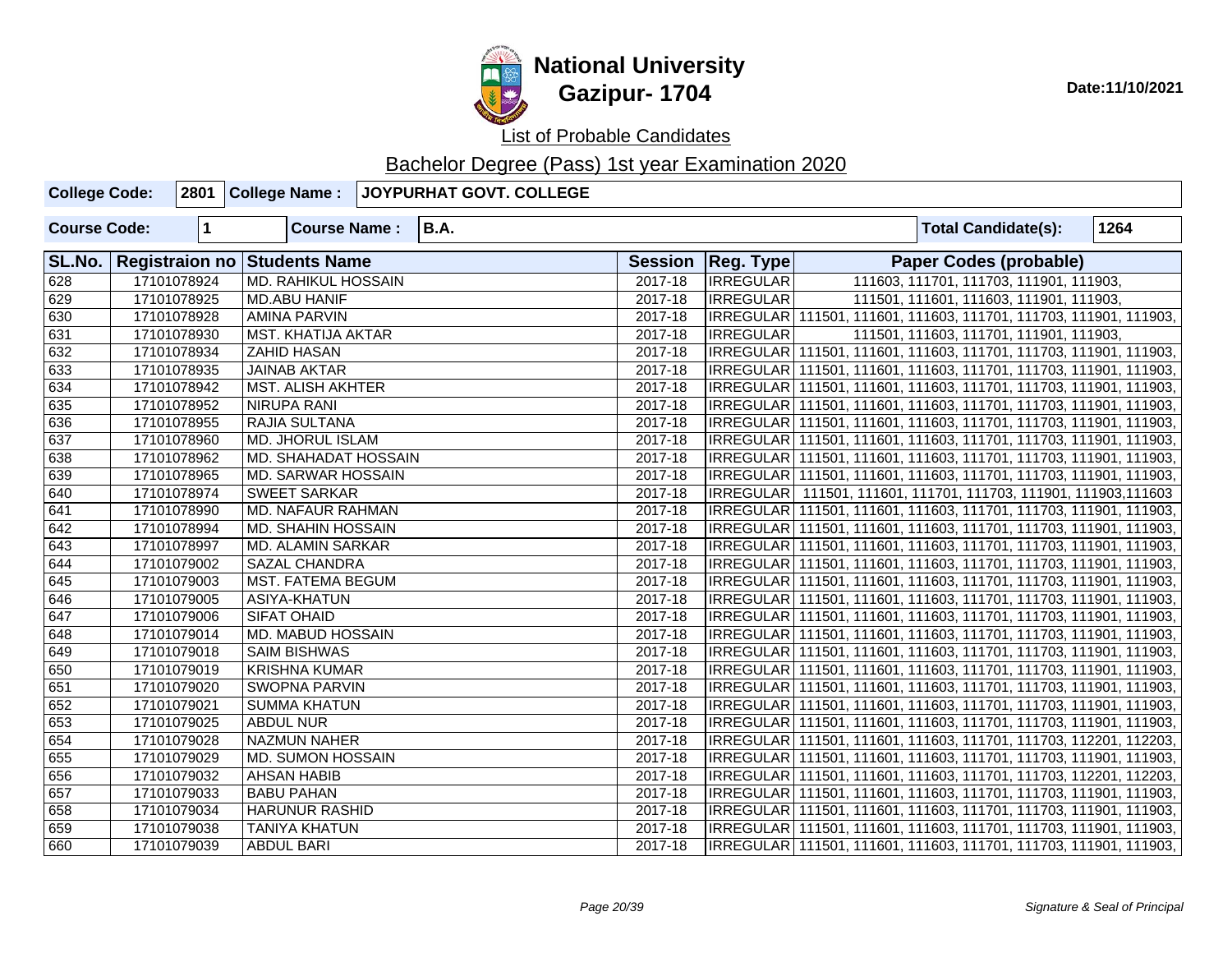

| <b>College Code:</b> |             | 2801 College Name:                  | <b>JOYPURHAT GOVT. COLLEGE</b> |         |                     |                                                                     |      |
|----------------------|-------------|-------------------------------------|--------------------------------|---------|---------------------|---------------------------------------------------------------------|------|
| <b>Course Code:</b>  | $\mathbf 1$ | <b>Course Name:</b>                 | <b>B.A.</b>                    |         |                     | <b>Total Candidate(s):</b>                                          | 1264 |
| SL.No.               |             | <b>Registraion no Students Name</b> |                                |         | Session   Reg. Type | <b>Paper Codes (probable)</b>                                       |      |
| 628                  | 17101078924 | <b>MD. RAHIKUL HOSSAIN</b>          |                                | 2017-18 | <b>IRREGULAR</b>    | 111603, 111701, 111703, 111901, 111903,                             |      |
| 629                  | 17101078925 | <b>MD.ABU HANIF</b>                 |                                | 2017-18 | <b>IRREGULAR</b>    | 111501, 111601, 111603, 111901, 111903,                             |      |
| 630                  | 17101078928 | <b>AMINA PARVIN</b>                 |                                | 2017-18 |                     | IRREGULAR 111501, 111601, 111603, 111701, 111703, 111901, 111903,   |      |
| 631                  | 17101078930 | MST. KHATIJA AKTAR                  |                                | 2017-18 | <b>IRREGULAR</b>    | 111501, 111603, 111701, 111901, 111903,                             |      |
| 632                  | 17101078934 | <b>ZAHID HASAN</b>                  |                                | 2017-18 |                     | IRREGULAR 111501, 111601, 111603, 111701, 111703, 111901, 111903,   |      |
| 633                  | 17101078935 | <b>JAINAB AKTAR</b>                 |                                | 2017-18 |                     | IRREGULAR 111501, 111601, 111603, 111701, 111703, 111901, 111903,   |      |
| 634                  | 17101078942 | <b>MST. ALISH AKHTER</b>            |                                | 2017-18 |                     | IRREGULAR 111501, 111601, 111603, 111701, 111703, 111901, 111903,   |      |
| 635                  | 17101078952 | <b>NIRUPA RANI</b>                  |                                | 2017-18 |                     | IRREGULAR 111501, 111601, 111603, 111701, 111703, 111901, 111903,   |      |
| 636                  | 17101078955 | RAJIA SULTANA                       |                                | 2017-18 |                     | IRREGULAR 111501, 111601, 111603, 111701, 111703, 111901, 111903,   |      |
| 637                  | 17101078960 | <b>MD. JHORUL ISLAM</b>             |                                | 2017-18 |                     | IRREGULAR 111501, 111601, 111603, 111701, 111703, 111901, 111903,   |      |
| 638                  | 17101078962 | MD. SHAHADAT HOSSAIN                |                                | 2017-18 |                     | IRREGULAR 111501, 111601, 111603, 111701, 111703, 111901, 111903,   |      |
| 639                  | 17101078965 | MD. SARWAR HOSSAIN                  |                                | 2017-18 |                     | IRREGULAR 111501, 111601, 111603, 111701, 111703, 111901, 111903,   |      |
| 640                  | 17101078974 | <b>SWEET SARKAR</b>                 |                                | 2017-18 |                     | IRREGULAR 111501, 111601, 111701, 111703, 111901, 111903, 111603    |      |
| 641                  | 17101078990 | MD. NAFAUR RAHMAN                   |                                | 2017-18 |                     | IRREGULAR   111501, 111601, 111603, 111701, 111703, 111901, 111903, |      |
| 642                  | 17101078994 | MD. SHAHIN HOSSAIN                  |                                | 2017-18 |                     | IRREGULAR 111501, 111601, 111603, 111701, 111703, 111901, 111903,   |      |
| 643                  | 17101078997 | MD. ALAMIN SARKAR                   |                                | 2017-18 |                     | IRREGULAR   111501, 111601, 111603, 111701, 111703, 111901, 111903, |      |
| 644                  | 17101079002 | <b>SAZAL CHANDRA</b>                |                                | 2017-18 |                     | IRREGULAR 111501, 111601, 111603, 111701, 111703, 111901, 111903,   |      |
| 645                  | 17101079003 | <b>MST. FATEMA BEGUM</b>            |                                | 2017-18 |                     | IRREGULAR 111501, 111601, 111603, 111701, 111703, 111901, 111903,   |      |
| 646                  | 17101079005 | ASIYA-KHATUN                        |                                | 2017-18 |                     | IRREGULAR   111501, 111601, 111603, 111701, 111703, 111901, 111903, |      |
| 647                  | 17101079006 | <b>SIFAT OHAID</b>                  |                                | 2017-18 |                     | IRREGULAR   111501, 111601, 111603, 111701, 111703, 111901, 111903, |      |
| 648                  | 17101079014 | MD. MABUD HOSSAIN                   |                                | 2017-18 |                     | IRREGULAR   111501, 111601, 111603, 111701, 111703, 111901, 111903, |      |
| 649                  | 17101079018 | <b>SAIM BISHWAS</b>                 |                                | 2017-18 |                     | IRREGULAR   111501, 111601, 111603, 111701, 111703, 111901, 111903, |      |
| 650                  | 17101079019 | <b>KRISHNA KUMAR</b>                |                                | 2017-18 |                     | IRREGULAR 111501, 111601, 111603, 111701, 111703, 111901, 111903,   |      |
| 651                  | 17101079020 | <b>SWOPNA PARVIN</b>                |                                | 2017-18 |                     | IRREGULAR   111501, 111601, 111603, 111701, 111703, 111901, 111903, |      |
| 652                  | 17101079021 | <b>SUMMA KHATUN</b>                 |                                | 2017-18 |                     | IRREGULAR 111501, 111601, 111603, 111701, 111703, 111901, 111903,   |      |
| 653                  | 17101079025 | <b>ABDUL NUR</b>                    |                                | 2017-18 |                     | IRREGULAR 111501, 111601, 111603, 111701, 111703, 111901, 111903,   |      |
| 654                  | 17101079028 | NAZMUN NAHER                        |                                | 2017-18 |                     | IRREGULAR   111501, 111601, 111603, 111701, 111703, 112201, 112203, |      |
| 655                  | 17101079029 | MD. SUMON HOSSAIN                   |                                | 2017-18 |                     | IRREGULAR   111501, 111601, 111603, 111701, 111703, 111901, 111903, |      |
| 656                  | 17101079032 | <b>AHSAN HABIB</b>                  |                                | 2017-18 |                     | IRREGULAR 111501, 111601, 111603, 111701, 111703, 112201, 112203,   |      |
| 657                  | 17101079033 | <b>BABU PAHAN</b>                   |                                | 2017-18 |                     | IRREGULAR 111501, 111601, 111603, 111701, 111703, 111901, 111903,   |      |
| 658                  | 17101079034 | <b>HARUNUR RASHID</b>               |                                | 2017-18 |                     | IRREGULAR 111501, 111601, 111603, 111701, 111703, 111901, 111903,   |      |
| 659                  | 17101079038 | <b>TANIYA KHATUN</b>                |                                | 2017-18 |                     | IRREGULAR 111501, 111601, 111603, 111701, 111703, 111901, 111903,   |      |
| 660                  | 17101079039 | <b>ABDUL BARI</b>                   |                                | 2017-18 |                     | IRREGULAR 111501, 111601, 111603, 111701, 111703, 111901, 111903,   |      |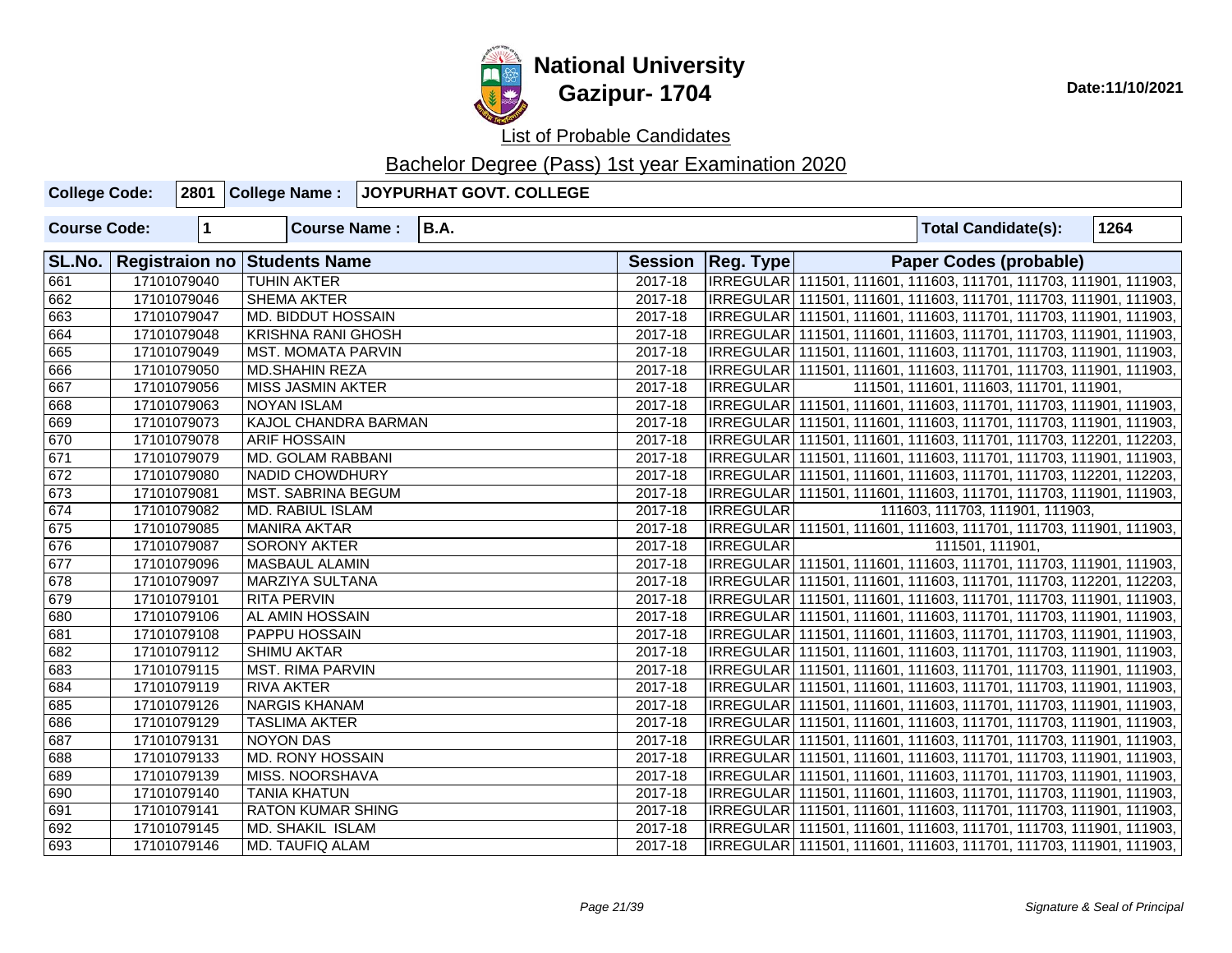

| <b>College Code:</b> |             | 2801 College Name:           | JOYPURHAT GOVT. COLLEGE |             |                                                                   |                                                                     |                                 |                                         |  |      |  |
|----------------------|-------------|------------------------------|-------------------------|-------------|-------------------------------------------------------------------|---------------------------------------------------------------------|---------------------------------|-----------------------------------------|--|------|--|
| <b>Course Code:</b>  | $\mathbf 1$ | <b>Course Name:</b>          | <b>B.A.</b>             |             |                                                                   |                                                                     |                                 | <b>Total Candidate(s):</b>              |  | 1264 |  |
| SL.No.               |             | Registraion no Students Name |                         |             | Session   Reg. Type                                               |                                                                     |                                 | <b>Paper Codes (probable)</b>           |  |      |  |
| 661                  | 17101079040 | <b>TUHIN AKTER</b>           |                         | $2017 - 18$ |                                                                   | IRREGULAR 111501, 111601, 111603, 111701, 111703, 111901, 111903,   |                                 |                                         |  |      |  |
| 662                  | 17101079046 | <b>SHEMA AKTER</b>           |                         | 2017-18     |                                                                   | IRREGULAR 111501, 111601, 111603, 111701, 111703, 111901, 111903,   |                                 |                                         |  |      |  |
| 663                  | 17101079047 | MD. BIDDUT HOSSAIN           |                         | 2017-18     |                                                                   | IRREGULAR 111501, 111601, 111603, 111701, 111703, 111901, 111903,   |                                 |                                         |  |      |  |
| 664                  | 17101079048 | <b>KRISHNA RANI GHOSH</b>    |                         | 2017-18     | IRREGULAR 111501, 111601, 111603, 111701, 111703, 111901, 111903, |                                                                     |                                 |                                         |  |      |  |
| 665                  | 17101079049 | <b>MST. MOMATA PARVIN</b>    |                         | 2017-18     |                                                                   | IRREGULAR   111501, 111601, 111603, 111701, 111703, 111901, 111903, |                                 |                                         |  |      |  |
| 666                  | 17101079050 | <b>MD.SHAHIN REZA</b>        |                         | 2017-18     |                                                                   | IRREGULAR   111501, 111601, 111603, 111701, 111703, 111901, 111903, |                                 |                                         |  |      |  |
| 667                  | 17101079056 | <b>MISS JASMIN AKTER</b>     |                         | 2017-18     | <b>IRREGULAR</b>                                                  |                                                                     |                                 | 111501, 111601, 111603, 111701, 111901, |  |      |  |
| 668                  | 17101079063 | <b>NOYAN ISLAM</b>           |                         | 2017-18     |                                                                   | IRREGULAR   111501, 111601, 111603, 111701, 111703, 111901, 111903, |                                 |                                         |  |      |  |
| 669                  | 17101079073 | KAJOL CHANDRA BARMAN         |                         | 2017-18     |                                                                   | IRREGULAR   111501, 111601, 111603, 111701, 111703, 111901, 111903, |                                 |                                         |  |      |  |
| 670                  | 17101079078 | <b>ARIF HOSSAIN</b>          |                         | 2017-18     |                                                                   | IRREGULAR   111501, 111601, 111603, 111701, 111703, 112201, 112203, |                                 |                                         |  |      |  |
| 671                  | 17101079079 | MD. GOLAM RABBANI            |                         | 2017-18     |                                                                   | IRREGULAR   111501, 111601, 111603, 111701, 111703, 111901, 111903, |                                 |                                         |  |      |  |
| 672                  | 17101079080 | NADID CHOWDHURY              |                         | 2017-18     |                                                                   | IRREGULAR   111501, 111601, 111603, 111701, 111703, 112201, 112203, |                                 |                                         |  |      |  |
| 673                  | 17101079081 | MST. SABRINA BEGUM           |                         | 2017-18     |                                                                   | IRREGULAR   111501, 111601, 111603, 111701, 111703, 111901, 111903, |                                 |                                         |  |      |  |
| 674                  | 17101079082 | <b>MD. RABIUL ISLAM</b>      |                         | 2017-18     | <b>IRREGULAR</b>                                                  |                                                                     | 111603, 111703, 111901, 111903, |                                         |  |      |  |
| 675                  | 17101079085 | <b>MANIRA AKTAR</b>          |                         | 2017-18     |                                                                   | IRREGULAR   111501, 111601, 111603, 111701, 111703, 111901, 111903, |                                 |                                         |  |      |  |
| 676                  | 17101079087 | SORONY AKTER                 |                         | 2017-18     | IRREGULAR                                                         |                                                                     |                                 | 111501, 111901,                         |  |      |  |
| 677                  | 17101079096 | <b>MASBAUL ALAMIN</b>        |                         | 2017-18     |                                                                   | IRREGULAR   111501, 111601, 111603, 111701, 111703, 111901, 111903, |                                 |                                         |  |      |  |
| 678                  | 17101079097 | MARZIYA SULTANA              |                         | 2017-18     |                                                                   | IRREGULAR 111501, 111601, 111603, 111701, 111703, 112201, 112203,   |                                 |                                         |  |      |  |
| 679                  | 17101079101 | <b>RITA PERVIN</b>           |                         | 2017-18     |                                                                   | IRREGULAR   111501, 111601, 111603, 111701, 111703, 111901, 111903, |                                 |                                         |  |      |  |
| 680                  | 17101079106 | AL AMIN HOSSAIN              |                         | 2017-18     |                                                                   | IRREGULAR   111501, 111601, 111603, 111701, 111703, 111901, 111903, |                                 |                                         |  |      |  |
| 681                  | 17101079108 | PAPPU HOSSAIN                |                         | 2017-18     |                                                                   | IRREGULAR   111501, 111601, 111603, 111701, 111703, 111901, 111903, |                                 |                                         |  |      |  |
| 682                  | 17101079112 | <b>SHIMU AKTAR</b>           |                         | 2017-18     |                                                                   | IRREGULAR   111501, 111601, 111603, 111701, 111703, 111901, 111903, |                                 |                                         |  |      |  |
| 683                  | 17101079115 | <b>MST. RIMA PARVIN</b>      |                         | 2017-18     |                                                                   | IRREGULAR   111501, 111601, 111603, 111701, 111703, 111901, 111903, |                                 |                                         |  |      |  |
| 684                  | 17101079119 | <b>RIVA AKTER</b>            |                         | 2017-18     |                                                                   | IRREGULAR   111501, 111601, 111603, 111701, 111703, 111901, 111903, |                                 |                                         |  |      |  |
| 685                  | 17101079126 | <b>NARGIS KHANAM</b>         |                         | 2017-18     |                                                                   | IRREGULAR   111501, 111601, 111603, 111701, 111703, 111901, 111903, |                                 |                                         |  |      |  |
| 686                  | 17101079129 | <b>TASLIMA AKTER</b>         |                         | 2017-18     |                                                                   | IRREGULAR   111501, 111601, 111603, 111701, 111703, 111901, 111903, |                                 |                                         |  |      |  |
| 687                  | 17101079131 | <b>NOYON DAS</b>             |                         | 2017-18     |                                                                   | IRREGULAR   111501, 111601, 111603, 111701, 111703, 111901, 111903, |                                 |                                         |  |      |  |
| 688                  | 17101079133 | <b>MD. RONY HOSSAIN</b>      |                         | 2017-18     |                                                                   | IRREGULAR   111501, 111601, 111603, 111701, 111703, 111901, 111903, |                                 |                                         |  |      |  |
| 689                  | 17101079139 | MISS. NOORSHAVA              |                         | 2017-18     |                                                                   | IRREGULAR 111501, 111601, 111603, 111701, 111703, 111901, 111903,   |                                 |                                         |  |      |  |
| 690                  | 17101079140 | <b>TANIA KHATUN</b>          |                         | 2017-18     |                                                                   | IRREGULAR   111501, 111601, 111603, 111701, 111703, 111901, 111903, |                                 |                                         |  |      |  |
| 691                  | 17101079141 | <b>RATON KUMAR SHING</b>     |                         | 2017-18     |                                                                   | IRREGULAR   111501, 111601, 111603, 111701, 111703, 111901, 111903, |                                 |                                         |  |      |  |
| 692                  | 17101079145 | <b>MD. SHAKIL ISLAM</b>      |                         | 2017-18     |                                                                   | IRREGULAR   111501, 111601, 111603, 111701, 111703, 111901, 111903, |                                 |                                         |  |      |  |
| 693                  | 17101079146 | <b>MD. TAUFIQ ALAM</b>       |                         | 2017-18     |                                                                   | IRREGULAR   111501, 111601, 111603, 111701, 111703, 111901, 111903, |                                 |                                         |  |      |  |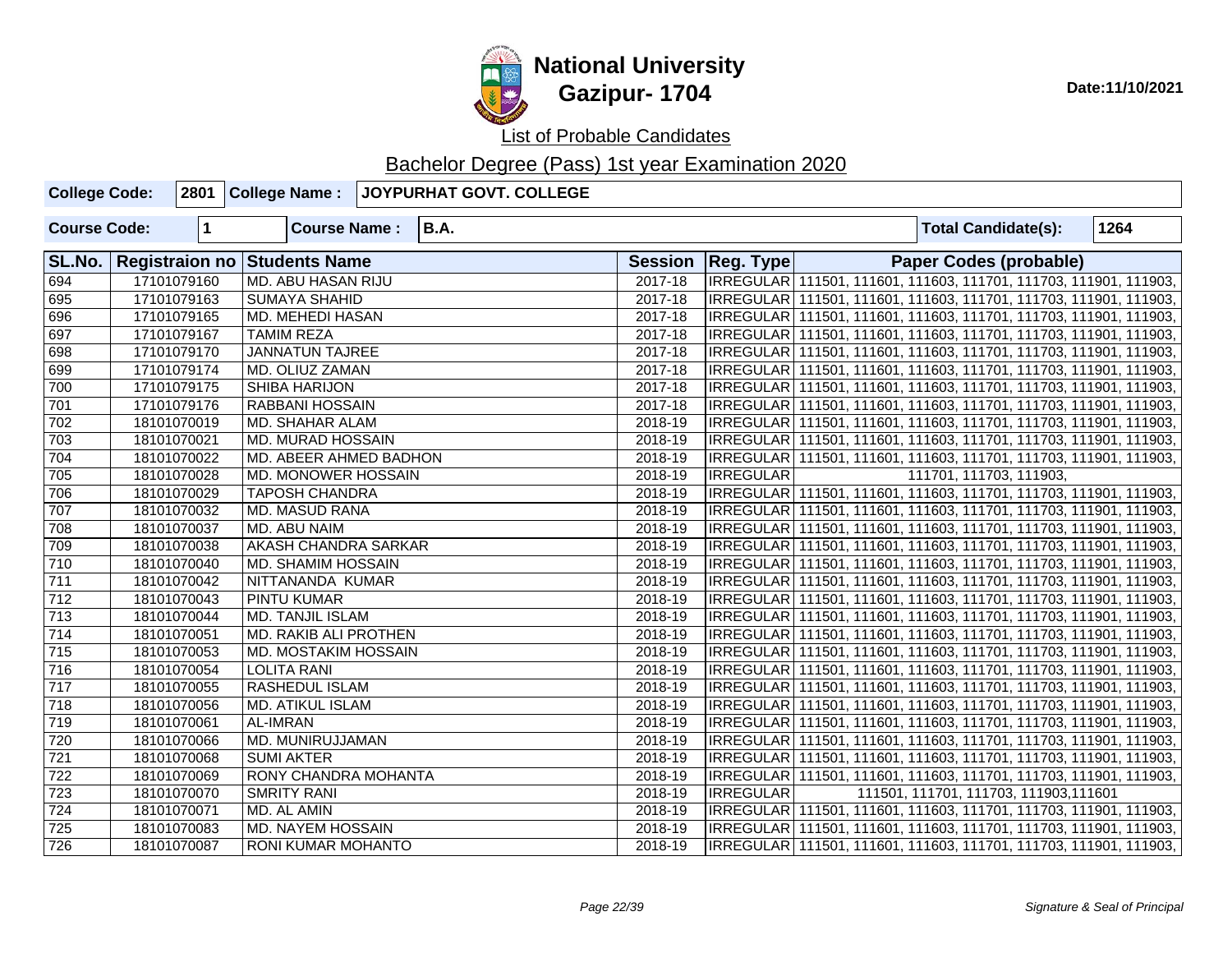

## **National University Gazipur- 1704** Date:11/10/2021

List of Probable Candidates

| <b>College Code:</b> |             | 2801 College Name:                  | JOYPURHAT GOVT. COLLEGE |         |                     |                                                                     |
|----------------------|-------------|-------------------------------------|-------------------------|---------|---------------------|---------------------------------------------------------------------|
| <b>Course Code:</b>  | $\mathbf 1$ | <b>Course Name:</b>                 | <b>B.A.</b>             |         |                     | 1264<br><b>Total Candidate(s):</b>                                  |
| SL.No.               |             | <b>Registraion no Students Name</b> |                         |         | Session   Reg. Type | <b>Paper Codes (probable)</b>                                       |
| 694                  | 17101079160 | <b>MD. ABU HASAN RIJU</b>           |                         | 2017-18 |                     | IRREGULAR 111501, 111601, 111603, 111701, 111703, 111901, 111903,   |
| 695                  | 17101079163 | <b>SUMAYA SHAHID</b>                |                         | 2017-18 |                     | IRREGULAR   111501, 111601, 111603, 111701, 111703, 111901, 111903, |
| 696                  | 17101079165 | <b>MD. MEHEDI HASAN</b>             |                         | 2017-18 |                     | IRREGULAR 111501, 111601, 111603, 111701, 111703, 111901, 111903,   |
| 697                  | 17101079167 | <b>TAMIM REZA</b>                   |                         | 2017-18 |                     | IRREGULAR 111501, 111601, 111603, 111701, 111703, 111901, 111903,   |
| 698                  | 17101079170 | <b>JANNATUN TAJREE</b>              |                         | 2017-18 |                     | IRREGULAR   111501, 111601, 111603, 111701, 111703, 111901, 111903, |
| 699                  | 17101079174 | MD. OLIUZ ZAMAN                     |                         | 2017-18 |                     | IRREGULAR   111501, 111601, 111603, 111701, 111703, 111901, 111903, |
| 700                  | 17101079175 | <b>SHIBA HARIJON</b>                |                         | 2017-18 |                     | IRREGULAR   111501, 111601, 111603, 111701, 111703, 111901, 111903, |
| 701                  | 17101079176 | <b>RABBANI HOSSAIN</b>              |                         | 2017-18 |                     | IRREGULAR 111501, 111601, 111603, 111701, 111703, 111901, 111903,   |
| 702                  | 18101070019 | <b>MD. SHAHAR ALAM</b>              |                         | 2018-19 |                     | IRREGULAR 111501, 111601, 111603, 111701, 111703, 111901, 111903,   |
| 703                  | 18101070021 | <b>MD. MURAD HOSSAIN</b>            |                         | 2018-19 |                     | IRREGULAR 111501, 111601, 111603, 111701, 111703, 111901, 111903,   |
| 704                  | 18101070022 | MD. ABEER AHMED BADHON              |                         | 2018-19 |                     | IRREGULAR   111501, 111601, 111603, 111701, 111703, 111901, 111903, |
| 705                  | 18101070028 | MD. MONOWER HOSSAIN                 |                         | 2018-19 | <b>IRREGULAR</b>    | 111701, 111703, 111903,                                             |
| 706                  | 18101070029 | <b>TAPOSH CHANDRA</b>               |                         | 2018-19 |                     | IRREGULAR   111501, 111601, 111603, 111701, 111703, 111901, 111903, |
| 707                  | 18101070032 | <b>MD. MASUD RANA</b>               |                         | 2018-19 |                     | IRREGULAR 111501, 111601, 111603, 111701, 111703, 111901, 111903,   |
| 708                  | 18101070037 | MD. ABU NAIM                        |                         | 2018-19 |                     | IRREGULAR   111501, 111601, 111603, 111701, 111703, 111901, 111903, |
| 709                  | 18101070038 | <b>AKASH CHANDRA SARKAR</b>         |                         | 2018-19 |                     | IRREGULAR   111501, 111601, 111603, 111701, 111703, 111901, 111903, |
| 710                  | 18101070040 | MD. SHAMIM HOSSAIN                  |                         | 2018-19 |                     | IRREGULAR 111501, 111601, 111603, 111701, 111703, 111901, 111903,   |
| 711                  | 18101070042 | NITTANANDA KUMAR                    |                         | 2018-19 |                     | IRREGULAR   111501, 111601, 111603, 111701, 111703, 111901, 111903, |
| $\overline{712}$     | 18101070043 | <b>PINTU KUMAR</b>                  |                         | 2018-19 |                     | IRREGULAR   111501, 111601, 111603, 111701, 111703, 111901, 111903, |
| 713                  | 18101070044 | MD. TANJIL ISLAM                    |                         | 2018-19 |                     | IRREGULAR   111501, 111601, 111603, 111701, 111703, 111901, 111903, |
| 714                  | 18101070051 | MD. RAKIB ALI PROTHEN               |                         | 2018-19 |                     | IRREGULAR 111501, 111601, 111603, 111701, 111703, 111901, 111903,   |
| 715                  | 18101070053 | MD. MOSTAKIM HOSSAIN                |                         | 2018-19 |                     | IRREGULAR   111501, 111601, 111603, 111701, 111703, 111901, 111903, |
| 716                  | 18101070054 | <b>LOLITA RANI</b>                  |                         | 2018-19 |                     | IRREGULAR   111501, 111601, 111603, 111701, 111703, 111901, 111903, |
| 717                  | 18101070055 | RASHEDUL ISLAM                      |                         | 2018-19 |                     | IRREGULAR 111501, 111601, 111603, 111701, 111703, 111901, 111903,   |
| $\overline{718}$     | 18101070056 | <b>MD. ATIKUL ISLAM</b>             |                         | 2018-19 |                     | IRREGULAR 111501, 111601, 111603, 111701, 111703, 111901, 111903,   |
| 719                  | 18101070061 | AL-IMRAN                            |                         | 2018-19 |                     | IRREGULAR 111501, 111601, 111603, 111701, 111703, 111901, 111903,   |
| 720                  | 18101070066 | MD. MUNIRUJJAMAN                    |                         | 2018-19 |                     | IRREGULAR 111501, 111601, 111603, 111701, 111703, 111901, 111903,   |
| 721                  | 18101070068 | <b>SUMI AKTER</b>                   |                         | 2018-19 |                     | IRREGULAR   111501, 111601, 111603, 111701, 111703, 111901, 111903, |
| $\overline{722}$     | 18101070069 | RONY CHANDRA MOHANTA                |                         | 2018-19 |                     | IRREGULAR 111501, 111601, 111603, 111701, 111703, 111901, 111903,   |
| 723                  | 18101070070 | <b>SMRITY RANI</b>                  |                         | 2018-19 | <b>IRREGULAR</b>    | 111501, 111701, 111703, 111903, 111601                              |
| 724                  | 18101070071 | MD. AL AMIN                         |                         | 2018-19 |                     | IRREGULAR 111501, 111601, 111603, 111701, 111703, 111901, 111903,   |
| 725                  | 18101070083 | MD. NAYEM HOSSAIN                   |                         | 2018-19 |                     | IRREGULAR   111501, 111601, 111603, 111701, 111703, 111901, 111903, |
| 726                  | 18101070087 | <b>RONI KUMAR MOHANTO</b>           |                         | 2018-19 |                     | IRREGULAR 111501, 111601, 111603, 111701, 111703, 111901, 111903,   |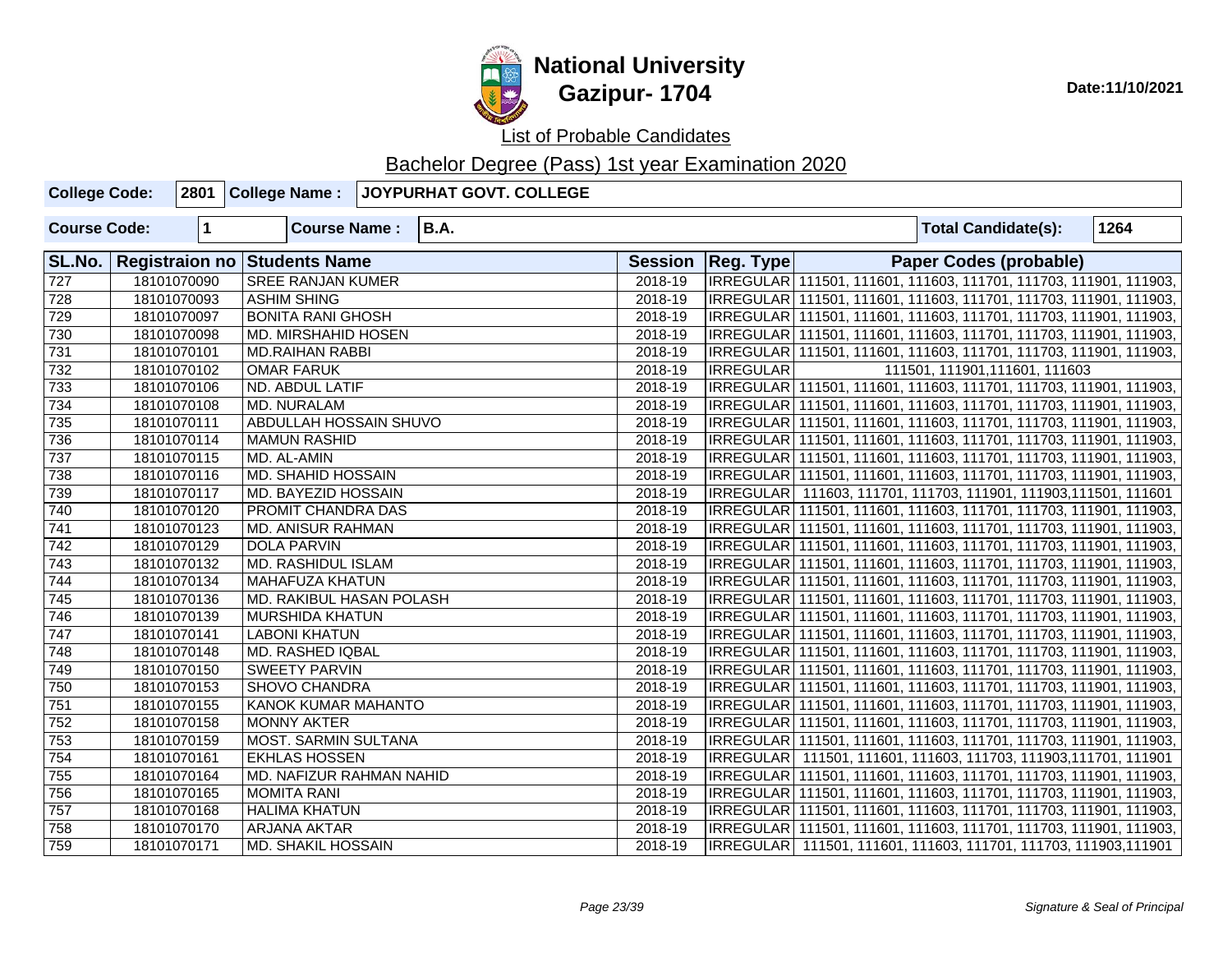

**National University Gazipur- 1704** Date:11/10/2021

List of Probable Candidates

| <b>College Code:</b> |             | 2801 College Name:                  | JOYPURHAT GOVT. COLLEGE |         |                     |                                                                     |      |
|----------------------|-------------|-------------------------------------|-------------------------|---------|---------------------|---------------------------------------------------------------------|------|
| <b>Course Code:</b>  | $\mathbf 1$ | <b>Course Name:</b>                 | <b>B.A.</b>             |         |                     | <b>Total Candidate(s):</b>                                          | 1264 |
| SL.No.               |             | <b>Registraion no Students Name</b> |                         |         | Session   Reg. Type | <b>Paper Codes (probable)</b>                                       |      |
| $\frac{1}{727}$      | 18101070090 | <b>SREE RANJAN KUMER</b>            |                         | 2018-19 |                     | IRREGULAR 111501, 111601, 111603, 111701, 111703, 111901, 111903,   |      |
| $\overline{728}$     | 18101070093 | <b>ASHIM SHING</b>                  |                         | 2018-19 |                     | IRREGULAR   111501, 111601, 111603, 111701, 111703, 111901, 111903, |      |
| 729                  | 18101070097 | <b>BONITA RANI GHOSH</b>            |                         | 2018-19 |                     | IRREGULAR 111501, 111601, 111603, 111701, 111703, 111901, 111903,   |      |
| 730                  | 18101070098 | MD. MIRSHAHID HOSEN                 |                         | 2018-19 |                     | IRREGULAR 111501, 111601, 111603, 111701, 111703, 111901, 111903,   |      |
| 731                  | 18101070101 | <b>MD.RAIHAN RABBI</b>              |                         | 2018-19 |                     | IRREGULAR 111501, 111601, 111603, 111701, 111703, 111901, 111903,   |      |
| 732                  | 18101070102 | <b>OMAR FARUK</b>                   |                         | 2018-19 | <b>IRREGULAR</b>    | 111501, 111901, 111601, 111603                                      |      |
| 733                  | 18101070106 | <b>ND. ABDUL LATIF</b>              |                         | 2018-19 |                     | IRREGULAR 111501, 111601, 111603, 111701, 111703, 111901, 111903,   |      |
| $\sqrt{734}$         | 18101070108 | MD. NURALAM                         |                         | 2018-19 |                     | IRREGULAR 111501, 111601, 111603, 111701, 111703, 111901, 111903,   |      |
| 735                  | 18101070111 | <b>ABDULLAH HOSSAIN SHUVO</b>       |                         | 2018-19 |                     | IRREGULAR 111501, 111601, 111603, 111701, 111703, 111901, 111903,   |      |
| 736                  | 18101070114 | <b>MAMUN RASHID</b>                 |                         | 2018-19 |                     | IRREGULAR 111501, 111601, 111603, 111701, 111703, 111901, 111903,   |      |
| 737                  | 18101070115 | l MD. AL-AMIN                       |                         | 2018-19 |                     | IRREGULAR 111501, 111601, 111603, 111701, 111703, 111901, 111903,   |      |
| $\frac{1}{738}$      | 18101070116 | <b>MD. SHAHID HOSSAIN</b>           |                         | 2018-19 |                     | IRREGULAR 111501, 111601, 111603, 111701, 111703, 111901, 111903,   |      |
| 739                  | 18101070117 | <b>MD. BAYEZID HOSSAIN</b>          |                         | 2018-19 |                     | IRREGULAR 111603, 111701, 111703, 111901, 111903, 111501, 111601    |      |
| $\sqrt{740}$         | 18101070120 | <b>PROMIT CHANDRA DAS</b>           |                         | 2018-19 |                     | IRREGULAR 111501, 111601, 111603, 111701, 111703, 111901, 111903,   |      |
| $\boxed{741}$        | 18101070123 | <b>MD. ANISUR RAHMAN</b>            |                         | 2018-19 |                     | IRREGULAR 111501, 111601, 111603, 111701, 111703, 111901, 111903,   |      |
| 742                  | 18101070129 | <b>DOLA PARVIN</b>                  |                         | 2018-19 |                     | IRREGULAR 111501, 111601, 111603, 111701, 111703, 111901, 111903,   |      |
| $\sqrt{743}$         | 18101070132 | <b>MD. RASHIDUL ISLAM</b>           |                         | 2018-19 |                     | IRREGULAR 111501, 111601, 111603, 111701, 111703, 111901, 111903,   |      |
| $\overline{744}$     | 18101070134 | <b>MAHAFUZA KHATUN</b>              |                         | 2018-19 |                     | IRREGULAR 111501, 111601, 111603, 111701, 111703, 111901, 111903,   |      |
| 745                  | 18101070136 | MD. RAKIBUL HASAN POLASH            |                         | 2018-19 |                     | IRREGULAR 111501, 111601, 111603, 111701, 111703, 111901, 111903,   |      |
| 746                  | 18101070139 | <b>MURSHIDA KHATUN</b>              |                         | 2018-19 |                     | IRREGULAR 111501, 111601, 111603, 111701, 111703, 111901, 111903,   |      |
| $\overline{747}$     | 18101070141 | <b>LABONI KHATUN</b>                |                         | 2018-19 |                     | IRREGULAR 111501, 111601, 111603, 111701, 111703, 111901, 111903,   |      |
| 748                  | 18101070148 | <b>MD. RASHED IQBAL</b>             |                         | 2018-19 |                     | IRREGULAR 111501, 111601, 111603, 111701, 111703, 111901, 111903,   |      |
| 749                  | 18101070150 | <b>SWEETY PARVIN</b>                |                         | 2018-19 |                     | IRREGULAR 111501, 111601, 111603, 111701, 111703, 111901, 111903,   |      |
| 750                  | 18101070153 | SHOVO CHANDRA                       |                         | 2018-19 |                     | IRREGULAR 111501, 111601, 111603, 111701, 111703, 111901, 111903,   |      |
| $\overline{751}$     | 18101070155 | <b>KANOK KUMAR MAHANTO</b>          |                         | 2018-19 |                     | IRREGULAR 111501, 111601, 111603, 111701, 111703, 111901, 111903,   |      |
| $\overline{752}$     | 18101070158 | <b>MONNY AKTER</b>                  |                         | 2018-19 |                     | IRREGULAR 111501, 111601, 111603, 111701, 111703, 111901, 111903,   |      |
| 753                  | 18101070159 | <b>MOST. SARMIN SULTANA</b>         |                         | 2018-19 |                     | IRREGULAR 111501, 111601, 111603, 111701, 111703, 111901, 111903,   |      |
| 754                  | 18101070161 | <b>EKHLAS HOSSEN</b>                |                         | 2018-19 |                     | IRREGULAR  111501, 111601, 111603, 111703, 111903,111701, 111901    |      |
| 755                  | 18101070164 | MD. NAFIZUR RAHMAN NAHID            |                         | 2018-19 |                     | IRREGULAR 111501, 111601, 111603, 111701, 111703, 111901, 111903,   |      |
| 756                  | 18101070165 | <b>MOMITA RANI</b>                  |                         | 2018-19 |                     | IRREGULAR 111501, 111601, 111603, 111701, 111703, 111901, 111903,   |      |
| 757                  | 18101070168 | <b>HALIMA KHATUN</b>                |                         | 2018-19 |                     | IRREGULAR 111501, 111601, 111603, 111701, 111703, 111901, 111903,   |      |
| 758                  | 18101070170 | <b>ARJANA AKTAR</b>                 |                         | 2018-19 |                     | IRREGULAR 111501, 111601, 111603, 111701, 111703, 111901, 111903,   |      |
| 759                  | 18101070171 | <b>MD. SHAKIL HOSSAIN</b>           |                         | 2018-19 |                     | IRREGULAR 111501, 111601, 111603, 111701, 111703, 111903,111901     |      |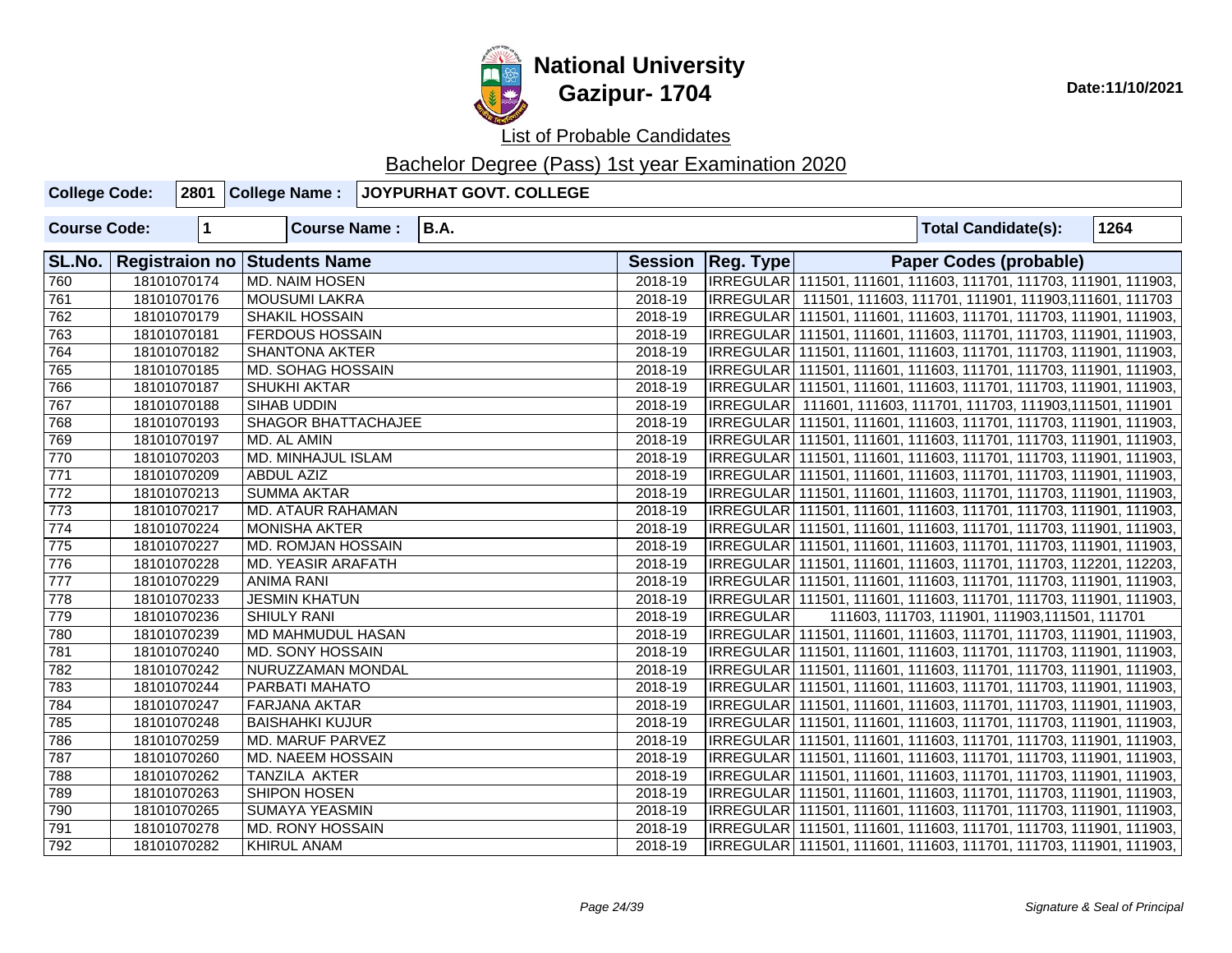

| <b>College Code:</b> |                      | 2801 College Name:           | JOYPURHAT GOVT. COLLEGE |         |                                                                     |  |                                                |      |
|----------------------|----------------------|------------------------------|-------------------------|---------|---------------------------------------------------------------------|--|------------------------------------------------|------|
| <b>Course Code:</b>  | $\blacktriangleleft$ | <b>Course Name:</b>          | <b>B.A.</b>             |         |                                                                     |  | <b>Total Candidate(s):</b>                     | 1264 |
| SL.No.               |                      | Registraion no Students Name |                         |         | Session   Reg. Type                                                 |  | <b>Paper Codes (probable)</b>                  |      |
| 760                  | 18101070174          | <b>MD. NAIM HOSEN</b>        |                         | 2018-19 | IRREGULAR 111501, 111601, 111603, 111701, 111703, 111901, 111903,   |  |                                                |      |
| 761                  | 18101070176          | <b>MOUSUMI LAKRA</b>         |                         | 2018-19 | IRREGULAR   111501, 111603, 111701, 111901, 111903,111601, 111703   |  |                                                |      |
| 762                  | 18101070179          | <b>SHAKIL HOSSAIN</b>        |                         | 2018-19 | IRREGULAR   111501, 111601, 111603, 111701, 111703, 111901, 111903, |  |                                                |      |
| 763                  | 18101070181          | <b>FERDOUS HOSSAIN</b>       |                         | 2018-19 | IRREGULAR 111501, 111601, 111603, 111701, 111703, 111901, 111903,   |  |                                                |      |
| 764                  | 18101070182          | <b>SHANTONA AKTER</b>        |                         | 2018-19 | IRREGULAR 111501, 111601, 111603, 111701, 111703, 111901, 111903,   |  |                                                |      |
| 765                  | 18101070185          | MD. SOHAG HOSSAIN            |                         | 2018-19 | IRREGULAR   111501, 111601, 111603, 111701, 111703, 111901, 111903, |  |                                                |      |
| 766                  | 18101070187          | <b>SHUKHI AKTAR</b>          |                         | 2018-19 | IRREGULAR   111501, 111601, 111603, 111701, 111703, 111901, 111903, |  |                                                |      |
| 767                  | 18101070188          | SIHAB UDDIN                  |                         | 2018-19 | IRREGULAR 111601, 111603, 111701, 111703, 111903, 111501, 111901    |  |                                                |      |
| 768                  | 18101070193          | <b>SHAGOR BHATTACHAJEE</b>   |                         | 2018-19 | IRREGULAR 111501, 111601, 111603, 111701, 111703, 111901, 111903,   |  |                                                |      |
| 769                  | 18101070197          | MD. AL AMIN                  |                         | 2018-19 | IRREGULAR 111501, 111601, 111603, 111701, 111703, 111901, 111903,   |  |                                                |      |
| 770                  | 18101070203          | MD. MINHAJUL ISLAM           |                         | 2018-19 | IRREGULAR   111501, 111601, 111603, 111701, 111703, 111901, 111903, |  |                                                |      |
| 771                  | 18101070209          | <b>ABDUL AZIZ</b>            |                         | 2018-19 | IRREGULAR 111501, 111601, 111603, 111701, 111703, 111901, 111903,   |  |                                                |      |
| $\overline{772}$     | 18101070213          | <b>SUMMA AKTAR</b>           |                         | 2018-19 | IRREGULAR 111501, 111601, 111603, 111701, 111703, 111901, 111903,   |  |                                                |      |
| 773                  | 18101070217          | MD. ATAUR RAHAMAN            |                         | 2018-19 | IRREGULAR   111501, 111601, 111603, 111701, 111703, 111901, 111903, |  |                                                |      |
| 774                  | 18101070224          | <b>MONISHA AKTER</b>         |                         | 2018-19 | IRREGULAR   111501, 111601, 111603, 111701, 111703, 111901, 111903, |  |                                                |      |
| 775                  | 18101070227          | MD. ROMJAN HOSSAIN           |                         | 2018-19 | IRREGULAR   111501, 111601, 111603, 111701, 111703, 111901, 111903, |  |                                                |      |
| 776                  | 18101070228          | <b>MD. YEASIR ARAFATH</b>    |                         | 2018-19 | IRREGULAR 111501, 111601, 111603, 111701, 111703, 112201, 112203,   |  |                                                |      |
| 777                  | 18101070229          | <b>ANIMA RANI</b>            |                         | 2018-19 | IRREGULAR 111501, 111601, 111603, 111701, 111703, 111901, 111903,   |  |                                                |      |
| 778                  | 18101070233          | <b>JESMIN KHATUN</b>         |                         | 2018-19 | IRREGULAR   111501, 111601, 111603, 111701, 111703, 111901, 111903, |  |                                                |      |
| 779                  | 18101070236          | <b>SHIULY RANI</b>           |                         | 2018-19 | IRREGULAR                                                           |  | 111603, 111703, 111901, 111903, 111501, 111701 |      |
| 780                  | 18101070239          | MD MAHMUDUL HASAN            |                         | 2018-19 | IRREGULAR 111501, 111601, 111603, 111701, 111703, 111901, 111903,   |  |                                                |      |
| 781                  | 18101070240          | MD. SONY HOSSAIN             |                         | 2018-19 | IRREGULAR   111501, 111601, 111603, 111701, 111703, 111901, 111903, |  |                                                |      |
| 782                  | 18101070242          | NURUZZAMAN MONDAL            |                         | 2018-19 | IRREGULAR 111501, 111601, 111603, 111701, 111703, 111901, 111903,   |  |                                                |      |
| 783                  | 18101070244          | PARBATI MAHATO               |                         | 2018-19 | IRREGULAR   111501, 111601, 111603, 111701, 111703, 111901, 111903, |  |                                                |      |
| 784                  | 18101070247          | <b>FARJANA AKTAR</b>         |                         | 2018-19 | IRREGULAR 111501, 111601, 111603, 111701, 111703, 111901, 111903,   |  |                                                |      |
| 785                  | 18101070248          | <b>BAISHAHKI KUJUR</b>       |                         | 2018-19 | IRREGULAR 111501, 111601, 111603, 111701, 111703, 111901, 111903,   |  |                                                |      |
| 786                  | 18101070259          | MD. MARUF PARVEZ             |                         | 2018-19 | IRREGULAR   111501, 111601, 111603, 111701, 111703, 111901, 111903, |  |                                                |      |
| 787                  | 18101070260          | MD. NAEEM HOSSAIN            |                         | 2018-19 | IRREGULAR   111501, 111601, 111603, 111701, 111703, 111901, 111903, |  |                                                |      |
| 788                  | 18101070262          | TANZILA AKTER                |                         | 2018-19 | IRREGULAR   111501, 111601, 111603, 111701, 111703, 111901, 111903, |  |                                                |      |
| 789                  | 18101070263          | <b>SHIPON HOSEN</b>          |                         | 2018-19 | IRREGULAR 111501, 111601, 111603, 111701, 111703, 111901, 111903,   |  |                                                |      |
| 790                  | 18101070265          | <b>SUMAYA YEASMIN</b>        |                         | 2018-19 | IRREGULAR 111501, 111601, 111603, 111701, 111703, 111901, 111903,   |  |                                                |      |
| 791                  | 18101070278          | <b>MD. RONY HOSSAIN</b>      |                         | 2018-19 | IRREGULAR   111501, 111601, 111603, 111701, 111703, 111901, 111903, |  |                                                |      |
| 792                  | 18101070282          | <b>KHIRUL ANAM</b>           |                         | 2018-19 | IRREGULAR 111501, 111601, 111603, 111701, 111703, 111901, 111903,   |  |                                                |      |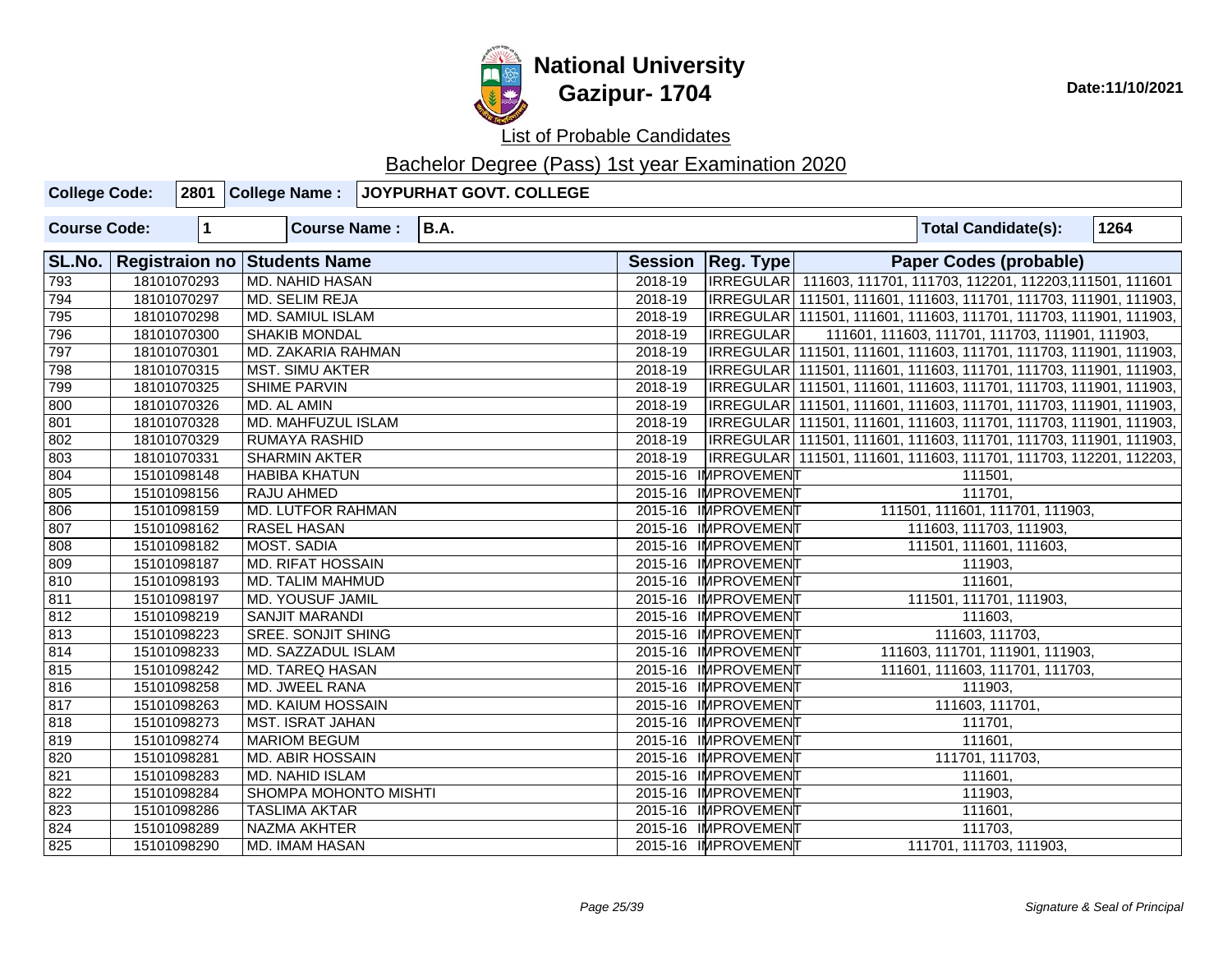

| <b>College Code:</b> |             | 2801 College Name:           | <b>JOYPURHAT GOVT. COLLEGE</b> |         |                     |                                                                     |      |
|----------------------|-------------|------------------------------|--------------------------------|---------|---------------------|---------------------------------------------------------------------|------|
| <b>Course Code:</b>  | 1           | <b>Course Name:</b>          | <b>B.A.</b>                    |         |                     | <b>Total Candidate(s):</b>                                          | 1264 |
| SL.No.               |             | Registraion no Students Name |                                |         | Session   Reg. Type | Paper Codes (probable)                                              |      |
| 793                  | 18101070293 | <b>MD. NAHID HASAN</b>       |                                | 2018-19 |                     | IRREGULAR 111603, 111701, 111703, 112201, 112203, 111501, 111601    |      |
| 794                  | 18101070297 | MD. SELIM REJA               |                                | 2018-19 |                     | IRREGULAR 111501, 111601, 111603, 111701, 111703, 111901, 111903,   |      |
| 795                  | 18101070298 | <b>MD. SAMIUL ISLAM</b>      |                                | 2018-19 |                     | IRREGULAR 111501, 111601, 111603, 111701, 111703, 111901, 111903,   |      |
| 796                  | 18101070300 | <b>SHAKIB MONDAL</b>         |                                | 2018-19 | <b>IRREGULAR</b>    | 111601, 111603, 111701, 111703, 111901, 111903,                     |      |
| 797                  | 18101070301 | MD. ZAKARIA RAHMAN           |                                | 2018-19 |                     | IRREGULAR 111501, 111601, 111603, 111701, 111703, 111901, 111903,   |      |
| 798                  | 18101070315 | <b>MST. SIMU AKTER</b>       |                                | 2018-19 |                     | IRREGULAR 111501, 111601, 111603, 111701, 111703, 111901, 111903,   |      |
| 799                  | 18101070325 | <b>SHIME PARVIN</b>          |                                | 2018-19 |                     | IRREGULAR   111501, 111601, 111603, 111701, 111703, 111901, 111903, |      |
| 800                  | 18101070326 | MD. AL AMIN                  |                                | 2018-19 |                     | IRREGULAR   111501, 111601, 111603, 111701, 111703, 111901, 111903, |      |
| 801                  | 18101070328 | MD. MAHFUZUL ISLAM           |                                | 2018-19 |                     | IRREGULAR 111501, 111601, 111603, 111701, 111703, 111901, 111903,   |      |
| 802                  | 18101070329 | <b>RUMAYA RASHID</b>         |                                | 2018-19 |                     | IRREGULAR 111501, 111601, 111603, 111701, 111703, 111901, 111903,   |      |
| 803                  | 18101070331 | <b>SHARMIN AKTER</b>         |                                | 2018-19 |                     | IRREGULAR 111501, 111601, 111603, 111701, 111703, 112201, 112203,   |      |
| 804                  | 15101098148 | <b>HABIBA KHATUN</b>         |                                |         | 2015-16 IMPROVEMENT | 111501,                                                             |      |
| 805                  | 15101098156 | RAJU AHMED                   |                                |         | 2015-16 IMPROVEMENT | 111701,                                                             |      |
| 806                  | 15101098159 | <b>MD. LUTFOR RAHMAN</b>     |                                |         | 2015-16 IMPROVEMENT | 111501, 111601, 111701, 111903,                                     |      |
| 807                  | 15101098162 | <b>RASEL HASAN</b>           |                                |         | 2015-16 IMPROVEMENT | 111603, 111703, 111903,                                             |      |
| 808                  | 15101098182 | MOST. SADIA                  |                                |         | 2015-16 IMPROVEMENT | 111501, 111601, 111603,                                             |      |
| 809                  | 15101098187 | <b>MD. RIFAT HOSSAIN</b>     |                                |         | 2015-16 IMPROVEMENT | 111903,                                                             |      |
| 810                  | 15101098193 | <b>MD. TALIM MAHMUD</b>      |                                |         | 2015-16 IMPROVEMENT | 111601,                                                             |      |
| 811                  | 15101098197 | <b>MD. YOUSUF JAMIL</b>      |                                |         | 2015-16 IMPROVEMENT | 111501, 111701, 111903,                                             |      |
| 812                  | 15101098219 | <b>SANJIT MARANDI</b>        |                                |         | 2015-16 IMPROVEMENT | 111603,                                                             |      |
| $\sqrt{813}$         | 15101098223 | <b>SREE. SONJIT SHING</b>    |                                |         | 2015-16 IMPROVEMENT | 111603, 111703,                                                     |      |
| 814                  | 15101098233 | MD. SAZZADUL ISLAM           |                                |         | 2015-16 IMPROVEMENT | 111603, 111701, 111901, 111903,                                     |      |
| 815                  | 15101098242 | <b>MD. TAREQ HASAN</b>       |                                |         | 2015-16 IMPROVEMENT | 111601, 111603, 111701, 111703,                                     |      |
| 816                  | 15101098258 | MD. JWEEL RANA               |                                |         | 2015-16 IMPROVEMENT | 111903,                                                             |      |
| 817                  | 15101098263 | MD. KAIUM HOSSAIN            |                                |         | 2015-16 IMPROVEMENT | 111603, 111701,                                                     |      |
| 818                  | 15101098273 | <b>MST. ISRAT JAHAN</b>      |                                |         | 2015-16 IMPROVEMENT | 111701,                                                             |      |
| 819                  | 15101098274 | <b>MARIOM BEGUM</b>          |                                |         | 2015-16 IMPROVEMENT | 111601,                                                             |      |
| 820                  | 15101098281 | <b>MD. ABIR HOSSAIN</b>      |                                |         | 2015-16 IMPROVEMENT | 111701, 111703,                                                     |      |
| 821                  | 15101098283 | MD. NAHID ISLAM              |                                |         | 2015-16 IMPROVEMENT | 111601,                                                             |      |
| 822                  | 15101098284 | SHOMPA MOHONTO MISHTI        |                                |         | 2015-16 IMPROVEMENT | 111903,                                                             |      |
| 823                  | 15101098286 | <b>TASLIMA AKTAR</b>         |                                |         | 2015-16 IMPROVEMENT | 111601,                                                             |      |
| 824                  | 15101098289 | NAZMA AKHTER                 |                                |         | 2015-16 IMPROVEMENT | 111703,                                                             |      |
| 825                  | 15101098290 | <b>MD. IMAM HASAN</b>        |                                |         | 2015-16 IMPROVEMENT | 111701, 111703, 111903,                                             |      |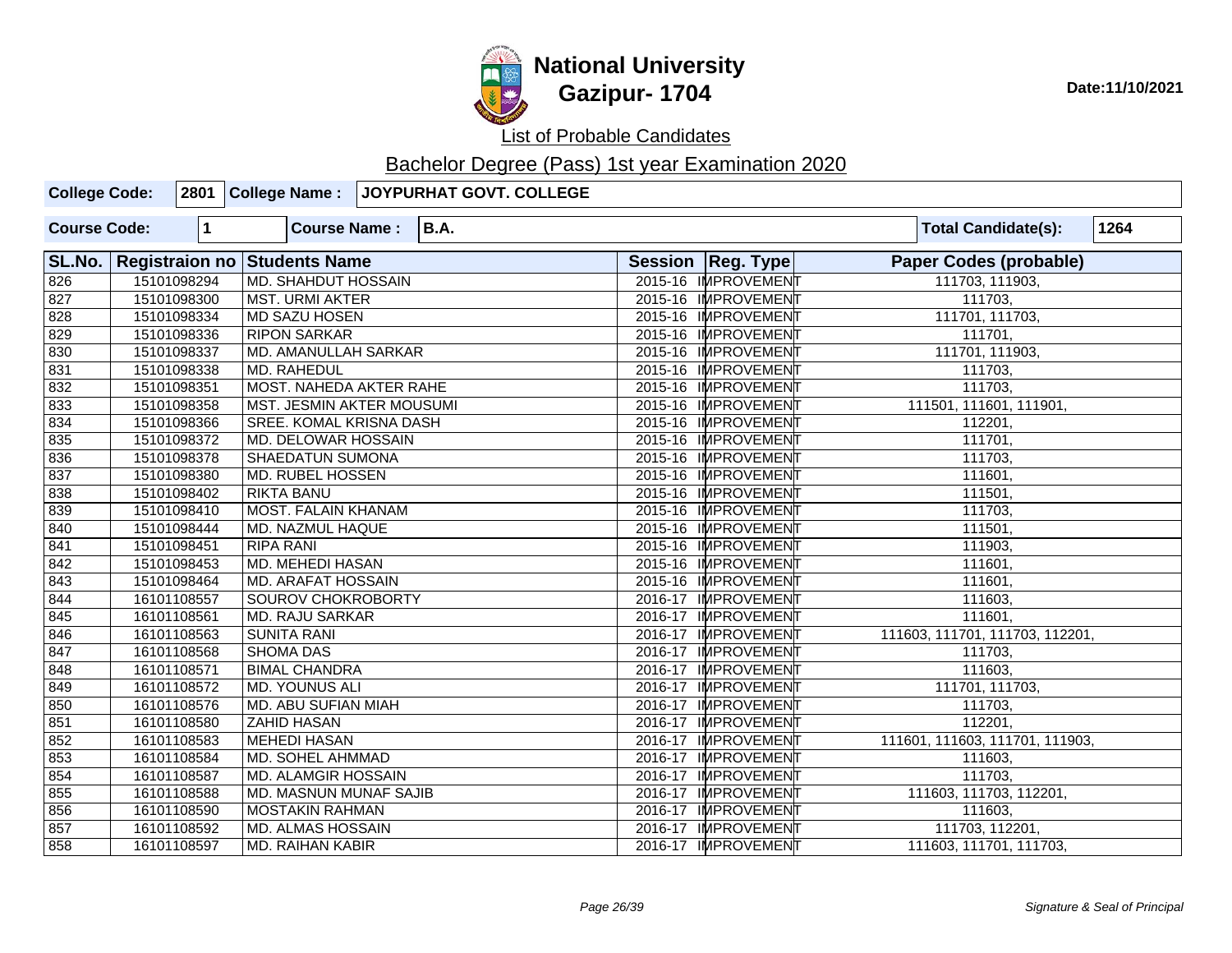

# **National University Gazipur- 1704** Date:11/10/2021

List of Probable Candidates

| <b>College Code:</b> |             | 2801 College Name:               | JOYPURHAT GOVT. COLLEGE |                     |                                    |
|----------------------|-------------|----------------------------------|-------------------------|---------------------|------------------------------------|
| <b>Course Code:</b>  | 1           | <b>Course Name:</b>              | <b>B.A.</b>             |                     | 1264<br><b>Total Candidate(s):</b> |
| SL.No.               |             | Registraion no Students Name     |                         | Session   Reg. Type | <b>Paper Codes (probable)</b>      |
| 826                  | 15101098294 | <b>MD. SHAHDUT HOSSAIN</b>       |                         | 2015-16 IMPROVEMENT | 111703, 111903,                    |
| 827                  | 15101098300 | <b>MST. URMI AKTER</b>           |                         | 2015-16 IMPROVEMENT | 111703,                            |
| 828                  | 15101098334 | MD SAZU HOSEN                    |                         | 2015-16 IMPROVEMENT | 111701, 111703,                    |
| 829                  | 15101098336 | <b>RIPON SARKAR</b>              |                         | 2015-16 IMPROVEMENT | 111701,                            |
| 830                  | 15101098337 | <b>MD. AMANULLAH SARKAR</b>      |                         | 2015-16 IMPROVEMENT | 111701, 111903,                    |
| 831                  | 15101098338 | MD. RAHEDUL                      |                         | 2015-16 IMPROVEMENT | 111703,                            |
| 832                  | 15101098351 | <b>MOST. NAHEDA AKTER RAHE</b>   |                         | 2015-16 IMPROVEMENT | 111703,                            |
| 833                  | 15101098358 | <b>MST. JESMIN AKTER MOUSUMI</b> |                         | 2015-16 IMPROVEMENT | 111501, 111601, 111901,            |
| 834                  | 15101098366 | <b>SREE. KOMAL KRISNA DASH</b>   |                         | 2015-16 IMPROVEMENT | 112201,                            |
| 835                  | 15101098372 | MD. DELOWAR HOSSAIN              |                         | 2015-16 IMPROVEMENT | 111701,                            |
| 836                  | 15101098378 | <b>SHAEDATUN SUMONA</b>          |                         | 2015-16 IMPROVEMENT | 111703,                            |
| 837                  | 15101098380 | MD. RUBEL HOSSEN                 |                         | 2015-16 IMPROVEMENT | 111601,                            |
| 838                  | 15101098402 | <b>RIKTA BANU</b>                |                         | 2015-16 IMPROVEMENT | 111501,                            |
| 839                  | 15101098410 | <b>MOST. FALAIN KHANAM</b>       |                         | 2015-16 IMPROVEMENT | 111703,                            |
| 840                  | 15101098444 | MD. NAZMUL HAQUE                 |                         | 2015-16 IMPROVEMENT | 111501,                            |
| 841                  | 15101098451 | <b>RIPA RANI</b>                 |                         | 2015-16 IMPROVEMENT | 111903,                            |
| 842                  | 15101098453 | <b>MD. MEHEDI HASAN</b>          |                         | 2015-16 IMPROVEMENT | 111601,                            |
| 843                  | 15101098464 | <b>MD. ARAFAT HOSSAIN</b>        |                         | 2015-16 IMPROVEMENT | 111601,                            |
| 844                  | 16101108557 | SOUROV CHOKROBORTY               |                         | 2016-17 IMPROVEMENT | 111603,                            |
| 845                  | 16101108561 | <b>MD. RAJU SARKAR</b>           |                         | 2016-17 IMPROVEMENT | 111601,                            |
| 846                  | 16101108563 | <b>SUNITA RANI</b>               |                         | 2016-17 IMPROVEMENT | 111603, 111701, 111703, 112201,    |
| 847                  | 16101108568 | <b>SHOMA DAS</b>                 |                         | 2016-17 IMPROVEMENT | 111703,                            |
| 848                  | 16101108571 | <b>BIMAL CHANDRA</b>             |                         | 2016-17 IMPROVEMENT | 111603,                            |
| 849                  | 16101108572 | MD. YOUNUS ALI                   |                         | 2016-17 IMPROVEMENT | 111701, 111703,                    |
| 850                  | 16101108576 | MD. ABU SUFIAN MIAH              |                         | 2016-17 IMPROVEMENT | 111703,                            |
| 851                  | 16101108580 | <b>ZAHID HASAN</b>               |                         | 2016-17 IMPROVEMENT | 112201,                            |
| 852                  | 16101108583 | <b>MEHEDI HASAN</b>              |                         | 2016-17 IMPROVEMENT | 111601, 111603, 111701, 111903,    |
| 853                  | 16101108584 | MD. SOHEL AHMMAD                 |                         | 2016-17 IMPROVEMENT | 111603,                            |
| 854                  | 16101108587 | MD. ALAMGIR HOSSAIN              |                         | 2016-17 IMPROVEMENT | 111703,                            |
| 855                  | 16101108588 | <b>MD. MASNUN MUNAF SAJIB</b>    |                         | 2016-17 IMPROVEMENT | 111603, 111703, 112201,            |
| 856                  | 16101108590 | <b>MOSTAKIN RAHMAN</b>           |                         | 2016-17 IMPROVEMENT | 111603,                            |
| 857                  | 16101108592 | <b>MD. ALMAS HOSSAIN</b>         |                         | 2016-17 IMPROVEMENT | 111703, 112201,                    |
| 858                  | 16101108597 | MD. RAIHAN KABIR                 |                         | 2016-17 IMPROVEMENT | 111603, 111701, 111703,            |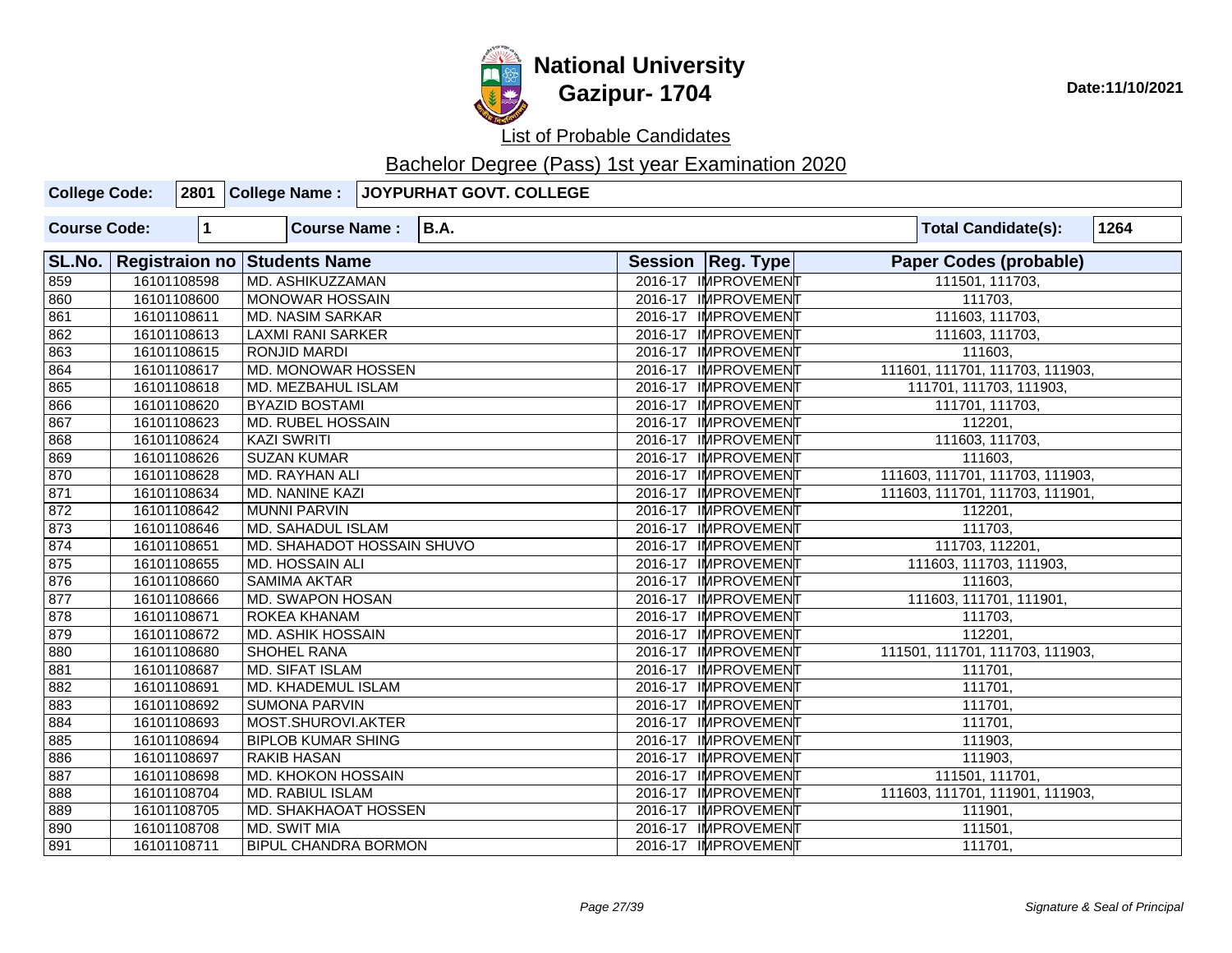

List of Probable Candidates

| <b>College Code:</b> |             | 2801 College Name:                  | JOYPURHAT GOVT. COLLEGE |                     |                                 |      |
|----------------------|-------------|-------------------------------------|-------------------------|---------------------|---------------------------------|------|
| <b>Course Code:</b>  | 1           | <b>Course Name:</b>                 | <b>B.A.</b>             |                     | <b>Total Candidate(s):</b>      | 1264 |
| SL.No.               |             | <b>Registraion no Students Name</b> |                         | Session Reg. Type   | <b>Paper Codes (probable)</b>   |      |
| 859                  | 16101108598 | MD. ASHIKUZZAMAN                    |                         | 2016-17 IMPROVEMENT | 111501, 111703,                 |      |
| 860                  | 16101108600 | <b>MONOWAR HOSSAIN</b>              |                         | 2016-17 IMPROVEMENT | 111703,                         |      |
| 861                  | 16101108611 | <b>MD. NASIM SARKAR</b>             |                         | 2016-17 IMPROVEMENT | 111603, 111703,                 |      |
| 862                  | 16101108613 | <b>LAXMI RANI SARKER</b>            |                         | 2016-17 IMPROVEMENT | 111603, 111703,                 |      |
| 863                  | 16101108615 | <b>RONJID MARDI</b>                 |                         | 2016-17 IMPROVEMENT | 111603.                         |      |
| 864                  | 16101108617 | <b>MD. MONOWAR HOSSEN</b>           |                         | 2016-17 IMPROVEMENT | 111601, 111701, 111703, 111903, |      |
| 865                  | 16101108618 | MD. MEZBAHUL ISLAM                  |                         | 2016-17 IMPROVEMENT | 111701, 111703, 111903,         |      |
| 866                  | 16101108620 | <b>BYAZID BOSTAMI</b>               |                         | 2016-17 IMPROVEMENT | 111701, 111703,                 |      |
| 867                  | 16101108623 | <b>MD. RUBEL HOSSAIN</b>            |                         | 2016-17 IMPROVEMENT | 112201,                         |      |
| 868                  | 16101108624 | <b>KAZI SWRITI</b>                  |                         | 2016-17 IMPROVEMENT | 111603, 111703,                 |      |
| 869                  | 16101108626 | <b>SUZAN KUMAR</b>                  |                         | 2016-17 IMPROVEMENT | 111603,                         |      |
| 870                  | 16101108628 | MD. RAYHAN ALI                      |                         | 2016-17 IMPROVEMENT | 111603, 111701, 111703, 111903, |      |
| 871                  | 16101108634 | MD. NANINE KAZI                     |                         | 2016-17 IMPROVEMENT | 111603, 111701, 111703, 111901, |      |
| 872                  | 16101108642 | <b>MUNNI PARVIN</b>                 |                         | 2016-17 IMPROVEMENT | 112201,                         |      |
| 873                  | 16101108646 | <b>MD. SAHADUL ISLAM</b>            |                         | 2016-17 IMPROVEMENT | 111703,                         |      |
| 874                  | 16101108651 | MD. SHAHADOT HOSSAIN SHUVO          |                         | 2016-17 IMPROVEMENT | 111703, 112201,                 |      |
| 875                  | 16101108655 | MD. HOSSAIN ALI                     |                         | 2016-17 IMPROVEMENT | 111603, 111703, 111903,         |      |
| 876                  | 16101108660 | <b>SAMIMA AKTAR</b>                 |                         | 2016-17 IMPROVEMENT | 111603,                         |      |
| 877                  | 16101108666 | MD. SWAPON HOSAN                    |                         | 2016-17 IMPROVEMENT | 111603, 111701, 111901,         |      |
| 878                  | 16101108671 | <b>ROKEA KHANAM</b>                 |                         | 2016-17 IMPROVEMENT | 111703,                         |      |
| 879                  | 16101108672 | MD. ASHIK HOSSAIN                   |                         | 2016-17 IMPROVEMENT | 112201,                         |      |
| 880                  | 16101108680 | SHOHEL RANA                         |                         | 2016-17 IMPROVEMENT | 111501, 111701, 111703, 111903, |      |
| 881                  | 16101108687 | <b>MD. SIFAT ISLAM</b>              |                         | 2016-17 IMPROVEMENT | 111701,                         |      |
| 882                  | 16101108691 | <b>MD. KHADEMUL ISLAM</b>           |                         | 2016-17 IMPROVEMENT | 111701,                         |      |
| 883                  | 16101108692 | <b>SUMONA PARVIN</b>                |                         | 2016-17 IMPROVEMENT | 111701,                         |      |
| 884                  | 16101108693 | MOST.SHUROVI.AKTER                  |                         | 2016-17 IMPROVEMENT | 111701,                         |      |
| 885                  | 16101108694 | <b>BIPLOB KUMAR SHING</b>           |                         | 2016-17 IMPROVEMENT | 111903,                         |      |
| 886                  | 16101108697 | <b>RAKIB HASAN</b>                  |                         | 2016-17 IMPROVEMENT | 111903,                         |      |
| 887                  | 16101108698 | MD. KHOKON HOSSAIN                  |                         | 2016-17 IMPROVEMENT | 111501, 111701,                 |      |
| 888                  | 16101108704 | <b>MD. RABIUL ISLAM</b>             |                         | 2016-17 IMPROVEMENT | 111603, 111701, 111901, 111903, |      |
| 889                  | 16101108705 | <b>MD. SHAKHAOAT HOSSEN</b>         |                         | 2016-17 IMPROVEMENT | 111901,                         |      |
| 890                  | 16101108708 | MD. SWIT MIA                        |                         | 2016-17 IMPROVEMENT | 111501,                         |      |
| 891                  | 16101108711 | <b>BIPUL CHANDRA BORMON</b>         |                         | 2016-17 IMPROVEMENT | 111701,                         |      |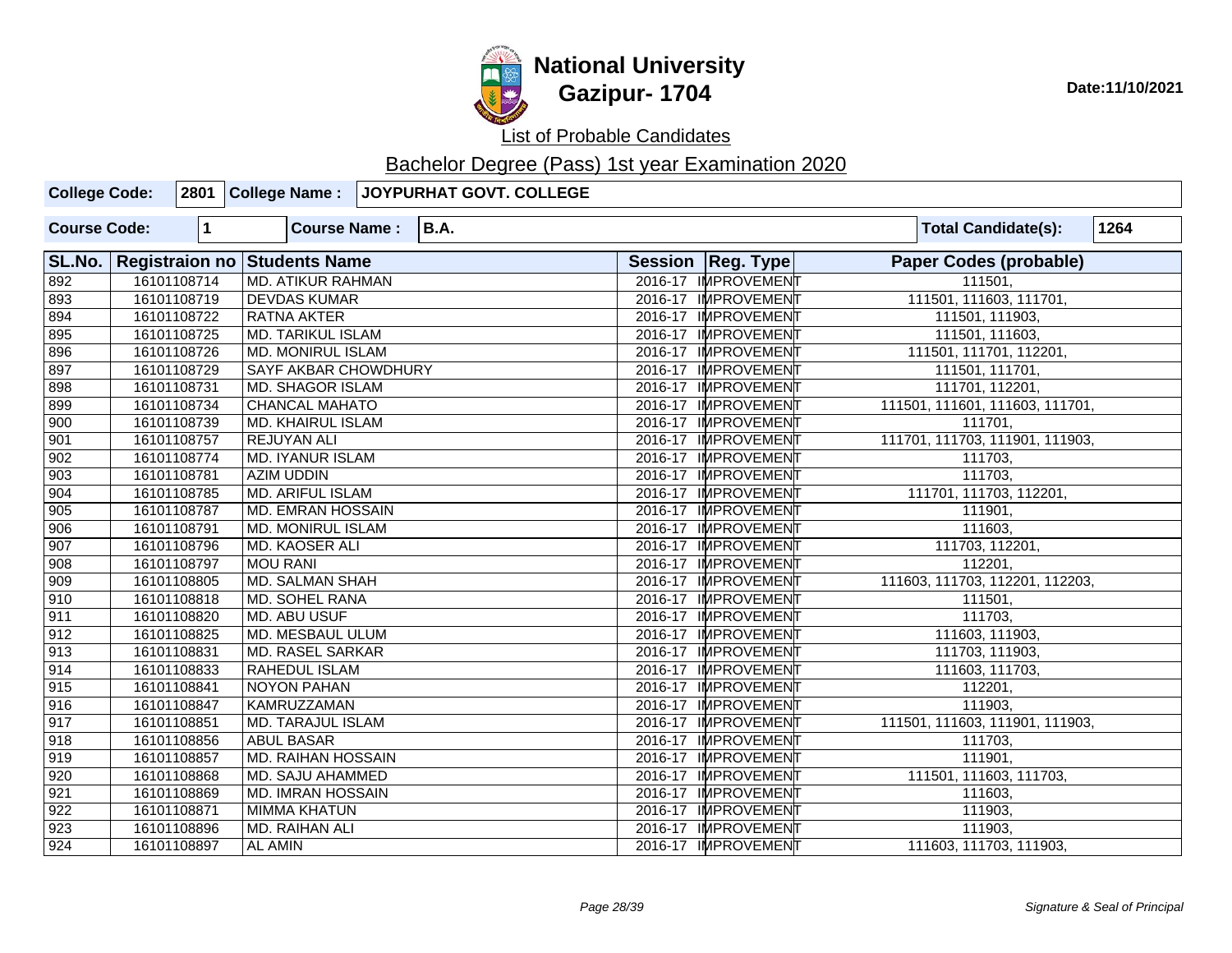

| <b>College Code:</b> |              | 2801 College Name:           | JOYPURHAT GOVT. COLLEGE |                     |                                    |
|----------------------|--------------|------------------------------|-------------------------|---------------------|------------------------------------|
| <b>Course Code:</b>  | $\mathbf{1}$ | <b>Course Name:</b>          | <b>B.A.</b>             |                     | 1264<br><b>Total Candidate(s):</b> |
| SL.No.               |              | Registraion no Students Name |                         | Session   Reg. Type | <b>Paper Codes (probable)</b>      |
| 892                  | 16101108714  | <b>MD. ATIKUR RAHMAN</b>     |                         | 2016-17 IMPROVEMENT | 111501.                            |
| 893                  | 16101108719  | <b>DEVDAS KUMAR</b>          |                         | 2016-17 IMPROVEMENT | 111501, 111603, 111701,            |
| 894                  | 16101108722  | <b>RATNA AKTER</b>           |                         | 2016-17 IMPROVEMENT | 111501, 111903,                    |
| 895                  | 16101108725  | <b>MD. TARIKUL ISLAM</b>     |                         | 2016-17 IMPROVEMENT | 111501, 111603,                    |
| 896                  | 16101108726  | <b>MD. MONIRUL ISLAM</b>     |                         | 2016-17 IMPROVEMENT | 111501, 111701, 112201,            |
| 897                  | 16101108729  | <b>SAYF AKBAR CHOWDHURY</b>  |                         | 2016-17 IMPROVEMENT | 111501, 111701,                    |
| 898                  | 16101108731  | <b>MD. SHAGOR ISLAM</b>      |                         | 2016-17 IMPROVEMENT | 111701, 112201,                    |
| 899                  | 16101108734  | <b>CHANCAL MAHATO</b>        |                         | 2016-17 IMPROVEMENT | 111501, 111601, 111603, 111701,    |
| 900                  | 16101108739  | MD. KHAIRUL ISLAM            |                         | 2016-17 IMPROVEMENT | 111701,                            |
| 901                  | 16101108757  | <b>REJUYAN ALI</b>           |                         | 2016-17 IMPROVEMENT | 111701, 111703, 111901, 111903,    |
| 902                  | 16101108774  | <b>MD. IYANUR ISLAM</b>      |                         | 2016-17 IMPROVEMENT | 111703,                            |
| 903                  | 16101108781  | <b>AZIM UDDIN</b>            |                         | 2016-17 IMPROVEMENT | 111703,                            |
| 904                  | 16101108785  | <b>MD. ARIFUL ISLAM</b>      |                         | 2016-17 IMPROVEMENT | 111701, 111703, 112201,            |
| 905                  | 16101108787  | <b>MD. EMRAN HOSSAIN</b>     |                         | 2016-17 IMPROVEMENT | 111901,                            |
| 906                  | 16101108791  | <b>MD. MONIRUL ISLAM</b>     |                         | 2016-17 IMPROVEMENT | 111603,                            |
| 907                  | 16101108796  | MD. KAOSER ALI               |                         | 2016-17 IMPROVEMENT | 111703, 112201,                    |
| 908                  | 16101108797  | <b>MOU RANI</b>              |                         | 2016-17 IMPROVEMENT | 112201,                            |
| 909                  | 16101108805  | <b>MD. SALMAN SHAH</b>       |                         | 2016-17 IMPROVEMENT | 111603, 111703, 112201, 112203,    |
| 910                  | 16101108818  | MD. SOHEL RANA               |                         | 2016-17 IMPROVEMENT | 111501,                            |
| 911                  | 16101108820  | <b>MD. ABU USUF</b>          |                         | 2016-17 IMPROVEMENT | 111703,                            |
| 912                  | 16101108825  | MD. MESBAUL ULUM             |                         | 2016-17 IMPROVEMENT | 111603, 111903,                    |
| $\overline{913}$     | 16101108831  | <b>MD. RASEL SARKAR</b>      |                         | 2016-17 IMPROVEMENT | 111703, 111903,                    |
| 914                  | 16101108833  | <b>RAHEDUL ISLAM</b>         |                         | 2016-17 IMPROVEMENT | 111603, 111703,                    |
| 915                  | 16101108841  | <b>NOYON PAHAN</b>           |                         | 2016-17 IMPROVEMENT | 112201,                            |
| 916                  | 16101108847  | <b>KAMRUZZAMAN</b>           |                         | 2016-17 IMPROVEMENT | 111903,                            |
| $\overline{917}$     | 16101108851  | <b>MD. TARAJUL ISLAM</b>     |                         | 2016-17 IMPROVEMENT | 111501, 111603, 111901, 111903,    |
| 918                  | 16101108856  | <b>ABUL BASAR</b>            |                         | 2016-17 IMPROVEMENT | 111703,                            |
| 919                  | 16101108857  | <b>MD. RAIHAN HOSSAIN</b>    |                         | 2016-17 IMPROVEMENT | 111901,                            |
| 920                  | 16101108868  | MD. SAJU AHAMMED             |                         | 2016-17 IMPROVEMENT | 111501, 111603, 111703,            |
| 921                  | 16101108869  | <b>MD. IMRAN HOSSAIN</b>     |                         | 2016-17 IMPROVEMENT | 111603,                            |
| 922                  | 16101108871  | <b>MIMMA KHATUN</b>          |                         | 2016-17 IMPROVEMENT | 111903,                            |
| 923                  | 16101108896  | MD. RAIHAN ALI               |                         | 2016-17 IMPROVEMENT | 111903,                            |
| 924                  | 16101108897  | <b>AL AMIN</b>               |                         | 2016-17 IMPROVEMENT | 111603, 111703, 111903,            |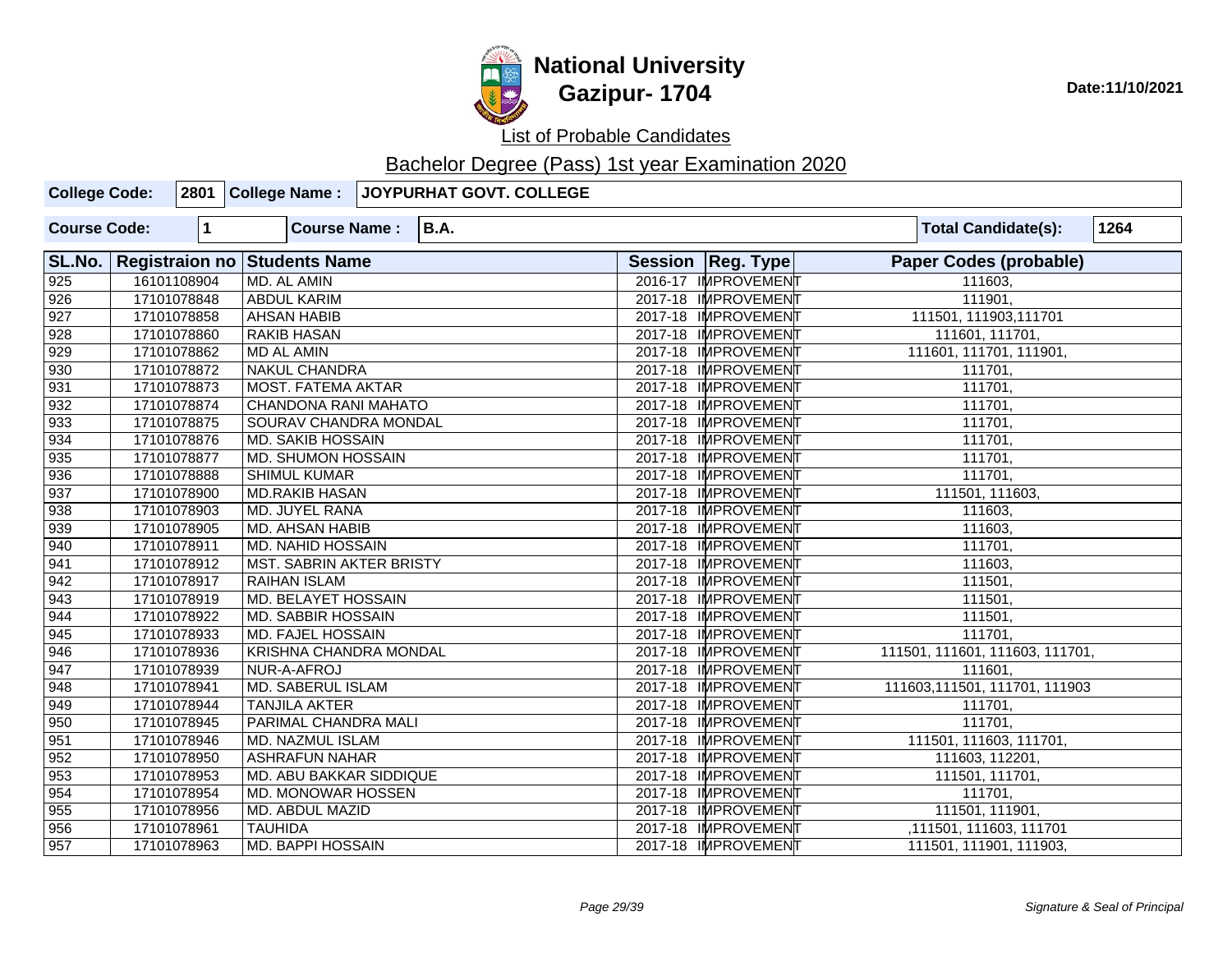

| <b>College Code:</b> |             | 2801 College Name:                  | JOYPURHAT GOVT. COLLEGE |                     |                                 |      |
|----------------------|-------------|-------------------------------------|-------------------------|---------------------|---------------------------------|------|
| <b>Course Code:</b>  | $\mathbf 1$ | <b>Course Name:</b>                 | <b>B.A.</b>             |                     | <b>Total Candidate(s):</b>      | 1264 |
| SL.No.               |             | <b>Registraion no Students Name</b> |                         | Session   Reg. Type | <b>Paper Codes (probable)</b>   |      |
| 925                  | 16101108904 | MD. AL AMIN                         |                         | 2016-17 IMPROVEMENT | 111603.                         |      |
| 926                  | 17101078848 | <b>ABDUL KARIM</b>                  |                         | 2017-18 IMPROVEMENT | 111901,                         |      |
| 927                  | 17101078858 | <b>AHSAN HABIB</b>                  |                         | 2017-18 IMPROVEMENT | 111501, 111903, 111701          |      |
| $\sqrt{928}$         | 17101078860 | <b>RAKIB HASAN</b>                  |                         | 2017-18 IMPROVEMENT | 111601, 111701,                 |      |
| $\overline{929}$     | 17101078862 | <b>MD AL AMIN</b>                   |                         | 2017-18 IMPROVEMENT | 111601, 111701, 111901,         |      |
| 930                  | 17101078872 | <b>NAKUL CHANDRA</b>                |                         | 2017-18 IMPROVEMENT | 111701,                         |      |
| 931                  | 17101078873 | <b>MOST. FATEMA AKTAR</b>           |                         | 2017-18 IMPROVEMENT | 111701,                         |      |
| $\sqrt{932}$         | 17101078874 | <b>CHANDONA RANI MAHATO</b>         |                         | 2017-18 IMPROVEMENT | 111701,                         |      |
| $\sqrt{933}$         | 17101078875 | SOURAV CHANDRA MONDAL               |                         | 2017-18 IMPROVEMENT | 111701,                         |      |
| $\sqrt{934}$         | 17101078876 | <b>MD. SAKIB HOSSAIN</b>            |                         | 2017-18 IMPROVEMENT | 111701,                         |      |
| 935                  | 17101078877 | <b>MD. SHUMON HOSSAIN</b>           |                         | 2017-18 IMPROVEMENT | 111701,                         |      |
| 936                  | 17101078888 | <b>SHIMUL KUMAR</b>                 |                         | 2017-18 IMPROVEMENT | 111701,                         |      |
| $\sqrt{937}$         | 17101078900 | <b>MD.RAKIB HASAN</b>               |                         | 2017-18 IMPROVEMENT | 111501, 111603,                 |      |
| 938                  | 17101078903 | MD. JUYEL RANA                      |                         | 2017-18 IMPROVEMENT | 111603,                         |      |
| 939                  | 17101078905 | <b>MD. AHSAN HABIB</b>              |                         | 2017-18 IMPROVEMENT | 111603,                         |      |
| 940                  | 17101078911 | <b>MD. NAHID HOSSAIN</b>            |                         | 2017-18 IMPROVEMENT | 111701,                         |      |
| $\sqrt{941}$         | 17101078912 | MST. SABRIN AKTER BRISTY            |                         | 2017-18 IMPROVEMENT | 111603,                         |      |
| 942                  | 17101078917 | <b>RAIHAN ISLAM</b>                 |                         | 2017-18 IMPROVEMENT | 111501,                         |      |
| $\sqrt{943}$         | 17101078919 | <b>MD. BELAYET HOSSAIN</b>          |                         | 2017-18 IMPROVEMENT | 111501,                         |      |
| 944                  | 17101078922 | <b>MD. SABBIR HOSSAIN</b>           |                         | 2017-18 IMPROVEMENT | 111501,                         |      |
| 945                  | 17101078933 | MD. FAJEL HOSSAIN                   |                         | 2017-18 IMPROVEMENT | 111701,                         |      |
| 946                  | 17101078936 | <b>KRISHNA CHANDRA MONDAL</b>       |                         | 2017-18 IMPROVEMENT | 111501, 111601, 111603, 111701, |      |
| 947                  | 17101078939 | NUR-A-AFROJ                         |                         | 2017-18 IMPROVEMENT | 111601,                         |      |
| 948                  | 17101078941 | <b>MD. SABERUL ISLAM</b>            |                         | 2017-18 IMPROVEMENT | 111603,111501, 111701, 111903   |      |
| 949                  | 17101078944 | <b>TANJILA AKTER</b>                |                         | 2017-18 IMPROVEMENT | 111701,                         |      |
| 950                  | 17101078945 | PARIMAL CHANDRA MALI                |                         | 2017-18 IMPROVEMENT | 111701,                         |      |
| 951                  | 17101078946 | MD. NAZMUL ISLAM                    |                         | 2017-18 IMPROVEMENT | 111501, 111603, 111701,         |      |
| $\overline{952}$     | 17101078950 | <b>ASHRAFUN NAHAR</b>               |                         | 2017-18 IMPROVEMENT | 111603, 112201,                 |      |
| 953                  | 17101078953 | <b>MD. ABU BAKKAR SIDDIQUE</b>      |                         | 2017-18 IMPROVEMENT | 111501, 111701,                 |      |
| 954                  | 17101078954 | MD. MONOWAR HOSSEN                  |                         | 2017-18 IMPROVEMENT | 111701,                         |      |
| 955                  | 17101078956 | MD. ABDUL MAZID                     |                         | 2017-18 IMPROVEMENT | 111501, 111901,                 |      |
| 956                  | 17101078961 | <b>TAUHIDA</b>                      |                         | 2017-18 IMPROVEMENT | ,111501, 111603, 111701         |      |
| 957                  | 17101078963 | MD. BAPPI HOSSAIN                   |                         | 2017-18 IMPROVEMENT | 111501, 111901, 111903,         |      |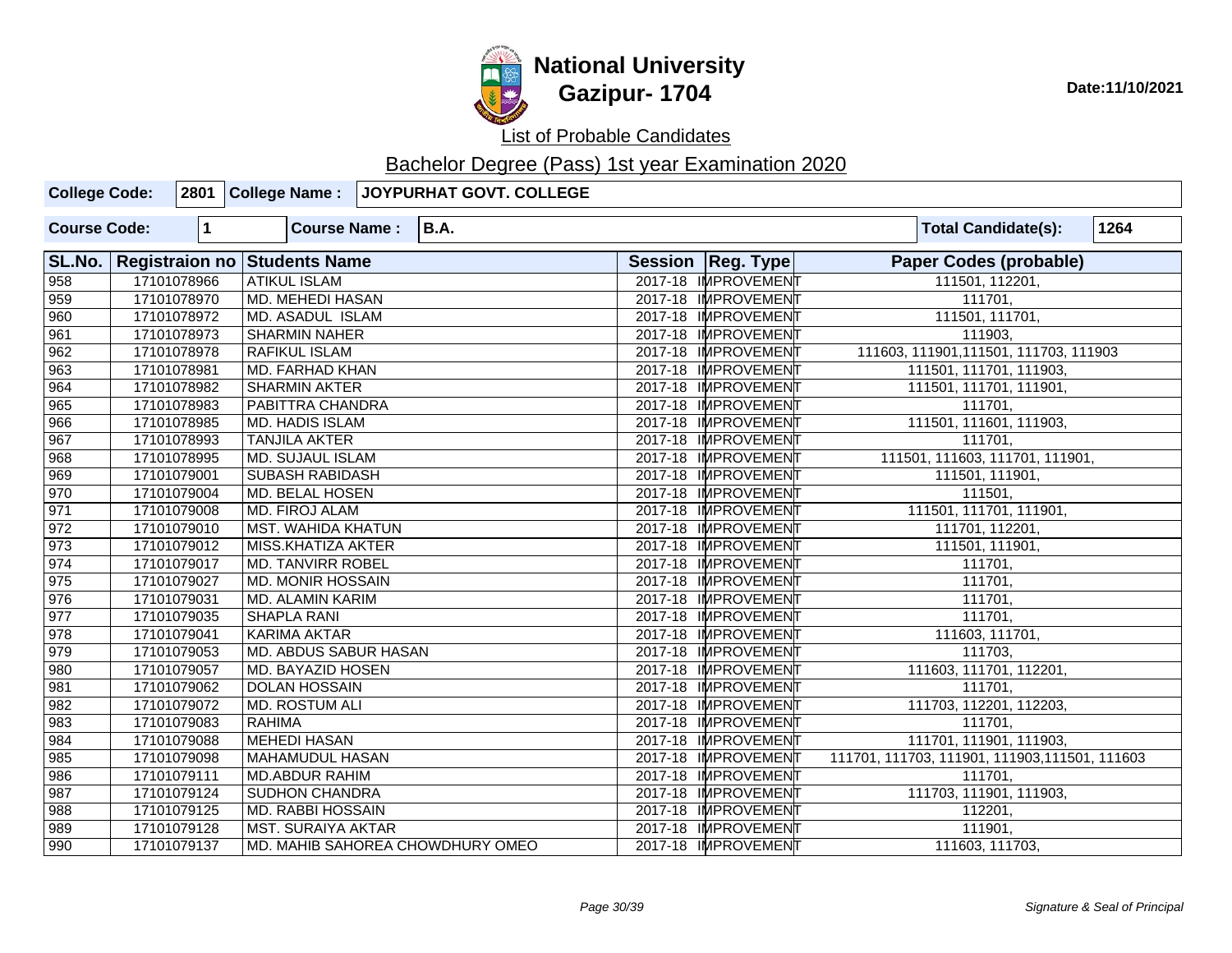

| <b>College Code:</b> |                       |              | 2801 College Name:        | <b>JOYPURHAT GOVT. COLLEGE</b>   |                     |                     |                                                |      |
|----------------------|-----------------------|--------------|---------------------------|----------------------------------|---------------------|---------------------|------------------------------------------------|------|
| <b>Course Code:</b>  |                       | $\mathbf{1}$ | <b>Course Name:</b>       | <b>B.A.</b>                      |                     |                     | <b>Total Candidate(s):</b>                     | 1264 |
| SL.No.               | <b>Registraion no</b> |              | <b>Students Name</b>      |                                  | Session   Reg. Type |                     | <b>Paper Codes (probable)</b>                  |      |
| 958                  |                       | 17101078966  | <b>ATIKUL ISLAM</b>       |                                  |                     | 2017-18 IMPROVEMENT | 111501, 112201,                                |      |
| 959                  |                       | 17101078970  | <b>MD. MEHEDI HASAN</b>   |                                  |                     | 2017-18 IMPROVEMENT | 111701,                                        |      |
| 960                  |                       | 17101078972  | <b>MD. ASADUL ISLAM</b>   |                                  |                     | 2017-18 IMPROVEMEN  | 111501, 111701,                                |      |
| 961                  |                       | 17101078973  | <b>SHARMIN NAHER</b>      |                                  |                     | 2017-18 IMPROVEMENT | 111903,                                        |      |
| 962                  |                       | 17101078978  | <b>RAFIKUL ISLAM</b>      |                                  |                     | 2017-18 IMPROVEMENT | 111603, 111901, 111501, 111703, 111903         |      |
| 963                  |                       | 17101078981  | <b>MD. FARHAD KHAN</b>    |                                  |                     | 2017-18 IMPROVEMENT | 111501, 111701, 111903,                        |      |
| 964                  |                       | 17101078982  | <b>SHARMIN AKTER</b>      |                                  |                     | 2017-18 IMPROVEMEN  | 111501, 111701, 111901,                        |      |
| 965                  |                       | 17101078983  | PABITTRA CHANDRA          |                                  |                     | 2017-18 IMPROVEMENT | 111701,                                        |      |
| 966                  |                       | 17101078985  | <b>MD. HADIS ISLAM</b>    |                                  |                     | 2017-18 IMPROVEMENT | 111501, 111601, 111903,                        |      |
| 967                  |                       | 17101078993  | <b>TANJILA AKTER</b>      |                                  |                     | 2017-18 IMPROVEMENT | 111701,                                        |      |
| 968                  |                       | 17101078995  | <b>MD. SUJAUL ISLAM</b>   |                                  |                     | 2017-18 IMPROVEMENT | 111501, 111603, 111701, 111901,                |      |
| 969                  |                       | 17101079001  | <b>SUBASH RABIDASH</b>    |                                  |                     | 2017-18 IMPROVEMENT | 111501, 111901,                                |      |
| $\sqrt{970}$         |                       | 17101079004  | <b>MD. BELAL HOSEN</b>    |                                  |                     | 2017-18 IMPROVEMENT | 111501,                                        |      |
| 971                  |                       | 17101079008  | MD. FIROJ ALAM            |                                  |                     | 2017-18 IMPROVEMENT | 111501, 111701, 111901,                        |      |
| 972                  |                       | 17101079010  | <b>MST. WAHIDA KHATUN</b> |                                  |                     | 2017-18 IMPROVEMEN  | 111701, 112201,                                |      |
| 973                  |                       | 17101079012  | MISS.KHATIZA AKTER        |                                  |                     | 2017-18 IMPROVEMENT | 111501, 111901,                                |      |
| 974                  |                       | 17101079017  | <b>MD. TANVIRR ROBEL</b>  |                                  |                     | 2017-18 IMPROVEMENT | 111701,                                        |      |
| 975                  |                       | 17101079027  | <b>MD. MONIR HOSSAIN</b>  |                                  |                     | 2017-18 IMPROVEMENT | 111701,                                        |      |
| 976                  |                       | 17101079031  | MD. ALAMIN KARIM          |                                  |                     | 2017-18 IMPROVEMENT | 111701,                                        |      |
| 977                  |                       | 17101079035  | <b>SHAPLA RANI</b>        |                                  |                     | 2017-18 IMPROVEMENT | 111701,                                        |      |
| 978                  |                       | 17101079041  | <b>KARIMA AKTAR</b>       |                                  |                     | 2017-18 IMPROVEMENT | 111603, 111701,                                |      |
| 979                  |                       | 17101079053  | MD. ABDUS SABUR HASAN     |                                  |                     | 2017-18 IMPROVEMENT | 111703,                                        |      |
| 980                  |                       | 17101079057  | <b>MD. BAYAZID HOSEN</b>  |                                  |                     | 2017-18 IMPROVEMENT | 111603, 111701, 112201,                        |      |
| 981                  |                       | 17101079062  | <b>DOLAN HOSSAIN</b>      |                                  |                     | 2017-18 IMPROVEMENT | 111701,                                        |      |
| 982                  |                       | 17101079072  | <b>MD. ROSTUM ALI</b>     |                                  |                     | 2017-18 IMPROVEMENT | 111703, 112201, 112203,                        |      |
| 983                  |                       | 17101079083  | <b>RAHIMA</b>             |                                  |                     | 2017-18 IMPROVEMENT | 111701,                                        |      |
| 984                  |                       | 17101079088  | <b>MEHEDI HASAN</b>       |                                  |                     | 2017-18 IMPROVEMENT | 111701, 111901, 111903,                        |      |
| 985                  |                       | 17101079098  | <b>MAHAMUDUL HASAN</b>    |                                  |                     | 2017-18 IMPROVEMENT | 111701, 111703, 111901, 111903, 111501, 111603 |      |
| 986                  |                       | 17101079111  | <b>MD.ABDUR RAHIM</b>     |                                  |                     | 2017-18 IMPROVEMENT | 111701,                                        |      |
| 987                  |                       | 17101079124  | <b>SUDHON CHANDRA</b>     |                                  |                     | 2017-18 IMPROVEMENT | 111703, 111901, 111903,                        |      |
| 988                  |                       | 17101079125  | <b>MD. RABBI HOSSAIN</b>  |                                  |                     | 2017-18 IMPROVEMENT | 112201,                                        |      |
| 989                  |                       | 17101079128  | <b>MST. SURAIYA AKTAR</b> |                                  |                     | 2017-18 IMPROVEMENT | 111901,                                        |      |
| 990                  |                       | 17101079137  |                           | MD. MAHIB SAHOREA CHOWDHURY OMEO |                     | 2017-18 IMPROVEMENT | 111603, 111703,                                |      |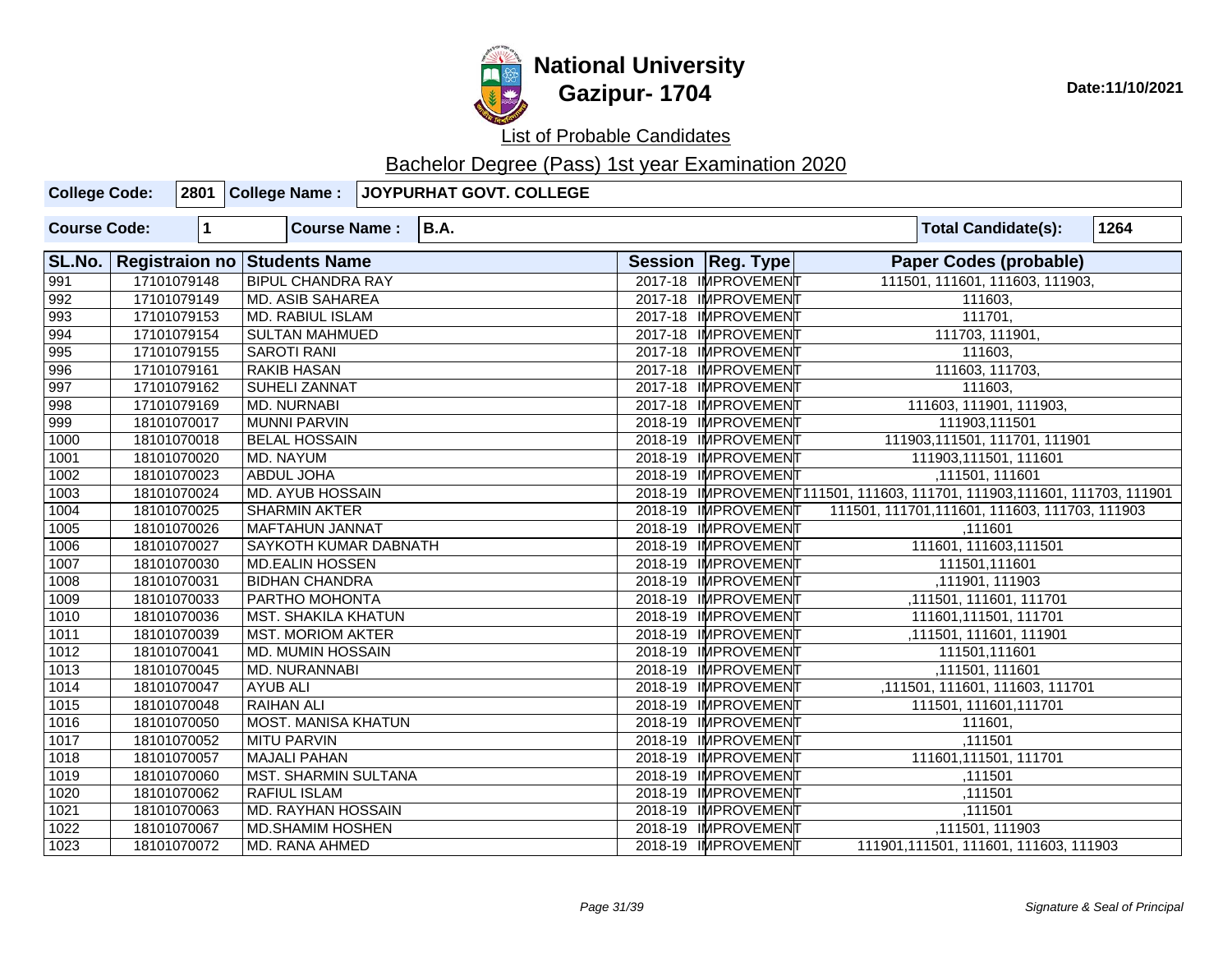

| <b>College Code:</b> |                       |             | 2801 College Name:          | JOYPURHAT GOVT. COLLEGE |                     |                                                                           |
|----------------------|-----------------------|-------------|-----------------------------|-------------------------|---------------------|---------------------------------------------------------------------------|
| <b>Course Code:</b>  |                       | $\mathbf 1$ | <b>Course Name:</b>         | <b>B.A.</b>             |                     | 1264<br><b>Total Candidate(s):</b>                                        |
| SL.No.               | <b>Registraion no</b> |             | <b>Students Name</b>        |                         | Session   Reg. Type | <b>Paper Codes (probable)</b>                                             |
| 991                  |                       | 17101079148 | <b>BIPUL CHANDRA RAY</b>    |                         | 2017-18 IMPROVEMENT | 111501, 111601, 111603, 111903,                                           |
| 992                  |                       | 17101079149 | <b>MD. ASIB SAHAREA</b>     |                         | 2017-18 IMPROVEMENT | 111603,                                                                   |
| 993                  |                       | 17101079153 | <b>MD. RABIUL ISLAM</b>     |                         | 2017-18 IMPROVEMENT | 111701,                                                                   |
| 994                  |                       | 17101079154 | <b>SULTAN MAHMUED</b>       |                         | 2017-18 IMPROVEMENT | 111703, 111901,                                                           |
| $\sqrt{995}$         |                       | 17101079155 | <b>SAROTI RANI</b>          |                         | 2017-18 IMPROVEMENT | 111603.                                                                   |
| 996                  |                       | 17101079161 | <b>RAKIB HASAN</b>          |                         | 2017-18 IMPROVEMENT | 111603, 111703,                                                           |
| 997                  |                       | 17101079162 | SUHELI ZANNAT               |                         | 2017-18 IMPROVEMENT | 111603,                                                                   |
| 998                  |                       | 17101079169 | <b>MD. NURNABI</b>          |                         | 2017-18 IMPROVEMENT | 111603, 111901, 111903,                                                   |
| 999                  |                       | 18101070017 | <b>MUNNI PARVIN</b>         |                         | 2018-19 IMPROVEMENT | 111903,111501                                                             |
| 1000                 |                       | 18101070018 | <b>BELAL HOSSAIN</b>        |                         | 2018-19 IMPROVEMENT | 111903, 111501, 111701, 111901                                            |
| 1001                 |                       | 18101070020 | <b>MD. NAYUM</b>            |                         | 2018-19 IMPROVEMENT | 111903,111501, 111601                                                     |
| 1002                 |                       | 18101070023 | ABDUL JOHA                  |                         | 2018-19 IMPROVEMENT | ,111501, 111601                                                           |
| $\frac{1003}{ }$     |                       | 18101070024 | <b>MD. AYUB HOSSAIN</b>     |                         |                     | 2018-19 IMPROVEMENT111501, 111603, 111701, 111903, 111601, 111703, 111901 |
| 1004                 |                       | 18101070025 | <b>SHARMIN AKTER</b>        |                         | 2018-19 IMPROVEMENT | 111501, 111701, 111601, 111603, 111703, 111903                            |
| 1005                 |                       | 18101070026 | <b>MAFTAHUN JANNAT</b>      |                         | 2018-19 IMPROVEMENT | ,111601                                                                   |
| 1006                 |                       | 18101070027 | SAYKOTH KUMAR DABNATH       |                         | 2018-19 IMPROVEMENT | 111601, 111603, 111501                                                    |
| 1007                 |                       | 18101070030 | <b>MD.EALIN HOSSEN</b>      |                         | 2018-19 IMPROVEMENT | 111501,111601                                                             |
| 1008                 |                       | 18101070031 | <b>BIDHAN CHANDRA</b>       |                         | 2018-19 IMPROVEMENT | ,111901, 111903                                                           |
| 1009                 |                       | 18101070033 | PARTHO MOHONTA              |                         | 2018-19 IMPROVEMENT | ,111501, 111601, 111701                                                   |
| 1010                 |                       | 18101070036 | MST. SHAKILA KHATUN         |                         | 2018-19 IMPROVEMENT | 111601,111501, 111701                                                     |
| 1011                 |                       | 18101070039 | <b>MST. MORIOM AKTER</b>    |                         | 2018-19 IMPROVEMENT | ,111501, 111601, 111901                                                   |
| $\overline{1012}$    |                       | 18101070041 | <b>MD. MUMIN HOSSAIN</b>    |                         | 2018-19 IMPROVEMENT | 111501,111601                                                             |
| 1013                 |                       | 18101070045 | MD. NURANNABI               |                         | 2018-19 IMPROVEMENT | ,111501, 111601                                                           |
| 1014                 |                       | 18101070047 | <b>AYUB ALI</b>             |                         | 2018-19 IMPROVEMENT | ,111501, 111601, 111603, 111701                                           |
| $\overline{1015}$    |                       | 18101070048 | <b>RAIHAN ALI</b>           |                         | 2018-19 IMPROVEMENT | 111501, 111601, 111701                                                    |
| 1016                 |                       | 18101070050 | <b>MOST. MANISA KHATUN</b>  |                         | 2018-19 IMPROVEMENT | 111601,                                                                   |
| $\boxed{1017}$       |                       | 18101070052 | <b>MITU PARVIN</b>          |                         | 2018-19 IMPROVEMENT | ,111501                                                                   |
| 1018                 |                       | 18101070057 | <b>MAJALI PAHAN</b>         |                         | 2018-19 IMPROVEMENT | 111601,111501, 111701                                                     |
| 1019                 |                       | 18101070060 | <b>MST. SHARMIN SULTANA</b> |                         | 2018-19 IMPROVEMENT | ,111501                                                                   |
| 1020                 |                       | 18101070062 | <b>RAFIUL ISLAM</b>         |                         | 2018-19 IMPROVEMENT | ,111501                                                                   |
| 1021                 |                       | 18101070063 | MD. RAYHAN HOSSAIN          |                         | 2018-19 IMPROVEMENT | ,111501                                                                   |
| 1022                 |                       | 18101070067 | <b>MD.SHAMIM HOSHEN</b>     |                         | 2018-19 IMPROVEMENT | ,111501, 111903                                                           |
| 1023                 |                       | 18101070072 | MD. RANA AHMED              |                         | 2018-19 IMPROVEMENT | 111901,111501, 111601, 111603, 111903                                     |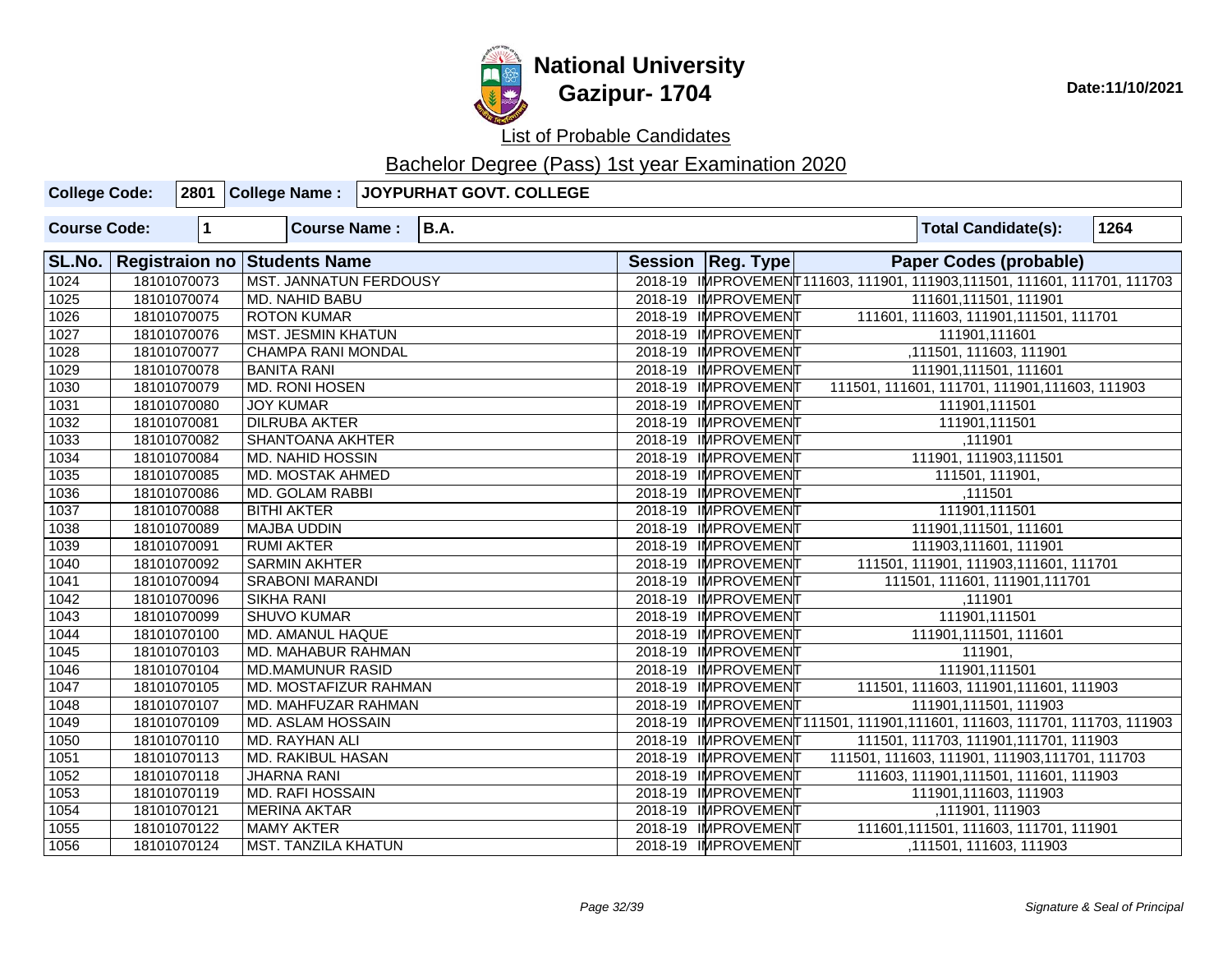

| <b>College Code:</b> |             | 2801 College Name:            | JOYPURHAT GOVT. COLLEGE |                     |                                                                           |  |
|----------------------|-------------|-------------------------------|-------------------------|---------------------|---------------------------------------------------------------------------|--|
| <b>Course Code:</b>  | 1           | <b>Course Name:</b>           | <b>B.A.</b>             |                     | 1264<br><b>Total Candidate(s):</b>                                        |  |
| SL.No.               |             | Registraion no Students Name  |                         | Session   Reg. Type | <b>Paper Codes (probable)</b>                                             |  |
| 1024                 | 18101070073 | <b>MST. JANNATUN FERDOUSY</b> |                         |                     | 2018-19 IMPROVEMENT111603, 111901, 111903, 111501, 111601, 111701, 111703 |  |
| $\overline{1025}$    | 18101070074 | MD. NAHID BABU                |                         | 2018-19 IMPROVEMENT | 111601,111501, 111901                                                     |  |
| 1026                 | 18101070075 | <b>ROTON KUMAR</b>            |                         | 2018-19 IMPROVEMENT | 111601, 111603, 111901, 111501, 111701                                    |  |
| 1027                 | 18101070076 | <b>MST. JESMIN KHATUN</b>     |                         | 2018-19 IMPROVEMENT | 111901,111601                                                             |  |
| 1028                 | 18101070077 | <b>CHAMPA RANI MONDAL</b>     |                         | 2018-19 IMPROVEMENT | ,111501, 111603, 111901                                                   |  |
| 1029                 | 18101070078 | <b>BANITA RANI</b>            |                         | 2018-19 IMPROVEMENT | 111901,111501, 111601                                                     |  |
| 1030                 | 18101070079 | MD. RONI HOSEN                |                         | 2018-19 IMPROVEMENT | 111501, 111601, 111701, 111901, 111603, 111903                            |  |
| 1031                 | 18101070080 | <b>JOY KUMAR</b>              |                         | 2018-19 IMPROVEMENT | 111901,111501                                                             |  |
| 1032                 | 18101070081 | <b>DILRUBA AKTER</b>          |                         | 2018-19 IMPROVEMENT | 111901,111501                                                             |  |
| 1033                 | 18101070082 | <b>SHANTOANA AKHTER</b>       |                         | 2018-19 IMPROVEMENT | ,111901                                                                   |  |
| 1034                 | 18101070084 | <b>MD. NAHID HOSSIN</b>       |                         | 2018-19 IMPROVEMENT | 111901, 111903, 11501                                                     |  |
| 1035                 | 18101070085 | MD. MOSTAK AHMED              |                         | 2018-19 IMPROVEMENT | 111501, 111901,                                                           |  |
| 1036                 | 18101070086 | <b>MD. GOLAM RABBI</b>        |                         | 2018-19 IMPROVEMENT | ,111501                                                                   |  |
| 1037                 | 18101070088 | <b>BITHI AKTER</b>            |                         | 2018-19 IMPROVEMENT | 111901,111501                                                             |  |
| 1038                 | 18101070089 | <b>MAJBA UDDIN</b>            |                         | 2018-19 IMPROVEMENT | 111901,111501, 111601                                                     |  |
| 1039                 | 18101070091 | <b>RUMI AKTER</b>             |                         | 2018-19 IMPROVEMENT | 111903,111601, 111901                                                     |  |
| 1040                 | 18101070092 | <b>SARMIN AKHTER</b>          |                         | 2018-19 IMPROVEMENT | 111501, 111901, 111903, 111601, 111701                                    |  |
| 1041                 | 18101070094 | <b>SRABONI MARANDI</b>        |                         | 2018-19 IMPROVEMENT | 111501, 111601, 111901, 111701                                            |  |
| 1042                 | 18101070096 | <b>SIKHA RANI</b>             |                         | 2018-19 IMPROVEMENT | ,111901                                                                   |  |
| 1043                 | 18101070099 | <b>SHUVO KUMAR</b>            |                         | 2018-19 IMPROVEMENT | 111901,111501                                                             |  |
| 1044                 | 18101070100 | MD. AMANUL HAQUE              |                         | 2018-19 IMPROVEMENT | 111901,111501, 111601                                                     |  |
| 1045                 | 18101070103 | MD. MAHABUR RAHMAN            |                         | 2018-19 IMPROVEMENT | 111901,                                                                   |  |
| 1046                 | 18101070104 | <b>MD.MAMUNUR RASID</b>       |                         | 2018-19 IMPROVEMENT | 111901,111501                                                             |  |
| 1047                 | 18101070105 | MD. MOSTAFIZUR RAHMAN         |                         | 2018-19 IMPROVEMENT | 111501, 111603, 111901, 111601, 111903                                    |  |
| 1048                 | 18101070107 | MD. MAHFUZAR RAHMAN           |                         | 2018-19 IMPROVEMENT | 111901,111501, 111903                                                     |  |
| 1049                 | 18101070109 | <b>MD. ASLAM HOSSAIN</b>      |                         |                     | 2018-19 IMPROVEMENT111501, 111901,111601, 111603, 111701, 111703, 111903  |  |
| 1050                 | 18101070110 | MD. RAYHAN ALI                |                         | 2018-19 IMPROVEMENT | 111501, 111703, 111901, 111701, 111903                                    |  |
| 1051                 | 18101070113 | <b>MD. RAKIBUL HASAN</b>      |                         | 2018-19 IMPROVEMENT | 111501, 111603, 111901, 111903, 111701, 111703                            |  |
| 1052                 | 18101070118 | <b>JHARNA RANI</b>            |                         | 2018-19 IMPROVEMENT | 111603, 111901, 111501, 111601, 111903                                    |  |
| 1053                 | 18101070119 | <b>MD. RAFI HOSSAIN</b>       |                         | 2018-19 IMPROVEMENT | 111901,111603, 111903                                                     |  |
| 1054                 | 18101070121 | <b>MERINA AKTAR</b>           |                         | 2018-19 IMPROVEMENT | ,111901, 111903                                                           |  |
| 1055                 | 18101070122 | MAMY AKTER                    |                         | 2018-19 IMPROVEMENT | 111601, 111501, 111603, 111701, 111901                                    |  |
| 1056                 | 18101070124 | <b>MST. TANZILA KHATUN</b>    |                         | 2018-19 IMPROVEMENT | ,111501, 111603, 111903                                                   |  |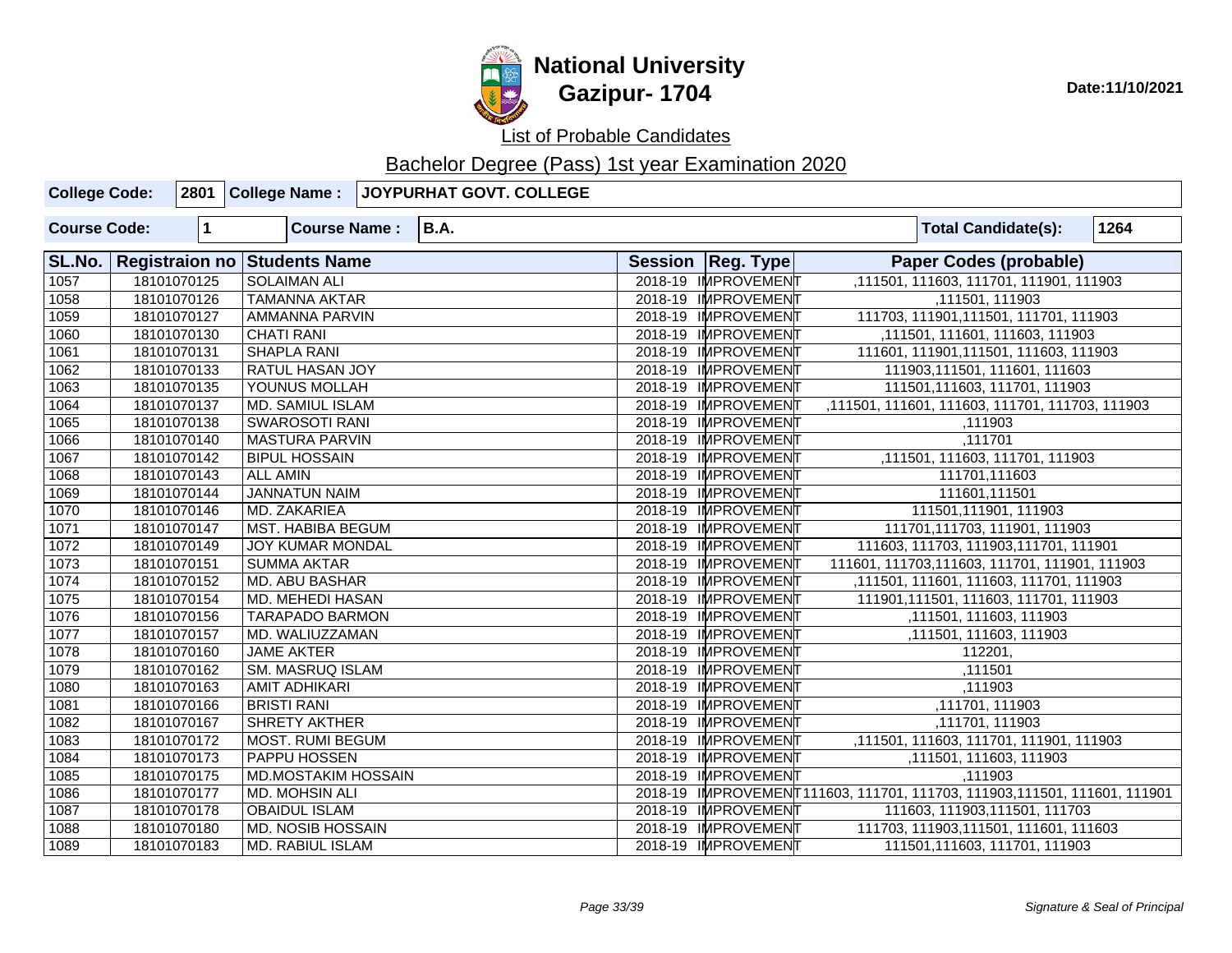

| <b>College Code:</b> |                       |                      | 2801 College Name:         | JOYPURHAT GOVT. COLLEGE |                     |                                                                           |      |
|----------------------|-----------------------|----------------------|----------------------------|-------------------------|---------------------|---------------------------------------------------------------------------|------|
| <b>Course Code:</b>  |                       | $\blacktriangleleft$ | <b>Course Name:</b>        | <b>B.A.</b>             |                     | <b>Total Candidate(s):</b>                                                | 1264 |
| SL.No.               | <b>Registraion no</b> |                      | <b>Students Name</b>       |                         | Session   Reg. Type | <b>Paper Codes (probable)</b>                                             |      |
| 1057                 |                       | 18101070125          | <b>SOLAIMAN ALI</b>        |                         | 2018-19 IMPROVEMENT | ,111501, 111603, 111701, 111901, 111903                                   |      |
| 1058                 |                       | 18101070126          | <b>TAMANNA AKTAR</b>       |                         | 2018-19 IMPROVEMENT | ,111501, 111903                                                           |      |
| 1059                 |                       | 18101070127          | <b>AMMANNA PARVIN</b>      |                         | 2018-19 IMPROVEMENT | 111703, 111901, 111501, 111701, 111903                                    |      |
| 1060                 |                       | 18101070130          | <b>CHATI RANI</b>          |                         | 2018-19 IMPROVEMENT | ,111501, 111601, 111603, 111903                                           |      |
| 1061                 |                       | 18101070131          | <b>SHAPLA RANI</b>         |                         | 2018-19 IMPROVEMENT | 111601, 111901, 111501, 111603, 111903                                    |      |
| 1062                 |                       | 18101070133          | <b>RATUL HASAN JOY</b>     |                         | 2018-19 IMPROVEMENT | 111903,111501, 111601, 111603                                             |      |
| 1063                 |                       | 18101070135          | YOUNUS MOLLAH              |                         | 2018-19 IMPROVEMENT | 111501,111603, 111701, 111903                                             |      |
| 1064                 |                       | 18101070137          | MD. SAMIUL ISLAM           |                         | 2018-19 IMPROVEMENT | ,111501, 111601, 111603, 111701, 111703, 111903                           |      |
| 1065                 |                       | 18101070138          | <b>SWAROSOTI RANI</b>      |                         | 2018-19 IMPROVEMENT | ,111903                                                                   |      |
| 1066                 |                       | 18101070140          | <b>MASTURA PARVIN</b>      |                         | 2018-19 IMPROVEMENT | ,111701                                                                   |      |
| 1067                 |                       | 18101070142          | <b>BIPUL HOSSAIN</b>       |                         | 2018-19 IMPROVEMENT | ,111501, 111603, 111701, 111903                                           |      |
| 1068                 |                       | 18101070143          | <b>ALL AMIN</b>            |                         | 2018-19 IMPROVEMENT | 111701,111603                                                             |      |
| 1069                 |                       | 18101070144          | <b>JANNATUN NAIM</b>       |                         | 2018-19 IMPROVEMENT | 111601,111501                                                             |      |
| 1070                 |                       | 18101070146          | MD. ZAKARIEA               |                         | 2018-19 IMPROVEMENT | 111501,111901, 111903                                                     |      |
| 1071                 |                       | 18101070147          | <b>MST. HABIBA BEGUM</b>   |                         | 2018-19 IMPROVEMENT | 111701,111703, 111901, 111903                                             |      |
| 1072                 |                       | 18101070149          | <b>JOY KUMAR MONDAL</b>    |                         | 2018-19 IMPROVEMENT | 111603, 111703, 111903, 111701, 111901                                    |      |
| 1073                 |                       | 18101070151          | <b>SUMMA AKTAR</b>         |                         | 2018-19 IMPROVEMENT | 111601, 111703, 111603, 111701, 111901, 111903                            |      |
| 1074                 |                       | 18101070152          | <b>MD. ABU BASHAR</b>      |                         | 2018-19 IMPROVEMENT | ,111501, 111601, 111603, 111701, 111903                                   |      |
| 1075                 |                       | 18101070154          | MD. MEHEDI HASAN           |                         | 2018-19 IMPROVEMENT | 111901, 111501, 111603, 111701, 111903                                    |      |
| 1076                 |                       | 18101070156          | <b>TARAPADO BARMON</b>     |                         | 2018-19 IMPROVEMENT | ,111501, 111603, 111903                                                   |      |
| 1077                 |                       | 18101070157          | MD. WALIUZZAMAN            |                         | 2018-19 IMPROVEMENT | ,111501, 111603, 111903                                                   |      |
| 1078                 |                       | 18101070160          | <b>JAME AKTER</b>          |                         | 2018-19 IMPROVEMENT | 112201,                                                                   |      |
| 1079                 |                       | 18101070162          | SM. MASRUQ ISLAM           |                         | 2018-19 IMPROVEMENT | ,111501                                                                   |      |
| 1080                 |                       | 18101070163          | <b>AMIT ADHIKARI</b>       |                         | 2018-19 IMPROVEMENT | ,111903                                                                   |      |
| 1081                 |                       | 18101070166          | <b>BRISTI RANI</b>         |                         | 2018-19 IMPROVEMENT | ,111701, 111903                                                           |      |
| 1082                 |                       | 18101070167          | <b>SHRETY AKTHER</b>       |                         | 2018-19 IMPROVEMENT | ,111701, 111903                                                           |      |
| 1083                 |                       | 18101070172          | <b>MOST. RUMI BEGUM</b>    |                         | 2018-19 IMPROVEMENT | ,111501, 111603, 111701, 111901, 111903                                   |      |
| 1084                 |                       | 18101070173          | PAPPU HOSSEN               |                         | 2018-19 IMPROVEMENT | ,111501, 111603, 111903                                                   |      |
| 1085                 |                       | 18101070175          | <b>MD.MOSTAKIM HOSSAIN</b> |                         | 2018-19 IMPROVEMENT | ,111903                                                                   |      |
| 1086                 |                       | 18101070177          | MD. MOHSIN ALI             |                         |                     | 2018-19 IMPROVEMENT111603, 111701, 111703, 111903, 111501, 111601, 111901 |      |
| 1087                 |                       | 18101070178          | <b>OBAIDUL ISLAM</b>       |                         | 2018-19 IMPROVEMENT | 111603, 111903, 111501, 111703                                            |      |
| 1088                 |                       | 18101070180          | <b>MD. NOSIB HOSSAIN</b>   |                         | 2018-19 IMPROVEMENT | 111703, 111903, 111501, 111601, 111603                                    |      |
| 1089                 |                       | 18101070183          | <b>MD. RABIUL ISLAM</b>    |                         | 2018-19 IMPROVEMENT | 111501,111603, 111701, 111903                                             |      |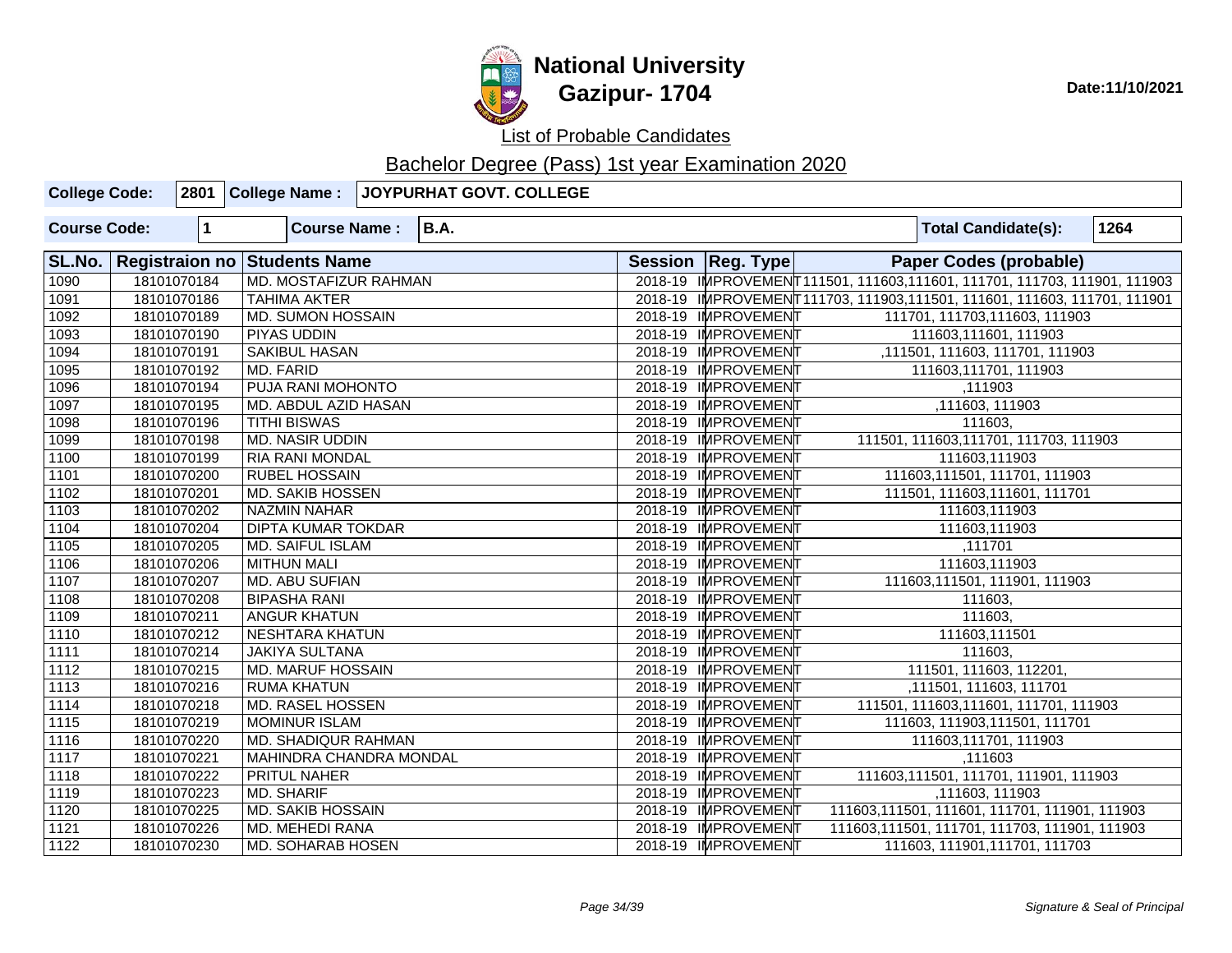

| <b>College Code:</b> |              |                              | 2801 College Name : JOYPURHAT GOVT. COLLEGE |                     |                                                                            |      |
|----------------------|--------------|------------------------------|---------------------------------------------|---------------------|----------------------------------------------------------------------------|------|
| <b>Course Code:</b>  | $\mathbf{1}$ | <b>Course Name:</b>          | <b>B.A.</b>                                 |                     | <b>Total Candidate(s):</b>                                                 | 1264 |
| SL.No.               |              | Registraion no Students Name |                                             | Session   Reg. Type | <b>Paper Codes (probable)</b>                                              |      |
| 1090                 | 18101070184  | MD. MOSTAFIZUR RAHMAN        |                                             |                     | 2018-19 IMPROVEMENT111501, 111603, 111601, 111701, 111703, 111901, 111903  |      |
| 1091                 | 18101070186  | <b>TAHIMA AKTER</b>          |                                             |                     | 2018-19 IMPROVEMENT 111703, 111903, 111501, 111601, 111603, 111701, 111901 |      |
| 1092                 | 18101070189  | <b>MD. SUMON HOSSAIN</b>     |                                             | 2018-19 IMPROVEMENT | 111701, 111703, 111603, 111903                                             |      |
| 1093                 | 18101070190  | <b>PIYAS UDDIN</b>           |                                             | 2018-19 IMPROVEMENT | 111603,111601, 111903                                                      |      |
| 1094                 | 18101070191  | <b>SAKIBUL HASAN</b>         |                                             | 2018-19 IMPROVEMENT | ,111501, 111603, 111701, 111903                                            |      |
| 1095                 | 18101070192  | <b>MD. FARID</b>             |                                             | 2018-19 IMPROVEMENT | 111603,111701, 111903                                                      |      |
| 1096                 | 18101070194  | PUJA RANI MOHONTO            |                                             | 2018-19 IMPROVEMENT | ,111903                                                                    |      |
| 1097                 | 18101070195  | MD. ABDUL AZID HASAN         |                                             | 2018-19 IMPROVEMENT | ,111603, 111903                                                            |      |
| 1098                 | 18101070196  | <b>TITHI BISWAS</b>          |                                             | 2018-19 IMPROVEMENT | 111603,                                                                    |      |
| 1099                 | 18101070198  | <b>MD. NASIR UDDIN</b>       |                                             | 2018-19 IMPROVEMENT | 111501, 111603, 111701, 111703, 111903                                     |      |
| 1100                 | 18101070199  | <b>RIA RANI MONDAL</b>       |                                             | 2018-19 IMPROVEMENT | 111603,111903                                                              |      |
| 1101                 | 18101070200  | <b>RUBEL HOSSAIN</b>         |                                             | 2018-19 IMPROVEMENT | 111603, 111501, 111701, 111903                                             |      |
| 1102                 | 18101070201  | <b>MD. SAKIB HOSSEN</b>      |                                             | 2018-19 IMPROVEMENT | 111501, 111603, 111601, 111701                                             |      |
| 1103                 | 18101070202  | <b>NAZMIN NAHAR</b>          |                                             | 2018-19 IMPROVEMENT | 111603,111903                                                              |      |
| 1104                 | 18101070204  | <b>DIPTA KUMAR TOKDAR</b>    |                                             | 2018-19 IMPROVEMENT | 111603,111903                                                              |      |
| 1105                 | 18101070205  | MD. SAIFUL ISLAM             |                                             | 2018-19 IMPROVEMENT | ,111701                                                                    |      |
| 1106                 | 18101070206  | <b>MITHUN MALI</b>           |                                             | 2018-19 IMPROVEMENT | 111603,111903                                                              |      |
| 1107                 | 18101070207  | <b>MD. ABU SUFIAN</b>        |                                             | 2018-19 IMPROVEMENT | 111603,111501, 111901, 111903                                              |      |
| 1108                 | 18101070208  | <b>BIPASHA RANI</b>          |                                             | 2018-19 IMPROVEMENT | 111603,                                                                    |      |
| 1109                 | 18101070211  | ANGUR KHATUN                 |                                             | 2018-19 IMPROVEMENT | 111603,                                                                    |      |
| 1110                 | 18101070212  | <b>NESHTARA KHATUN</b>       |                                             | 2018-19 IMPROVEMENT | 111603,111501                                                              |      |
| 1111                 | 18101070214  | <b>JAKIYA SULTANA</b>        |                                             | 2018-19 IMPROVEMENT | 111603,                                                                    |      |
| $\overline{1112}$    | 18101070215  | <b>MD. MARUF HOSSAIN</b>     |                                             | 2018-19 IMPROVEMENT | 111501, 111603, 112201,                                                    |      |
| 1113                 | 18101070216  | <b>RUMA KHATUN</b>           |                                             | 2018-19 IMPROVEMENT | ,111501, 111603, 111701                                                    |      |
| $\boxed{1114}$       | 18101070218  | MD. RASEL HOSSEN             |                                             | 2018-19 IMPROVEMENT | 111501, 111603, 111601, 111701, 111903                                     |      |
| 1115                 | 18101070219  | <b>MOMINUR ISLAM</b>         |                                             | 2018-19 IMPROVEMENT | 111603, 111903, 111501, 111701                                             |      |
| 1116                 | 18101070220  | MD. SHADIQUR RAHMAN          |                                             | 2018-19 IMPROVEMENT | 111603,111701, 111903                                                      |      |
| 1117                 | 18101070221  | MAHINDRA CHANDRA MONDAL      |                                             | 2018-19 IMPROVEMENT | ,111603                                                                    |      |
| 1118                 | 18101070222  | PRITUL NAHER                 |                                             | 2018-19 IMPROVEMENT | 111603,111501, 111701, 111901, 111903                                      |      |
| 1119                 | 18101070223  | <b>MD. SHARIF</b>            |                                             | 2018-19 IMPROVEMENT | ,111603, 111903                                                            |      |
| 1120                 | 18101070225  | <b>MD. SAKIB HOSSAIN</b>     |                                             | 2018-19 IMPROVEMENT | 111603, 111501, 111601, 111701, 111901, 111903                             |      |
| 1121                 | 18101070226  | <b>MD. MEHEDI RANA</b>       |                                             | 2018-19 IMPROVEMENT | 111603, 111501, 111701, 111703, 111901, 111903                             |      |
| 1122                 | 18101070230  | <b>MD. SOHARAB HOSEN</b>     |                                             | 2018-19 IMPROVEMENT | 111603, 111901, 111701, 111703                                             |      |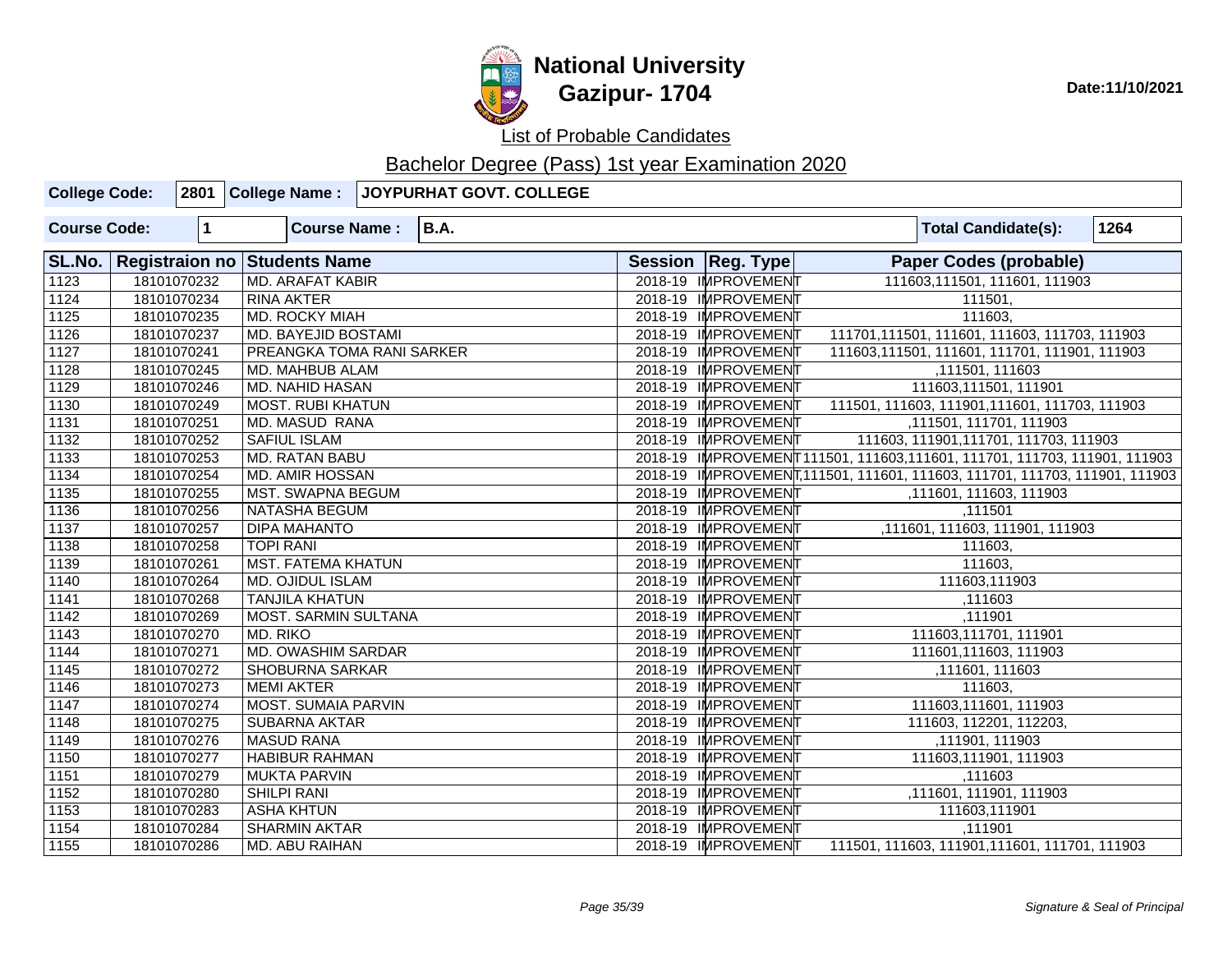

# **National University Gazipur- 1704** Date:11/10/2021

List of Probable Candidates

| <b>College Code:</b> |                       |              | 2801 College Name:          | <b>JOYPURHAT GOVT. COLLEGE</b> |                     |                                                                             |      |
|----------------------|-----------------------|--------------|-----------------------------|--------------------------------|---------------------|-----------------------------------------------------------------------------|------|
| <b>Course Code:</b>  |                       | $\mathbf{1}$ | <b>Course Name:</b>         | <b>B.A.</b>                    |                     | <b>Total Candidate(s):</b>                                                  | 1264 |
| SL.No.               | <b>Registraion no</b> |              | <b>Students Name</b>        |                                | Session   Reg. Type | <b>Paper Codes (probable)</b>                                               |      |
| $\overline{1123}$    |                       | 18101070232  | <b>MD. ARAFAT KABIR</b>     |                                | 2018-19 IMPROVEMENT | 111603,111501, 111601, 111903                                               |      |
| 1124                 |                       | 18101070234  | <b>RINA AKTER</b>           |                                | 2018-19 IMPROVEMENT | 111501,                                                                     |      |
| 1125                 |                       | 18101070235  | MD. ROCKY MIAH              |                                | 2018-19 IMPROVEMENT | 111603,                                                                     |      |
| 1126                 |                       | 18101070237  | <b>MD. BAYEJID BOSTAMI</b>  |                                | 2018-19 IMPROVEMENT | 111701,111501, 111601, 111603, 111703, 111903                               |      |
| $\overline{1127}$    |                       | 18101070241  | PREANGKA TOMA RANI SARKER   |                                | 2018-19 IMPROVEMENT | 111603,111501, 111601, 111701, 111901, 111903                               |      |
| 1128                 |                       | 18101070245  | MD. MAHBUB ALAM             |                                | 2018-19 IMPROVEMENT | ,111501, 111603                                                             |      |
| 1129                 |                       | 18101070246  | <b>MD. NAHID HASAN</b>      |                                | 2018-19 IMPROVEMENT | 111603,111501, 111901                                                       |      |
| 1130                 |                       | 18101070249  | <b>MOST. RUBI KHATUN</b>    |                                | 2018-19 IMPROVEMENT | 111501, 111603, 111901, 111601, 111703, 111903                              |      |
| 1131                 |                       | 18101070251  | <b>MD. MASUD RANA</b>       |                                | 2018-19 IMPROVEMENT | ,111501, 111701, 111903                                                     |      |
| 1132                 |                       | 18101070252  | <b>SAFIUL ISLAM</b>         |                                | 2018-19 IMPROVEMENT | 111603, 111901, 111701, 111703, 111903                                      |      |
| 1133                 |                       | 18101070253  | <b>MD. RATAN BABU</b>       |                                |                     | 2018-19 IMPROVEMENT111501, 111603,111601, 111701, 111703, 111901, 111903    |      |
| 1134                 |                       | 18101070254  | <b>MD. AMIR HOSSAN</b>      |                                |                     | 2018-19 IMPROVEMENT, 111501, 111601, 111603, 111701, 111703, 111901, 111903 |      |
| 1135                 |                       | 18101070255  | <b>MST. SWAPNA BEGUM</b>    |                                | 2018-19 IMPROVEMENT | ,111601, 111603, 111903                                                     |      |
| 1136                 |                       | 18101070256  | NATASHA BEGUM               |                                | 2018-19 IMPROVEMENT | ,111501                                                                     |      |
| 1137                 |                       | 18101070257  | <b>DIPA MAHANTO</b>         |                                | 2018-19 IMPROVEMENT | ,111601, 111603, 111901, 111903                                             |      |
| 1138                 |                       | 18101070258  | <b>TOPI RANI</b>            |                                | 2018-19 IMPROVEMENT | 111603,                                                                     |      |
| 1139                 |                       | 18101070261  | <b>MST. FATEMA KHATUN</b>   |                                | 2018-19 IMPROVEMENT | 111603,                                                                     |      |
| 1140                 |                       | 18101070264  | MD. OJIDUL ISLAM            |                                | 2018-19 IMPROVEMENT | 111603,111903                                                               |      |
| 1141                 |                       | 18101070268  | <b>TANJILA KHATUN</b>       |                                | 2018-19 IMPROVEMENT | ,111603                                                                     |      |
| 1142                 |                       | 18101070269  | <b>MOST. SARMIN SULTANA</b> |                                | 2018-19 IMPROVEMENT | ,111901                                                                     |      |
| 1143                 |                       | 18101070270  | MD. RIKO                    |                                | 2018-19 IMPROVEMENT | 111603,111701, 111901                                                       |      |
| 1144                 |                       | 18101070271  | MD. OWASHIM SARDAR          |                                | 2018-19 IMPROVEMENT | 111601,111603, 111903                                                       |      |
| 1145                 |                       | 18101070272  | <b>SHOBURNA SARKAR</b>      |                                | 2018-19 IMPROVEMENT | ,111601, 111603                                                             |      |
| 1146                 |                       | 18101070273  | <b>MEMI AKTER</b>           |                                | 2018-19 IMPROVEMENT | 111603,                                                                     |      |
| $\frac{1147}{1147}$  |                       | 18101070274  | MOST. SUMAIA PARVIN         |                                | 2018-19 IMPROVEMENT | 111603,111601, 111903                                                       |      |
| 1148                 |                       | 18101070275  | <b>SUBARNA AKTAR</b>        |                                | 2018-19 IMPROVEMENT | 111603, 112201, 112203,                                                     |      |
| 1149                 |                       | 18101070276  | <b>MASUD RANA</b>           |                                | 2018-19 IMPROVEMEN  | ,111901, 111903                                                             |      |
| 1150                 |                       | 18101070277  | <b>HABIBUR RAHMAN</b>       |                                | 2018-19 IMPROVEMENT | 111603,111901, 111903                                                       |      |
| 1151                 |                       | 18101070279  | <b>MUKTA PARVIN</b>         |                                | 2018-19 IMPROVEMEN  | ,111603                                                                     |      |
| 1152                 |                       | 18101070280  | <b>SHILPI RANI</b>          |                                | 2018-19 IMPROVEMENT | ,111601, 111901, 111903                                                     |      |
| 1153                 |                       | 18101070283  | <b>ASHA KHTUN</b>           |                                | 2018-19 IMPROVEMENT | 111603,111901                                                               |      |
| 1154                 |                       | 18101070284  | <b>SHARMIN AKTAR</b>        |                                | 2018-19 IMPROVEMENT | ,111901                                                                     |      |
| 1155                 |                       | 18101070286  | <b>MD. ABU RAIHAN</b>       |                                | 2018-19 IMPROVEMENT | 111501, 111603, 111901, 111601, 111701, 111903                              |      |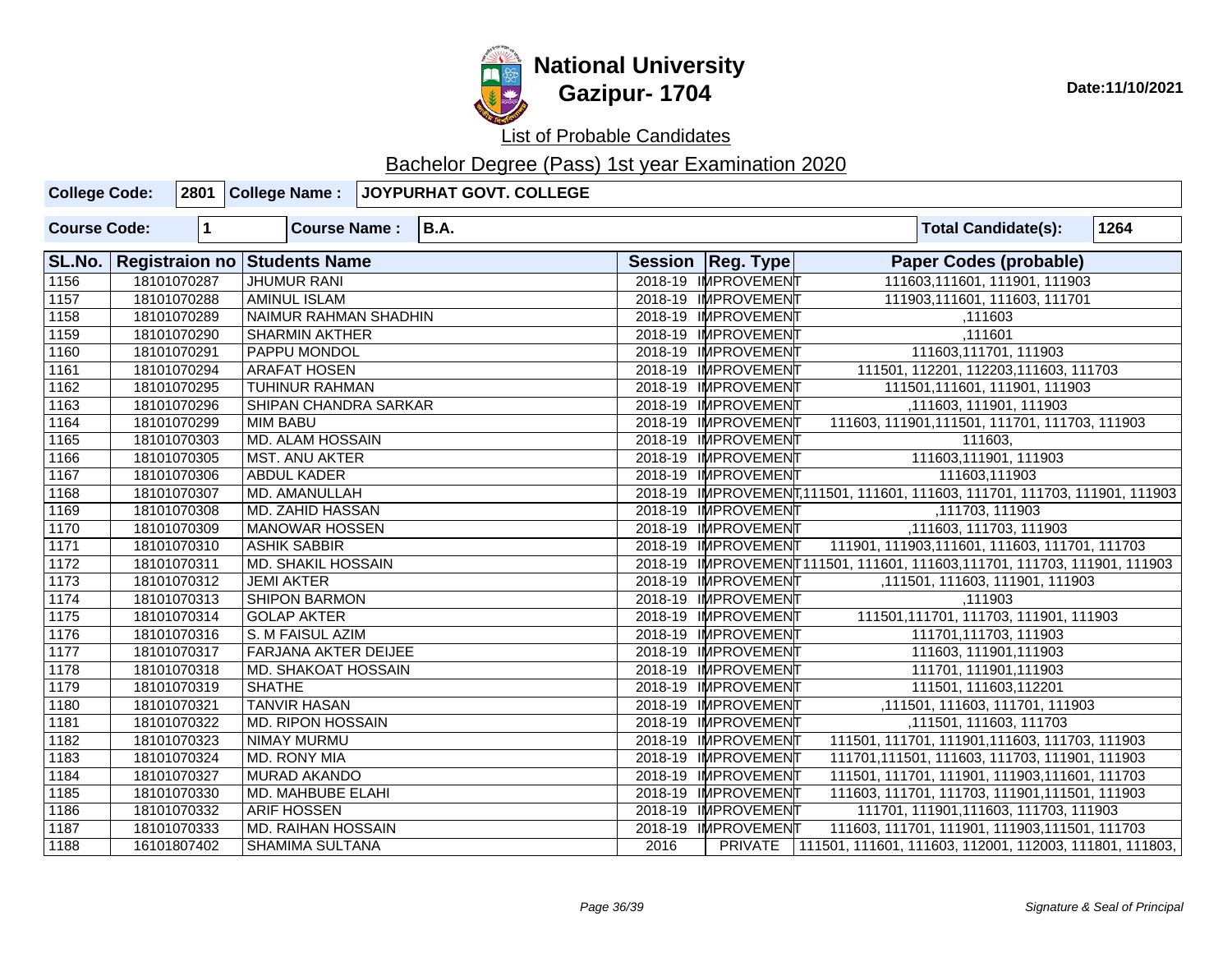

**National University Gazipur- 1704** Date:11/10/2021

List of Probable Candidates

| <b>College Code:</b> |             | 2801 College Name:                  | JOYPURHAT GOVT. COLLEGE |      |                     |                                                                             |
|----------------------|-------------|-------------------------------------|-------------------------|------|---------------------|-----------------------------------------------------------------------------|
| <b>Course Code:</b>  | $\mathbf 1$ | <b>Course Name:</b>                 | <b>B.A.</b>             |      |                     | 1264<br><b>Total Candidate(s):</b>                                          |
| SL.No.               |             | <b>Registraion no Students Name</b> |                         |      | Session   Reg. Type | <b>Paper Codes (probable)</b>                                               |
| 1156                 | 18101070287 | <b>JHUMUR RANI</b>                  |                         |      | 2018-19 IMPROVEMENT | 111603,111601, 111901, 111903                                               |
| 1157                 | 18101070288 | <b>AMINUL ISLAM</b>                 |                         |      | 2018-19 IMPROVEMENT | 111903,111601, 111603, 111701                                               |
| 1158                 | 18101070289 | NAIMUR RAHMAN SHADHIN               |                         |      | 2018-19 IMPROVEMENT | ,111603                                                                     |
| $\sqrt{1159}$        | 18101070290 | <b>SHARMIN AKTHER</b>               |                         |      | 2018-19 IMPROVEMENT | ,111601                                                                     |
| $\sqrt{1160}$        | 18101070291 | PAPPU MONDOL                        |                         |      | 2018-19 IMPROVEMENT | 111603,111701, 111903                                                       |
| $\sqrt{1161}$        | 18101070294 | <b>ARAFAT HOSEN</b>                 |                         |      | 2018-19 IMPROVEMENT | 111501, 112201, 112203, 111603, 111703                                      |
| 1162                 | 18101070295 | <b>TUHINUR RAHMAN</b>               |                         |      | 2018-19 IMPROVEMENT | 111501,111601, 111901, 111903                                               |
| 1163                 | 18101070296 | SHIPAN CHANDRA SARKAR               |                         |      | 2018-19 IMPROVEMENT | ,111603, 111901, 111903                                                     |
| 1164                 | 18101070299 | <b>MIM BABU</b>                     |                         |      | 2018-19 IMPROVEMENT | 111603, 111901, 111501, 111701, 111703, 111903                              |
| $\sqrt{1165}$        | 18101070303 | <b>MD. ALAM HOSSAIN</b>             |                         |      | 2018-19 IMPROVEMENT | 111603.                                                                     |
| 1166                 | 18101070305 | <b>MST. ANU AKTER</b>               |                         |      | 2018-19 IMPROVEMENT | 111603,111901, 111903                                                       |
| 1167                 | 18101070306 | <b>ABDUL KADER</b>                  |                         |      | 2018-19 IMPROVEMENT | 111603,111903                                                               |
| $\sqrt{1168}$        | 18101070307 | MD. AMANULLAH                       |                         |      |                     | 2018-19 IMPROVEMENT, 111501, 111601, 111603, 111701, 111703, 111901, 111903 |
| 1169                 | 18101070308 | MD. ZAHID HASSAN                    |                         |      | 2018-19 IMPROVEMENT | ,111703, 111903                                                             |
| 1170                 | 18101070309 | <b>MANOWAR HOSSEN</b>               |                         |      | 2018-19 IMPROVEMENT | ,111603, 111703, 111903                                                     |
| 1171                 | 18101070310 | <b>ASHIK SABBIR</b>                 |                         |      | 2018-19 IMPROVEMENT | 111901, 111903, 111601, 111603, 111701, 111703                              |
| $\sqrt{1172}$        | 18101070311 | <b>MD. SHAKIL HOSSAIN</b>           |                         |      |                     | 2018-19 IMPROVEMENT111501, 111601, 111603, 111701, 111703, 111901, 111903   |
| 1173                 | 18101070312 | <b>JEMI AKTER</b>                   |                         |      | 2018-19 IMPROVEMENT | ,111501, 111603, 111901, 111903                                             |
| 1174                 | 18101070313 | <b>SHIPON BARMON</b>                |                         |      | 2018-19 IMPROVEMENT | ,111903                                                                     |
| 1175                 | 18101070314 | <b>GOLAP AKTER</b>                  |                         |      | 2018-19 IMPROVEMENT | 111501, 111701, 111703, 111901, 111903                                      |
| $\sqrt{1176}$        | 18101070316 | S. M FAISUL AZIM                    |                         |      | 2018-19 IMPROVEMENT | 111701,111703, 111903                                                       |
| 1177                 | 18101070317 | FARJANA AKTER DEIJEE                |                         |      | 2018-19 IMPROVEMENT | 111603, 111901, 111903                                                      |
| $\sqrt{1178}$        | 18101070318 | MD. SHAKOAT HOSSAIN                 |                         |      | 2018-19 IMPROVEMENT | 111701, 111901, 111903                                                      |
| 1179                 | 18101070319 | <b>SHATHE</b>                       |                         |      | 2018-19 IMPROVEMENT | 111501, 111603, 112201                                                      |
| 1180                 | 18101070321 | <b>TANVIR HASAN</b>                 |                         |      | 2018-19 IMPROVEMENT | ,111501, 111603, 111701, 111903                                             |
| 1181                 | 18101070322 | <b>MD. RIPON HOSSAIN</b>            |                         |      | 2018-19 IMPROVEMENT | ,111501, 111603, 111703                                                     |
| $\boxed{1182}$       | 18101070323 | <b>NIMAY MURMU</b>                  |                         |      | 2018-19 IMPROVEMENT | 111501, 111701, 111901, 111603, 111703, 111903                              |
| $\sqrt{1183}$        | 18101070324 | <b>MD. RONY MIA</b>                 |                         |      | 2018-19 IMPROVEMENT | 111701,111501, 111603, 111703, 111901, 111903                               |
| 1184                 | 18101070327 | <b>MURAD AKANDO</b>                 |                         |      | 2018-19 IMPROVEMENT | 111501, 111701, 111901, 111903, 111601, 111703                              |
| $\sqrt{1185}$        | 18101070330 | MD. MAHBUBE ELAHI                   |                         |      | 2018-19 IMPROVEMENT | 111603, 111701, 111703, 111901, 111501, 111903                              |
| 1186                 | 18101070332 | <b>ARIF HOSSEN</b>                  |                         |      | 2018-19 IMPROVEMENT | 111701, 111901, 111603, 111703, 111903                                      |
| $\overline{1187}$    | 18101070333 | <b>MD. RAIHAN HOSSAIN</b>           |                         |      | 2018-19 IMPROVEMENT | 111603, 111701, 111901, 111903, 111501, 111703                              |
| 1188                 | 16101807402 | SHAMIMA SULTANA                     |                         | 2016 | PRIVATE             | 111501, 111601, 111603, 112001, 112003, 111801, 111803,                     |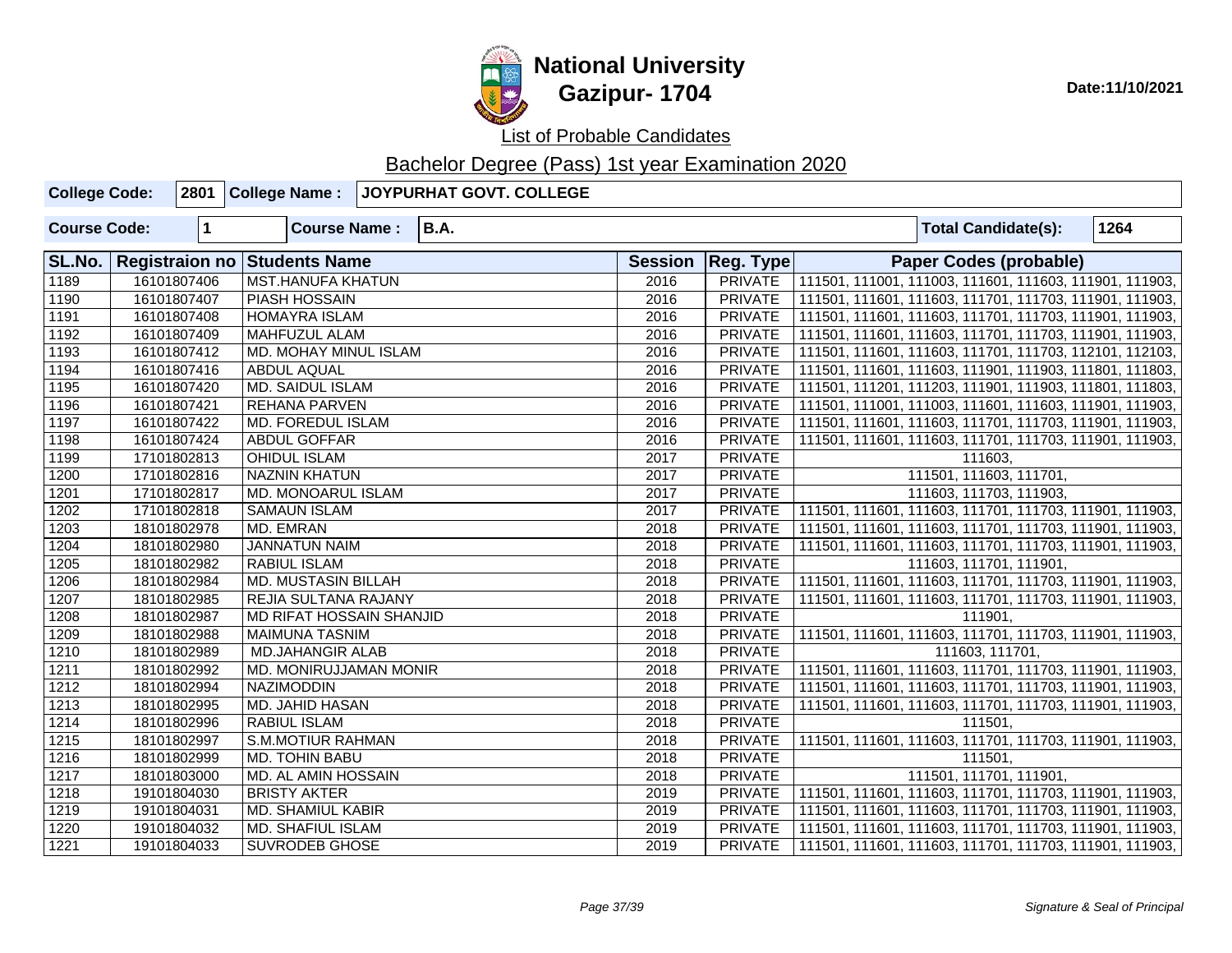

List of Probable Candidates

| <b>College Code:</b> |             |             | 2801 College Name:       |                                     | <b>JOYPURHAT GOVT. COLLEGE</b> |                |                |                                                         |                                                         |      |  |  |
|----------------------|-------------|-------------|--------------------------|-------------------------------------|--------------------------------|----------------|----------------|---------------------------------------------------------|---------------------------------------------------------|------|--|--|
| <b>Course Code:</b>  |             | $\mathbf 1$ | <b>Course Name:</b>      |                                     | <b>B.A.</b>                    |                |                |                                                         | <b>Total Candidate(s):</b>                              | 1264 |  |  |
| SL.No.               |             |             |                          | <b>Registraion no Students Name</b> |                                |                |                | <b>Reg. Type</b>                                        | <b>Paper Codes (probable)</b>                           |      |  |  |
| $\sqrt{1189}$        |             | 16101807406 | <b>MST.HANUFA KHATUN</b> |                                     |                                | 2016           | <b>PRIVATE</b> |                                                         | 111501, 111001, 111003, 111601, 111603, 111901, 111903, |      |  |  |
| $\sqrt{1190}$        |             | 16101807407 | <b>PIASH HOSSAIN</b>     |                                     |                                |                |                |                                                         | 111501, 111601, 111603, 111701, 111703, 111901, 111903, |      |  |  |
| 1191                 |             | 16101807408 |                          | <b>HOMAYRA ISLAM</b>                |                                |                |                |                                                         | 111501, 111601, 111603, 111701, 111703, 111901, 111903, |      |  |  |
| $\sqrt{1192}$        |             | 16101807409 | MAHFUZUL ALAM            |                                     |                                | 2016           | <b>PRIVATE</b> |                                                         | 111501, 111601, 111603, 111701, 111703, 111901, 111903, |      |  |  |
| $\sqrt{1193}$        |             | 16101807412 | MD. MOHAY MINUL ISLAM    |                                     | 2016                           | <b>PRIVATE</b> |                | 111501, 111601, 111603, 111701, 111703, 112101, 112103, |                                                         |      |  |  |
| 1194                 |             | 16101807416 | <b>ABDUL AQUAL</b>       |                                     |                                |                | <b>PRIVATE</b> |                                                         | 111501, 111601, 111603, 111901, 111903, 111801, 111803, |      |  |  |
| 1195                 |             | 16101807420 |                          | <b>MD. SAIDUL ISLAM</b>             |                                |                | <b>PRIVATE</b> |                                                         | 111501, 111201, 111203, 111901, 111903, 111801, 111803, |      |  |  |
| 1196                 |             | 16101807421 |                          | <b>REHANA PARVEN</b>                |                                |                | <b>PRIVATE</b> |                                                         | 111501, 111001, 111003, 111601, 111603, 111901, 111903, |      |  |  |
| $\sqrt{1197}$        |             | 16101807422 |                          | MD. FOREDUL ISLAM                   |                                |                | <b>PRIVATE</b> |                                                         | 111501, 111601, 111603, 111701, 111703, 111901, 111903, |      |  |  |
| 1198                 |             | 16101807424 | <b>ABDUL GOFFAR</b>      |                                     |                                | 2016           | <b>PRIVATE</b> |                                                         | 111501, 111601, 111603, 111701, 111703, 111901, 111903, |      |  |  |
| 1199                 |             | 17101802813 | <b>OHIDUL ISLAM</b>      |                                     |                                |                | <b>PRIVATE</b> |                                                         | 111603.                                                 |      |  |  |
| 1200                 | 17101802816 |             |                          | <b>NAZNIN KHATUN</b>                |                                |                | <b>PRIVATE</b> |                                                         | 111501, 111603, 111701,                                 |      |  |  |
| 1201                 | 17101802817 |             |                          | <b>MD. MONOARUL ISLAM</b>           |                                |                | <b>PRIVATE</b> |                                                         | 111603, 111703, 111903,                                 |      |  |  |
| 1202                 |             | 17101802818 | <b>SAMAUN ISLAM</b>      |                                     |                                |                | <b>PRIVATE</b> |                                                         | 111501, 111601, 111603, 111701, 111703, 111901, 111903, |      |  |  |
| 1203                 |             | 18101802978 | MD. EMRAN                |                                     |                                |                | <b>PRIVATE</b> |                                                         | 111501, 111601, 111603, 111701, 111703, 111901, 111903, |      |  |  |
| 1204                 | 18101802980 |             |                          | <b>JANNATUN NAIM</b>                |                                |                | <b>PRIVATE</b> |                                                         | 111501, 111601, 111603, 111701, 111703, 111901, 111903, |      |  |  |
| 1205                 |             | 18101802982 | <b>RABIUL ISLAM</b>      |                                     |                                |                | <b>PRIVATE</b> |                                                         | 111603, 111701, 111901,                                 |      |  |  |
| 1206                 |             | 18101802984 |                          | <b>MD. MUSTASIN BILLAH</b>          |                                |                | <b>PRIVATE</b> |                                                         | 111501, 111601, 111603, 111701, 111703, 111901, 111903, |      |  |  |
| 1207                 | 18101802985 |             |                          | <b>REJIA SULTANA RAJANY</b>         |                                |                | <b>PRIVATE</b> |                                                         | 111501, 111601, 111603, 111701, 111703, 111901, 111903, |      |  |  |
| 1208                 | 18101802987 |             |                          | MD RIFAT HOSSAIN SHANJID            |                                |                | <b>PRIVATE</b> |                                                         | 111901,                                                 |      |  |  |
| 1209                 |             | 18101802988 |                          | <b>MAIMUNA TASNIM</b>               |                                |                | <b>PRIVATE</b> |                                                         | 111501, 111601, 111603, 111701, 111703, 111901, 111903, |      |  |  |
| 1210                 | 18101802989 |             |                          | <b>MD.JAHANGIR ALAB</b>             |                                |                | <b>PRIVATE</b> |                                                         | 111603, 111701,                                         |      |  |  |
| 1211                 | 18101802992 |             |                          | MD. MONIRUJJAMAN MONIR              |                                |                | <b>PRIVATE</b> | 111501, 111601, 111603, 111701, 111703, 111901, 111903, |                                                         |      |  |  |
| 1212                 | 18101802994 |             | <b>NAZIMODDIN</b>        |                                     |                                |                | <b>PRIVATE</b> |                                                         | 111501, 111601, 111603, 111701, 111703, 111901, 111903, |      |  |  |
| 1213                 | 18101802995 |             |                          | <b>MD. JAHID HASAN</b>              |                                |                | <b>PRIVATE</b> |                                                         | 111501, 111601, 111603, 111701, 111703, 111901, 111903, |      |  |  |
| $\boxed{1214}$       | 18101802996 |             | <b>RABIUL ISLAM</b>      |                                     |                                |                | <b>PRIVATE</b> |                                                         | 111501.                                                 |      |  |  |
| 1215                 | 18101802997 |             |                          | <b>S.M.MOTIUR RAHMAN</b>            |                                |                | <b>PRIVATE</b> |                                                         | 111501, 111601, 111603, 111701, 111703, 111901, 111903, |      |  |  |
| 1216                 | 18101802999 |             |                          | <b>MD. TOHIN BABU</b>               |                                |                | <b>PRIVATE</b> |                                                         | 111501,                                                 |      |  |  |
| 1217                 | 18101803000 |             |                          | MD. AL AMIN HOSSAIN                 |                                |                | <b>PRIVATE</b> |                                                         | 111501, 111701, 111901,                                 |      |  |  |
| 1218                 | 19101804030 |             | <b>BRISTY AKTER</b>      |                                     |                                |                | <b>PRIVATE</b> |                                                         | 111501, 111601, 111603, 111701, 111703, 111901, 111903, |      |  |  |
| 1219                 | 19101804031 |             |                          | <b>MD. SHAMIUL KABIR</b>            |                                |                | <b>PRIVATE</b> |                                                         | 111501, 111601, 111603, 111701, 111703, 111901, 111903, |      |  |  |
| 1220                 | 19101804032 |             |                          | <b>MD. SHAFIUL ISLAM</b>            |                                |                | <b>PRIVATE</b> |                                                         | 111501, 111601, 111603, 111701, 111703, 111901, 111903, |      |  |  |
| 1221                 |             | 19101804033 | <b>SUVRODEB GHOSE</b>    |                                     |                                | 2019           | <b>PRIVATE</b> |                                                         | 111501, 111601, 111603, 111701, 111703, 111901, 111903, |      |  |  |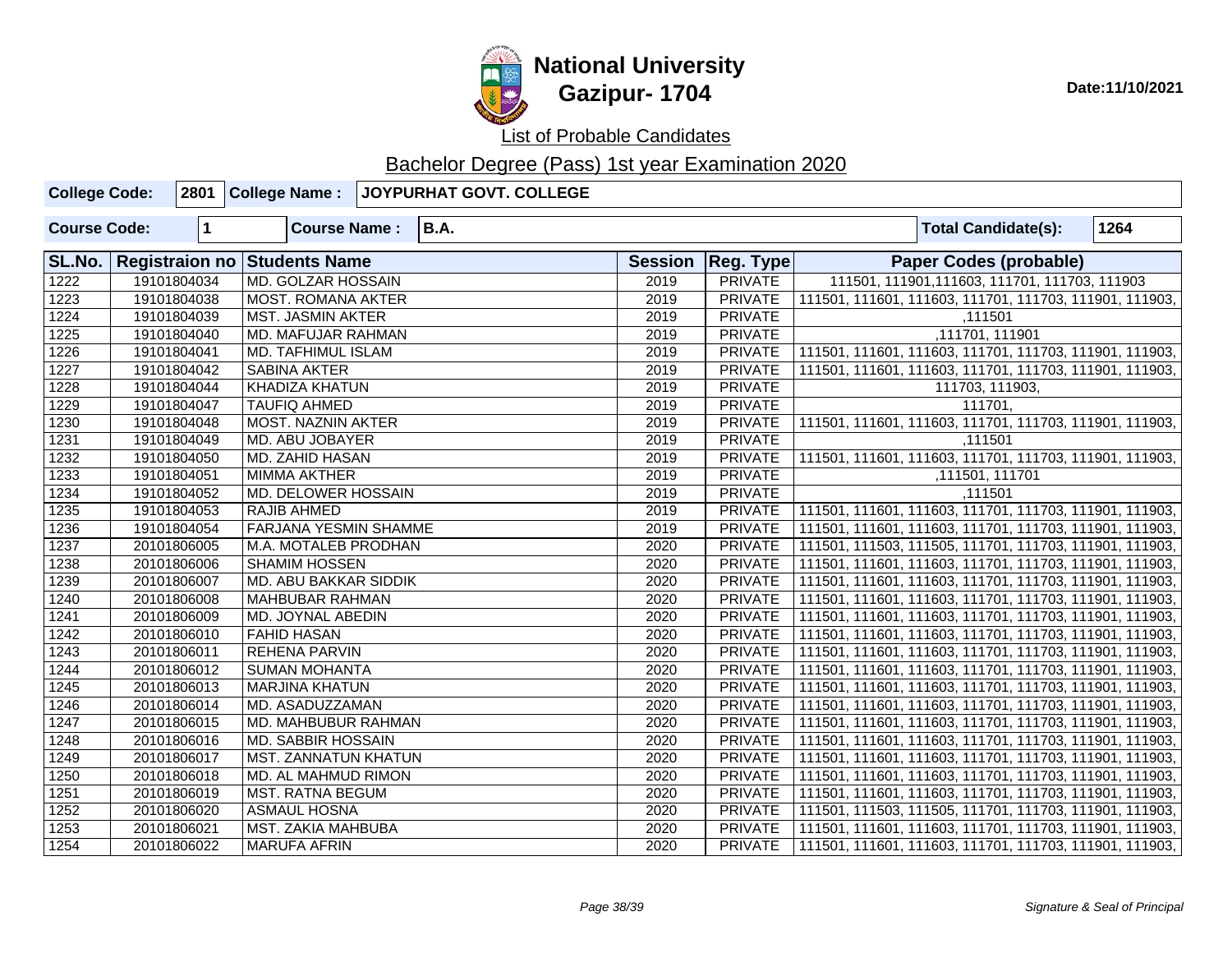

# **National University Gazipur- 1704** Date:11/10/2021

List of Probable Candidates

| <b>College Code:</b> |                                        |                         | 2801 College Name:          |                                     | <b>JOYPURHAT GOVT. COLLEGE</b> |                |                                                         |                                                         |  |  |  |
|----------------------|----------------------------------------|-------------------------|-----------------------------|-------------------------------------|--------------------------------|----------------|---------------------------------------------------------|---------------------------------------------------------|--|--|--|
| <b>Course Code:</b>  |                                        | $\overline{\mathbf{1}}$ | <b>Course Name:</b>         |                                     | <b>B.A.</b>                    |                |                                                         | 1264<br><b>Total Candidate(s):</b>                      |  |  |  |
| SL.No.               |                                        |                         |                             | <b>Registraion no Students Name</b> |                                |                |                                                         | Reg. Type <br><b>Paper Codes (probable)</b>             |  |  |  |
| 1222<br>19101804034  |                                        |                         |                             | <b>MD. GOLZAR HOSSAIN</b>           |                                |                | <b>PRIVATE</b>                                          | 111501, 111901, 111603, 111701, 111703, 111903          |  |  |  |
| 1223                 |                                        | 19101804038             | <b>MOST. ROMANA AKTER</b>   |                                     |                                | 2019           | <b>PRIVATE</b>                                          | 111501, 111601, 111603, 111701, 111703, 111901, 111903, |  |  |  |
| 1224                 |                                        | 19101804039             | <b>MST. JASMIN AKTER</b>    |                                     |                                | 2019           | <b>PRIVATE</b>                                          | ,111501                                                 |  |  |  |
| 1225                 |                                        | 19101804040             | MD. MAFUJAR RAHMAN          |                                     |                                | 2019           | <b>PRIVATE</b>                                          | ,111701, 111901                                         |  |  |  |
| 1226                 |                                        | 19101804041             | <b>MD. TAFHIMUL ISLAM</b>   |                                     |                                | 2019           | <b>PRIVATE</b>                                          | 111501, 111601, 111603, 111701, 111703, 111901, 111903, |  |  |  |
| 1227                 |                                        | 19101804042             | <b>SABINA AKTER</b>         |                                     |                                | 2019           | <b>PRIVATE</b>                                          | 111501, 111601, 111603, 111701, 111703, 111901, 111903, |  |  |  |
| 1228                 |                                        | 19101804044             | <b>KHADIZA KHATUN</b>       |                                     |                                | 2019           | <b>PRIVATE</b>                                          | 111703, 111903,                                         |  |  |  |
| 1229                 |                                        | 19101804047             | <b>TAUFIQ AHMED</b>         |                                     |                                | 2019           | <b>PRIVATE</b>                                          | 111701,                                                 |  |  |  |
| 1230                 |                                        | 19101804048             | <b>MOST. NAZNIN AKTER</b>   |                                     |                                | 2019           | <b>PRIVATE</b>                                          | 111501, 111601, 111603, 111701, 111703, 111901, 111903, |  |  |  |
| 1231                 |                                        | 19101804049             | MD. ABU JOBAYER             |                                     |                                | 2019           | <b>PRIVATE</b>                                          | ,111501                                                 |  |  |  |
| 1232                 |                                        | 19101804050             | MD. ZAHID HASAN             |                                     |                                | 2019           | <b>PRIVATE</b>                                          | 111501, 111601, 111603, 111701, 111703, 111901, 111903, |  |  |  |
| 1233                 |                                        | 19101804051             | <b>MIMMA AKTHER</b>         |                                     |                                | 2019           | <b>PRIVATE</b>                                          | ,111501, 111701                                         |  |  |  |
| 1234                 |                                        | 19101804052             | <b>MD. DELOWER HOSSAIN</b>  |                                     |                                | 2019<br>2019   | PRIVATE                                                 | ,111501                                                 |  |  |  |
| 1235                 | 19101804053                            |                         |                             | RAJIB AHMED                         |                                |                | <b>PRIVATE</b>                                          | 111501, 111601, 111603, 111701, 111703, 111901, 111903, |  |  |  |
| 1236                 |                                        | 19101804054             |                             | FARJANA YESMIN SHAMME               |                                |                | <b>PRIVATE</b>                                          | 111501, 111601, 111603, 111701, 111703, 111901, 111903, |  |  |  |
| 1237                 |                                        | 20101806005             | M.A. MOTALEB PRODHAN        |                                     |                                | 2020           | <b>PRIVATE</b>                                          | 111501, 111503, 111505, 111701, 111703, 111901, 111903, |  |  |  |
| 1238                 |                                        | 20101806006             | <b>SHAMIM HOSSEN</b>        |                                     |                                | 2020<br>2020   | <b>PRIVATE</b>                                          | 111501, 111601, 111603, 111701, 111703, 111901, 111903, |  |  |  |
| 1239                 |                                        | 20101806007             |                             | MD. ABU BAKKAR SIDDIK               |                                |                | <b>PRIVATE</b>                                          | 111501, 111601, 111603, 111701, 111703, 111901, 111903, |  |  |  |
| 1240                 | 20101806008                            |                         |                             | MAHBUBAR RAHMAN                     |                                |                | <b>PRIVATE</b>                                          | 111501, 111601, 111603, 111701, 111703, 111901, 111903, |  |  |  |
| 1241                 | 20101806009                            |                         |                             | MD. JOYNAL ABEDIN                   |                                |                | <b>PRIVATE</b>                                          | 111501, 111601, 111603, 111701, 111703, 111901, 111903, |  |  |  |
| $\overline{1242}$    | 20101806010                            |                         | <b>FAHID HASAN</b>          |                                     |                                |                | <b>PRIVATE</b>                                          | 111501, 111601, 111603, 111701, 111703, 111901, 111903, |  |  |  |
| 1243                 | <b>REHENA PARVIN</b><br>20101806011    |                         |                             |                                     | 2020<br>2020                   | <b>PRIVATE</b> | 111501, 111601, 111603, 111701, 111703, 111901, 111903, |                                                         |  |  |  |
| 1244                 |                                        | 20101806012             |                             | <b>SUMAN MOHANTA</b>                |                                |                | <b>PRIVATE</b>                                          | 111501, 111601, 111603, 111701, 111703, 111901, 111903, |  |  |  |
| 1245                 | 20101806013                            |                         |                             | <b>MARJINA KHATUN</b>               |                                | 2020<br>2020   | <b>PRIVATE</b>                                          | 111501, 111601, 111603, 111701, 111703, 111901, 111903, |  |  |  |
| 1246                 | 20101806014                            |                         |                             | MD. ASADUZZAMAN                     |                                |                | <b>PRIVATE</b>                                          | 111501, 111601, 111603, 111701, 111703, 111901, 111903, |  |  |  |
| 1247                 | 20101806015                            |                         |                             | MD. MAHBUBUR RAHMAN                 |                                |                | <b>PRIVATE</b>                                          | 111501, 111601, 111603, 111701, 111703, 111901, 111903, |  |  |  |
| 1248                 | 20101806016                            |                         |                             | MD. SABBIR HOSSAIN                  |                                |                | <b>PRIVATE</b>                                          | 111501, 111601, 111603, 111701, 111703, 111901, 111903, |  |  |  |
| 1249                 |                                        | 20101806017             | <b>MST. ZANNATUN KHATUN</b> |                                     |                                | 2020           | <b>PRIVATE</b>                                          | 111501, 111601, 111603, 111701, 111703, 111901, 111903, |  |  |  |
| 1250                 |                                        | 20101806018             | MD. AL MAHMUD RIMON         |                                     |                                | 2020           | <b>PRIVATE</b>                                          | 111501, 111601, 111603, 111701, 111703, 111901, 111903, |  |  |  |
| 1251                 | 20101806019<br><b>MST. RATNA BEGUM</b> |                         |                             |                                     | 2020                           | <b>PRIVATE</b> | 111501, 111601, 111603, 111701, 111703, 111901, 111903, |                                                         |  |  |  |
| 1252                 |                                        | 20101806020             | <b>ASMAUL HOSNA</b>         |                                     |                                | 2020           | <b>PRIVATE</b>                                          | 111501, 111503, 111505, 111701, 111703, 111901, 111903, |  |  |  |
| 1253                 |                                        | 20101806021             | MST. ZAKIA MAHBUBA          |                                     |                                | 2020           | <b>PRIVATE</b>                                          | 111501, 111601, 111603, 111701, 111703, 111901, 111903, |  |  |  |
| 1254                 |                                        | 20101806022             | <b>MARUFA AFRIN</b>         |                                     |                                | 2020           | PRIVATE                                                 | 111501, 111601, 111603, 111701, 111703, 111901, 111903, |  |  |  |